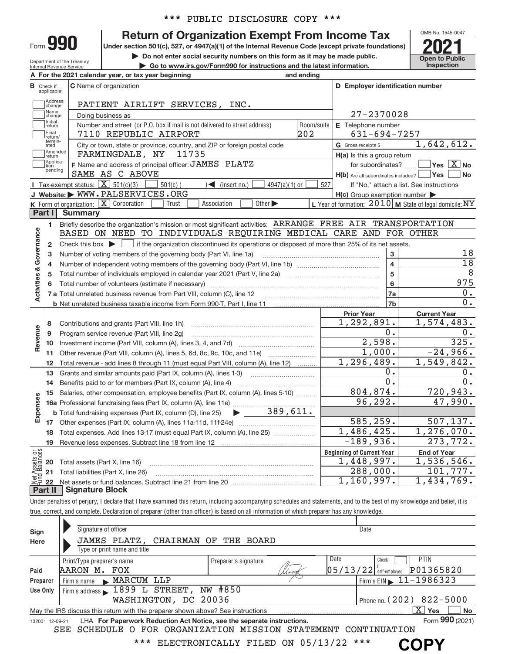|  |  | *** PUBLIC DISCLOSURE COPY *** |  |  |
|--|--|--------------------------------|--|--|
|--|--|--------------------------------|--|--|

# **990 Return of Organization Exempt From Income Tax Phone State of Property Section 501(c), 527, or 4947(a)(1) of the Internal Revenue Code (except private foundations) <b>2021**

**A For the 2021 calendar year, or tax year beginning and ending**

**Example 1 Post Construction 501(c), 527, or 4947(a)(1) of the Internal Revenue Code (except private foundations)**<br> **Do not enter social security numbers on this form as it may be made public.**<br> **Co to www.irs.gov/Form990** 

**| Go to www.irs.gov/Form990 for instructions and the latest information. Inspection**



Department of the Treasury Internal Revenue Service

Form 990

|                                                                                                                                  | <b>B</b> Check if<br>applicable: | <b>C</b> Name of organization                                                                                                                                              |            | D Employer identification number                    |                                                           |  |  |  |  |  |
|----------------------------------------------------------------------------------------------------------------------------------|----------------------------------|----------------------------------------------------------------------------------------------------------------------------------------------------------------------------|------------|-----------------------------------------------------|-----------------------------------------------------------|--|--|--|--|--|
|                                                                                                                                  | Address<br>change                | PATIENT AIRLIFT SERVICES, INC.                                                                                                                                             |            |                                                     |                                                           |  |  |  |  |  |
|                                                                                                                                  | Name<br>change                   | Doing business as                                                                                                                                                          |            | 27-2370028                                          |                                                           |  |  |  |  |  |
|                                                                                                                                  | Initial<br>return                | Number and street (or P.O. box if mail is not delivered to street address)                                                                                                 | Room/suite | E Telephone number                                  |                                                           |  |  |  |  |  |
| 202<br>Final<br>$631 - 694 - 7257$<br>7110 REPUBLIC AIRPORT<br>return/                                                           |                                  |                                                                                                                                                                            |            |                                                     |                                                           |  |  |  |  |  |
| termin-<br>1,642,612.<br>City or town, state or province, country, and ZIP or foreign postal code<br>G Gross receipts \$<br>ated |                                  |                                                                                                                                                                            |            |                                                     |                                                           |  |  |  |  |  |
| Amended<br>FARMINGDALE, NY<br>11735<br>H(a) Is this a group return<br>return<br>Applica-                                         |                                  |                                                                                                                                                                            |            |                                                     |                                                           |  |  |  |  |  |
|                                                                                                                                  | tion<br>pending                  | F Name and address of principal officer: JAMES PLATZ                                                                                                                       |            | for subordinates?                                   | $\blacksquare$ Yes $\boxed{\text{X}}$ No                  |  |  |  |  |  |
|                                                                                                                                  |                                  | SAME AS C ABOVE<br>Tax-exempt status: $\boxed{\mathbf{X}}$ 501(c)(3)                                                                                                       |            | $H(b)$ Are all subordinates included? $\Box$ Yes    | <b>No</b>                                                 |  |  |  |  |  |
|                                                                                                                                  |                                  | $501(c)$ (<br>$\sqrt{\phantom{a}}$ (insert no.)<br>$4947(a)(1)$ or<br>J Website: WWW.PALSERVICES.ORG                                                                       | 527        | $H(c)$ Group exemption number $\blacktriangleright$ | If "No," attach a list. See instructions                  |  |  |  |  |  |
|                                                                                                                                  |                                  | K Form of organization: X Corporation<br>Association<br>Other $\blacktriangleright$<br>Trust                                                                               |            |                                                     | L Year of formation: $2010$ M State of legal domicile: NY |  |  |  |  |  |
|                                                                                                                                  | Part I                           | <b>Summary</b>                                                                                                                                                             |            |                                                     |                                                           |  |  |  |  |  |
|                                                                                                                                  | 1.                               | Briefly describe the organization's mission or most significant activities: ARRANGE FREE AIR TRANSPORTATION                                                                |            |                                                     |                                                           |  |  |  |  |  |
| Governance                                                                                                                       |                                  | BASED ON NEED TO INDIVIDUALS REQUIRING MEDICAL CARE AND FOR OTHER                                                                                                          |            |                                                     |                                                           |  |  |  |  |  |
|                                                                                                                                  | $\mathbf{2}$                     | Check this box $\blacktriangleright \Box$ if the organization discontinued its operations or disposed of more than 25% of its net assets.                                  |            |                                                     |                                                           |  |  |  |  |  |
|                                                                                                                                  | 3                                | Number of voting members of the governing body (Part VI, line 1a)                                                                                                          |            | 3<br>$\overline{\mathbf{4}}$                        | 18<br>18                                                  |  |  |  |  |  |
|                                                                                                                                  | 4<br>5                           |                                                                                                                                                                            |            | $\overline{5}$                                      | 8                                                         |  |  |  |  |  |
|                                                                                                                                  | 6                                |                                                                                                                                                                            |            | $\bf 6$                                             | 975                                                       |  |  |  |  |  |
| <b>Activities &amp;</b>                                                                                                          |                                  |                                                                                                                                                                            |            | 7a                                                  | $\overline{0}$ .                                          |  |  |  |  |  |
|                                                                                                                                  |                                  |                                                                                                                                                                            |            | 7b                                                  | 0.                                                        |  |  |  |  |  |
|                                                                                                                                  |                                  |                                                                                                                                                                            |            | <b>Prior Year</b>                                   | <b>Current Year</b>                                       |  |  |  |  |  |
|                                                                                                                                  | 8                                | Contributions and grants (Part VIII, line 1h)                                                                                                                              |            | 1,292,891.                                          | 1,574,483.                                                |  |  |  |  |  |
| Revenue                                                                                                                          | 9                                | Program service revenue (Part VIII, line 2g)                                                                                                                               |            | 0.                                                  | 0.                                                        |  |  |  |  |  |
|                                                                                                                                  | 10                               |                                                                                                                                                                            |            | 2,598.<br>1,000.                                    | 325.<br>$-24,966.$                                        |  |  |  |  |  |
|                                                                                                                                  | 11                               | Other revenue (Part VIII, column (A), lines 5, 6d, 8c, 9c, 10c, and 11e)                                                                                                   |            | 1, 296, 489.                                        | 1,549,842.                                                |  |  |  |  |  |
|                                                                                                                                  | 12<br>13                         | Total revenue - add lines 8 through 11 (must equal Part VIII, column (A), line 12)<br>Grants and similar amounts paid (Part IX, column (A), lines 1-3)                     |            | 0.                                                  | 0.                                                        |  |  |  |  |  |
|                                                                                                                                  | 14                               | Benefits paid to or for members (Part IX, column (A), line 4)                                                                                                              |            | $\overline{0}$ .                                    | 0.                                                        |  |  |  |  |  |
|                                                                                                                                  | 15                               | Salaries, other compensation, employee benefits (Part IX, column (A), lines 5-10)                                                                                          |            | 804, 874.                                           | 720,943.                                                  |  |  |  |  |  |
|                                                                                                                                  |                                  | 16a Professional fundraising fees (Part IX, column (A), line 11e)                                                                                                          |            | 96, 292.                                            | 47,990.                                                   |  |  |  |  |  |
| Expenses                                                                                                                         |                                  | <b>b</b> Total fundraising expenses (Part IX, column (D), line 25) $\rightarrow$ $\rightarrow$ 389, 611.                                                                   |            |                                                     |                                                           |  |  |  |  |  |
|                                                                                                                                  | 17                               |                                                                                                                                                                            |            | 585, 259.                                           | 507, 137.                                                 |  |  |  |  |  |
|                                                                                                                                  | 18                               | Total expenses. Add lines 13-17 (must equal Part IX, column (A), line 25)                                                                                                  |            | 1,486,425.<br>$-189,936.$                           | 1,276,070.<br>273,772.                                    |  |  |  |  |  |
| ∟ທ                                                                                                                               | 19                               |                                                                                                                                                                            |            | <b>Beginning of Current Year</b>                    | <b>End of Year</b>                                        |  |  |  |  |  |
| Net Assets or<br>Eund Balances                                                                                                   | 20                               | Total assets (Part X, line 16)                                                                                                                                             |            | 1,448,997.                                          | 1,536,546.                                                |  |  |  |  |  |
|                                                                                                                                  | 21                               | Total liabilities (Part X, line 26)                                                                                                                                        |            | 288,000.                                            | 101,777.                                                  |  |  |  |  |  |
|                                                                                                                                  | 22                               | Net assets or fund balances. Subtract line 21 from line 20                                                                                                                 |            | 1,160,997.                                          | 1,434,769.                                                |  |  |  |  |  |
|                                                                                                                                  | Part II                          | <b>Signature Block</b>                                                                                                                                                     |            |                                                     |                                                           |  |  |  |  |  |
|                                                                                                                                  |                                  | Under penalties of perjury, I declare that I have examined this return, including accompanying schedules and statements, and to the best of my knowledge and belief, it is |            |                                                     |                                                           |  |  |  |  |  |
|                                                                                                                                  |                                  | true, correct, and complete. Declaration of preparer (other than officer) is based on all information of which preparer has any knowledge.                                 |            |                                                     |                                                           |  |  |  |  |  |
|                                                                                                                                  |                                  | Signature of officer                                                                                                                                                       |            | Date                                                |                                                           |  |  |  |  |  |
| Sign<br>Here                                                                                                                     |                                  | JAMES PLATZ,<br>CHAIRMAN OF<br>THE BOARD                                                                                                                                   |            |                                                     |                                                           |  |  |  |  |  |
|                                                                                                                                  |                                  | Type or print name and title                                                                                                                                               |            |                                                     |                                                           |  |  |  |  |  |
|                                                                                                                                  |                                  | Print/Type preparer's name<br>Preparer's signature                                                                                                                         |            | Date<br>Check                                       | PTIN                                                      |  |  |  |  |  |
| Paid                                                                                                                             |                                  | AARON M. FOX                                                                                                                                                               |            | $05/13/22$ $\frac{1}{\text{Self-emploved}}$         | P01365820                                                 |  |  |  |  |  |
|                                                                                                                                  | Preparer                         | MARCUM LLP<br>Firm's name                                                                                                                                                  |            |                                                     | Firm's EIN $\geq 11 - 1986323$                            |  |  |  |  |  |
|                                                                                                                                  | <b>Use Only</b>                  | 1899 L STREET, NW #850<br>Firm's address                                                                                                                                   |            |                                                     |                                                           |  |  |  |  |  |
|                                                                                                                                  |                                  | WASHINGTON, DC 20036                                                                                                                                                       |            | Phone no. (202)                                     | $822 - 5000$<br>$\overline{X}$ Yes                        |  |  |  |  |  |
|                                                                                                                                  | 132001 12-09-21                  | May the IRS discuss this return with the preparer shown above? See instructions<br>LHA For Paperwork Reduction Act Notice, see the separate instructions.                  |            |                                                     | No<br>Form 990 (2021)                                     |  |  |  |  |  |
|                                                                                                                                  |                                  | SCHEDULE O FOR ORGANIZATION MISSION STATEMENT CONTINUATION<br>SEE                                                                                                          |            |                                                     |                                                           |  |  |  |  |  |
|                                                                                                                                  |                                  | ***<br>ELECTRONICALLY FILED ON 05/13/22                                                                                                                                    |            |                                                     |                                                           |  |  |  |  |  |
|                                                                                                                                  |                                  |                                                                                                                                                                            |            |                                                     | <b>COPY</b>                                               |  |  |  |  |  |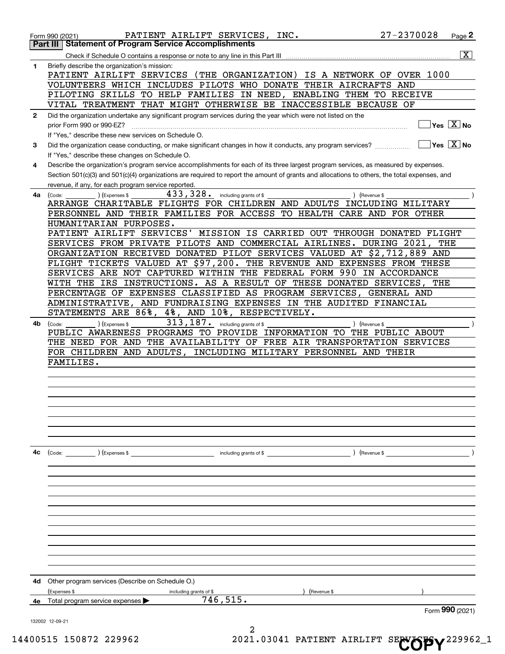|              | PATIENT AIRLIFT SERVICES, INC.<br>Form 990 (2021)                                                                                             | 27-2370028                | Page 2                                                          |
|--------------|-----------------------------------------------------------------------------------------------------------------------------------------------|---------------------------|-----------------------------------------------------------------|
|              | <b>Statement of Program Service Accomplishments</b><br>Part III                                                                               |                           |                                                                 |
|              |                                                                                                                                               |                           | $\overline{\mathbf{x}}$                                         |
| 1            | Briefly describe the organization's mission:<br>PATIENT AIRLIFT SERVICES (THE ORGANIZATION)                                                   | IS A NETWORK OF OVER 1000 |                                                                 |
|              | VOLUNTEERS WHICH INCLUDES PILOTS WHO DONATE THEIR AIRCRAFTS                                                                                   | AND                       |                                                                 |
|              | PILOTING SKILLS TO HELP FAMILIES IN NEED, ENABLING THEM TO RECEIVE                                                                            |                           |                                                                 |
|              | VITAL TREATMENT THAT MIGHT OTHERWISE BE INACCESSIBLE BECAUSE OF                                                                               |                           |                                                                 |
| $\mathbf{2}$ | Did the organization undertake any significant program services during the year which were not listed on the                                  |                           |                                                                 |
|              | prior Form 990 or 990-EZ?                                                                                                                     |                           | $\overline{\mathsf{Yes} \mathrel{\hspace{0.5pt}\mathsf{X}}}$ No |
|              | If "Yes," describe these new services on Schedule O.                                                                                          |                           |                                                                 |
| 3            | Did the organization cease conducting, or make significant changes in how it conducts, any program services?                                  |                           | $ Yes X $ No                                                    |
|              | If "Yes," describe these changes on Schedule O.                                                                                               |                           |                                                                 |
| 4            | Describe the organization's program service accomplishments for each of its three largest program services, as measured by expenses.          |                           |                                                                 |
|              | Section 501(c)(3) and 501(c)(4) organizations are required to report the amount of grants and allocations to others, the total expenses, and  |                           |                                                                 |
|              | revenue, if any, for each program service reported.<br>433,328.                                                                               |                           |                                                                 |
| 4a           | including grants of \$<br>(Expenses \$<br>(Code:<br>ARRANGE CHARITABLE FLIGHTS FOR CHILDREN AND ADULTS INCLUDING MILITARY                     | ) (Revenue \$             |                                                                 |
|              | PERSONNEL AND THEIR FAMILIES FOR ACCESS TO HEALTH CARE AND FOR OTHER                                                                          |                           |                                                                 |
|              | HUMANITARIAN PURPOSES.                                                                                                                        |                           |                                                                 |
|              | PATIENT AIRLIFT SERVICES' MISSION IS CARRIED OUT THROUGH DONATED FLIGHT                                                                       |                           |                                                                 |
|              | SERVICES FROM PRIVATE PILOTS AND COMMERCIAL AIRLINES. DURING 2021,                                                                            | THE                       |                                                                 |
|              | ORGANIZATION RECEIVED DONATED PILOT SERVICES VALUED AT \$2,712,889 AND                                                                        |                           |                                                                 |
|              | FLIGHT TICKETS VALUED AT \$97,200. THE REVENUE AND EXPENSES FROM THESE                                                                        |                           |                                                                 |
|              | SERVICES ARE NOT CAPTURED WITHIN THE FEDERAL FORM 990 IN ACCORDANCE                                                                           |                           |                                                                 |
|              | INSTRUCTIONS. AS A RESULT OF THESE DONATED SERVICES,<br>IRS<br>WITH THE<br>PERCENTAGE OF EXPENSES CLASSIFIED AS PROGRAM SERVICES, GENERAL AND | THE                       |                                                                 |
|              | ADMINISTRATIVE, AND FUNDRAISING EXPENSES IN THE AUDITED FINANCIAL                                                                             |                           |                                                                 |
|              | 86%,<br>4%, AND 10%, RESPECTIVELY.<br>STATEMENTS ARE                                                                                          |                           |                                                                 |
| 4b.          | 313, 187.<br>including grants of \$<br>(Expenses \$<br>(Code:                                                                                 | ) (Revenue \$             |                                                                 |
|              | PUBLIC AWARENESS PROGRAMS TO PROVIDE INFORMATION TO THE PUBLIC ABOUT                                                                          |                           |                                                                 |
|              | THE AVAILABILITY OF FREE AIR TRANSPORTATION SERVICES<br>THE NEED FOR AND                                                                      |                           |                                                                 |
|              | FOR CHILDREN AND ADULTS, INCLUDING MILITARY PERSONNEL AND THEIR                                                                               |                           |                                                                 |
|              | FAMILIES.                                                                                                                                     |                           |                                                                 |
|              |                                                                                                                                               |                           |                                                                 |
|              |                                                                                                                                               |                           |                                                                 |
|              |                                                                                                                                               |                           |                                                                 |
|              |                                                                                                                                               |                           |                                                                 |
|              |                                                                                                                                               |                           |                                                                 |
|              |                                                                                                                                               |                           |                                                                 |
|              |                                                                                                                                               |                           |                                                                 |
| 4c           | $\text{(Code:} \qquad \qquad \text{)} \text{ (Express } $$<br>including grants of $$$                                                         | $($ Revenue \$            |                                                                 |
|              |                                                                                                                                               |                           |                                                                 |
|              |                                                                                                                                               |                           |                                                                 |
|              |                                                                                                                                               |                           |                                                                 |
|              |                                                                                                                                               |                           |                                                                 |
|              |                                                                                                                                               |                           |                                                                 |
|              |                                                                                                                                               |                           |                                                                 |
|              |                                                                                                                                               |                           |                                                                 |
|              |                                                                                                                                               |                           |                                                                 |
|              |                                                                                                                                               |                           |                                                                 |
|              |                                                                                                                                               |                           |                                                                 |
|              |                                                                                                                                               |                           |                                                                 |
| 4d           | Other program services (Describe on Schedule O.)                                                                                              |                           |                                                                 |
|              | (Expenses \$<br>(Revenue \$<br>including grants of \$<br>746, 515.                                                                            |                           |                                                                 |
| 4е           | Total program service expenses                                                                                                                |                           | Form $990$ (2021)                                               |
|              | 132002 12-09-21                                                                                                                               |                           |                                                                 |
|              |                                                                                                                                               |                           |                                                                 |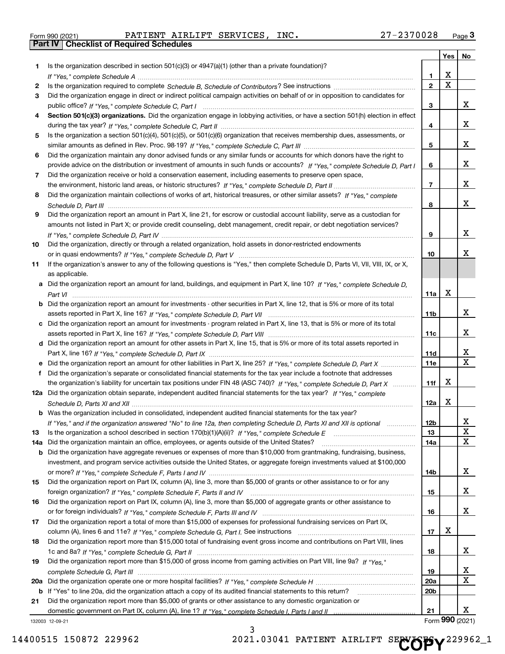|  | Form 990 (2021) |
|--|-----------------|

Form 990 (2021) PATIENT AIRLIFT SERVICES, INC**.** 27-2370028 <sub>Page</sub> 3<br><mark>Part IV | Checklist of Required Schedules</mark>

| Is the organization described in section $501(c)(3)$ or $4947(a)(1)$ (other than a private foundation)?<br>1.<br>X<br>1.<br>$\overline{\mathbf{x}}$<br>$\overline{2}$<br>2<br>Did the organization engage in direct or indirect political campaign activities on behalf of or in opposition to candidates for<br>3<br>3<br>Section 501(c)(3) organizations. Did the organization engage in lobbying activities, or have a section 501(h) election in effect<br>4<br>4<br>Is the organization a section 501(c)(4), 501(c)(5), or 501(c)(6) organization that receives membership dues, assessments, or<br>5<br>5<br>Did the organization maintain any donor advised funds or any similar funds or accounts for which donors have the right to<br>6<br>6<br>provide advice on the distribution or investment of amounts in such funds or accounts? If "Yes," complete Schedule D, Part I<br>Did the organization receive or hold a conservation easement, including easements to preserve open space,<br>7<br>$\overline{7}$<br>Did the organization maintain collections of works of art, historical treasures, or other similar assets? If "Yes," complete<br>8<br>8<br>Did the organization report an amount in Part X, line 21, for escrow or custodial account liability, serve as a custodian for<br>9<br>amounts not listed in Part X; or provide credit counseling, debt management, credit repair, or debt negotiation services?<br>9<br>Did the organization, directly or through a related organization, hold assets in donor-restricted endowments<br>10<br>10<br>If the organization's answer to any of the following questions is "Yes," then complete Schedule D, Parts VI, VII, VIII, IX, or X,<br>11<br>as applicable.<br>a Did the organization report an amount for land, buildings, and equipment in Part X, line 10? If "Yes," complete Schedule D,<br>X<br>11a<br><b>b</b> Did the organization report an amount for investments - other securities in Part X, line 12, that is 5% or more of its total<br>11b<br>c Did the organization report an amount for investments - program related in Part X, line 13, that is 5% or more of its total<br>11c<br>d Did the organization report an amount for other assets in Part X, line 15, that is 5% or more of its total assets reported in<br>11d<br><b>11e</b><br>e Did the organization report an amount for other liabilities in Part X, line 25? If "Yes," complete Schedule D, Part X<br>Did the organization's separate or consolidated financial statements for the tax year include a footnote that addresses<br>f<br>X<br>the organization's liability for uncertain tax positions under FIN 48 (ASC 740)? If "Yes," complete Schedule D, Part X<br>11f<br>12a Did the organization obtain separate, independent audited financial statements for the tax year? If "Yes," complete<br>X<br>12a<br><b>b</b> Was the organization included in consolidated, independent audited financial statements for the tax year?<br>If "Yes," and if the organization answered "No" to line 12a, then completing Schedule D, Parts XI and XII is optional<br>12b<br>13<br>13<br>Did the organization maintain an office, employees, or agents outside of the United States?<br>14a<br>14a<br>Did the organization have aggregate revenues or expenses of more than \$10,000 from grantmaking, fundraising, business,<br>b<br>investment, and program service activities outside the United States, or aggregate foreign investments valued at \$100,000<br>14b<br>Did the organization report on Part IX, column (A), line 3, more than \$5,000 of grants or other assistance to or for any<br>15<br>15<br>Did the organization report on Part IX, column (A), line 3, more than \$5,000 of aggregate grants or other assistance to<br>16<br>16<br>Did the organization report a total of more than \$15,000 of expenses for professional fundraising services on Part IX,<br>17<br>х<br>17<br>Did the organization report more than \$15,000 total of fundraising event gross income and contributions on Part VIII, lines<br>18<br>18<br>Did the organization report more than \$15,000 of gross income from gaming activities on Part VIII, line 9a? If "Yes."<br>19<br>19<br>20a<br>b If "Yes" to line 20a, did the organization attach a copy of its audited financial statements to this return?<br>20 <sub>b</sub><br>Did the organization report more than \$5,000 of grants or other assistance to any domestic organization or<br>21<br>Form 990 (2021) |   | Yes | No                      |
|-----------------------------------------------------------------------------------------------------------------------------------------------------------------------------------------------------------------------------------------------------------------------------------------------------------------------------------------------------------------------------------------------------------------------------------------------------------------------------------------------------------------------------------------------------------------------------------------------------------------------------------------------------------------------------------------------------------------------------------------------------------------------------------------------------------------------------------------------------------------------------------------------------------------------------------------------------------------------------------------------------------------------------------------------------------------------------------------------------------------------------------------------------------------------------------------------------------------------------------------------------------------------------------------------------------------------------------------------------------------------------------------------------------------------------------------------------------------------------------------------------------------------------------------------------------------------------------------------------------------------------------------------------------------------------------------------------------------------------------------------------------------------------------------------------------------------------------------------------------------------------------------------------------------------------------------------------------------------------------------------------------------------------------------------------------------------------------------------------------------------------------------------------------------------------------------------------------------------------------------------------------------------------------------------------------------------------------------------------------------------------------------------------------------------------------------------------------------------------------------------------------------------------------------------------------------------------------------------------------------------------------------------------------------------------------------------------------------------------------------------------------------------------------------------------------------------------------------------------------------------------------------------------------------------------------------------------------------------------------------------------------------------------------------------------------------------------------------------------------------------------------------------------------------------------------------------------------------------------------------------------------------------------------------------------------------------------------------------------------------------------------------------------------------------------------------------------------------------------------------------------------------------------------------------------------------------------------------------------------------------------------------------------------------------------------------------------------------------------------------------------------------------------------------------------------------------------------------------------------------------------------------------------------------------------------------------------------------------------------------------------------------------------------------------------------------------------------------------------------------------------------------------------------------------------------------------------------------------------------------------------------------------------------------------------------------------------------------------------------------------------------------------------------------------------------------------------------------------------------------------------------------------------------|---|-----|-------------------------|
|                                                                                                                                                                                                                                                                                                                                                                                                                                                                                                                                                                                                                                                                                                                                                                                                                                                                                                                                                                                                                                                                                                                                                                                                                                                                                                                                                                                                                                                                                                                                                                                                                                                                                                                                                                                                                                                                                                                                                                                                                                                                                                                                                                                                                                                                                                                                                                                                                                                                                                                                                                                                                                                                                                                                                                                                                                                                                                                                                                                                                                                                                                                                                                                                                                                                                                                                                                                                                                                                                                                                                                                                                                                                                                                                                                                                                                                                                                                                                                                                                                                                                                                                                                                                                                                                                                                                                                                                                                                                                                                                   |   |     |                         |
|                                                                                                                                                                                                                                                                                                                                                                                                                                                                                                                                                                                                                                                                                                                                                                                                                                                                                                                                                                                                                                                                                                                                                                                                                                                                                                                                                                                                                                                                                                                                                                                                                                                                                                                                                                                                                                                                                                                                                                                                                                                                                                                                                                                                                                                                                                                                                                                                                                                                                                                                                                                                                                                                                                                                                                                                                                                                                                                                                                                                                                                                                                                                                                                                                                                                                                                                                                                                                                                                                                                                                                                                                                                                                                                                                                                                                                                                                                                                                                                                                                                                                                                                                                                                                                                                                                                                                                                                                                                                                                                                   |   |     |                         |
|                                                                                                                                                                                                                                                                                                                                                                                                                                                                                                                                                                                                                                                                                                                                                                                                                                                                                                                                                                                                                                                                                                                                                                                                                                                                                                                                                                                                                                                                                                                                                                                                                                                                                                                                                                                                                                                                                                                                                                                                                                                                                                                                                                                                                                                                                                                                                                                                                                                                                                                                                                                                                                                                                                                                                                                                                                                                                                                                                                                                                                                                                                                                                                                                                                                                                                                                                                                                                                                                                                                                                                                                                                                                                                                                                                                                                                                                                                                                                                                                                                                                                                                                                                                                                                                                                                                                                                                                                                                                                                                                   |   |     |                         |
| 20a<br>21<br>132003 12-09-21                                                                                                                                                                                                                                                                                                                                                                                                                                                                                                                                                                                                                                                                                                                                                                                                                                                                                                                                                                                                                                                                                                                                                                                                                                                                                                                                                                                                                                                                                                                                                                                                                                                                                                                                                                                                                                                                                                                                                                                                                                                                                                                                                                                                                                                                                                                                                                                                                                                                                                                                                                                                                                                                                                                                                                                                                                                                                                                                                                                                                                                                                                                                                                                                                                                                                                                                                                                                                                                                                                                                                                                                                                                                                                                                                                                                                                                                                                                                                                                                                                                                                                                                                                                                                                                                                                                                                                                                                                                                                                      |   |     |                         |
|                                                                                                                                                                                                                                                                                                                                                                                                                                                                                                                                                                                                                                                                                                                                                                                                                                                                                                                                                                                                                                                                                                                                                                                                                                                                                                                                                                                                                                                                                                                                                                                                                                                                                                                                                                                                                                                                                                                                                                                                                                                                                                                                                                                                                                                                                                                                                                                                                                                                                                                                                                                                                                                                                                                                                                                                                                                                                                                                                                                                                                                                                                                                                                                                                                                                                                                                                                                                                                                                                                                                                                                                                                                                                                                                                                                                                                                                                                                                                                                                                                                                                                                                                                                                                                                                                                                                                                                                                                                                                                                                   |   |     | x                       |
|                                                                                                                                                                                                                                                                                                                                                                                                                                                                                                                                                                                                                                                                                                                                                                                                                                                                                                                                                                                                                                                                                                                                                                                                                                                                                                                                                                                                                                                                                                                                                                                                                                                                                                                                                                                                                                                                                                                                                                                                                                                                                                                                                                                                                                                                                                                                                                                                                                                                                                                                                                                                                                                                                                                                                                                                                                                                                                                                                                                                                                                                                                                                                                                                                                                                                                                                                                                                                                                                                                                                                                                                                                                                                                                                                                                                                                                                                                                                                                                                                                                                                                                                                                                                                                                                                                                                                                                                                                                                                                                                   |   |     |                         |
|                                                                                                                                                                                                                                                                                                                                                                                                                                                                                                                                                                                                                                                                                                                                                                                                                                                                                                                                                                                                                                                                                                                                                                                                                                                                                                                                                                                                                                                                                                                                                                                                                                                                                                                                                                                                                                                                                                                                                                                                                                                                                                                                                                                                                                                                                                                                                                                                                                                                                                                                                                                                                                                                                                                                                                                                                                                                                                                                                                                                                                                                                                                                                                                                                                                                                                                                                                                                                                                                                                                                                                                                                                                                                                                                                                                                                                                                                                                                                                                                                                                                                                                                                                                                                                                                                                                                                                                                                                                                                                                                   |   |     | x                       |
|                                                                                                                                                                                                                                                                                                                                                                                                                                                                                                                                                                                                                                                                                                                                                                                                                                                                                                                                                                                                                                                                                                                                                                                                                                                                                                                                                                                                                                                                                                                                                                                                                                                                                                                                                                                                                                                                                                                                                                                                                                                                                                                                                                                                                                                                                                                                                                                                                                                                                                                                                                                                                                                                                                                                                                                                                                                                                                                                                                                                                                                                                                                                                                                                                                                                                                                                                                                                                                                                                                                                                                                                                                                                                                                                                                                                                                                                                                                                                                                                                                                                                                                                                                                                                                                                                                                                                                                                                                                                                                                                   |   |     |                         |
|                                                                                                                                                                                                                                                                                                                                                                                                                                                                                                                                                                                                                                                                                                                                                                                                                                                                                                                                                                                                                                                                                                                                                                                                                                                                                                                                                                                                                                                                                                                                                                                                                                                                                                                                                                                                                                                                                                                                                                                                                                                                                                                                                                                                                                                                                                                                                                                                                                                                                                                                                                                                                                                                                                                                                                                                                                                                                                                                                                                                                                                                                                                                                                                                                                                                                                                                                                                                                                                                                                                                                                                                                                                                                                                                                                                                                                                                                                                                                                                                                                                                                                                                                                                                                                                                                                                                                                                                                                                                                                                                   |   |     | x                       |
|                                                                                                                                                                                                                                                                                                                                                                                                                                                                                                                                                                                                                                                                                                                                                                                                                                                                                                                                                                                                                                                                                                                                                                                                                                                                                                                                                                                                                                                                                                                                                                                                                                                                                                                                                                                                                                                                                                                                                                                                                                                                                                                                                                                                                                                                                                                                                                                                                                                                                                                                                                                                                                                                                                                                                                                                                                                                                                                                                                                                                                                                                                                                                                                                                                                                                                                                                                                                                                                                                                                                                                                                                                                                                                                                                                                                                                                                                                                                                                                                                                                                                                                                                                                                                                                                                                                                                                                                                                                                                                                                   |   |     |                         |
|                                                                                                                                                                                                                                                                                                                                                                                                                                                                                                                                                                                                                                                                                                                                                                                                                                                                                                                                                                                                                                                                                                                                                                                                                                                                                                                                                                                                                                                                                                                                                                                                                                                                                                                                                                                                                                                                                                                                                                                                                                                                                                                                                                                                                                                                                                                                                                                                                                                                                                                                                                                                                                                                                                                                                                                                                                                                                                                                                                                                                                                                                                                                                                                                                                                                                                                                                                                                                                                                                                                                                                                                                                                                                                                                                                                                                                                                                                                                                                                                                                                                                                                                                                                                                                                                                                                                                                                                                                                                                                                                   |   |     | X.                      |
|                                                                                                                                                                                                                                                                                                                                                                                                                                                                                                                                                                                                                                                                                                                                                                                                                                                                                                                                                                                                                                                                                                                                                                                                                                                                                                                                                                                                                                                                                                                                                                                                                                                                                                                                                                                                                                                                                                                                                                                                                                                                                                                                                                                                                                                                                                                                                                                                                                                                                                                                                                                                                                                                                                                                                                                                                                                                                                                                                                                                                                                                                                                                                                                                                                                                                                                                                                                                                                                                                                                                                                                                                                                                                                                                                                                                                                                                                                                                                                                                                                                                                                                                                                                                                                                                                                                                                                                                                                                                                                                                   |   |     |                         |
|                                                                                                                                                                                                                                                                                                                                                                                                                                                                                                                                                                                                                                                                                                                                                                                                                                                                                                                                                                                                                                                                                                                                                                                                                                                                                                                                                                                                                                                                                                                                                                                                                                                                                                                                                                                                                                                                                                                                                                                                                                                                                                                                                                                                                                                                                                                                                                                                                                                                                                                                                                                                                                                                                                                                                                                                                                                                                                                                                                                                                                                                                                                                                                                                                                                                                                                                                                                                                                                                                                                                                                                                                                                                                                                                                                                                                                                                                                                                                                                                                                                                                                                                                                                                                                                                                                                                                                                                                                                                                                                                   |   |     | X.                      |
|                                                                                                                                                                                                                                                                                                                                                                                                                                                                                                                                                                                                                                                                                                                                                                                                                                                                                                                                                                                                                                                                                                                                                                                                                                                                                                                                                                                                                                                                                                                                                                                                                                                                                                                                                                                                                                                                                                                                                                                                                                                                                                                                                                                                                                                                                                                                                                                                                                                                                                                                                                                                                                                                                                                                                                                                                                                                                                                                                                                                                                                                                                                                                                                                                                                                                                                                                                                                                                                                                                                                                                                                                                                                                                                                                                                                                                                                                                                                                                                                                                                                                                                                                                                                                                                                                                                                                                                                                                                                                                                                   |   |     |                         |
|                                                                                                                                                                                                                                                                                                                                                                                                                                                                                                                                                                                                                                                                                                                                                                                                                                                                                                                                                                                                                                                                                                                                                                                                                                                                                                                                                                                                                                                                                                                                                                                                                                                                                                                                                                                                                                                                                                                                                                                                                                                                                                                                                                                                                                                                                                                                                                                                                                                                                                                                                                                                                                                                                                                                                                                                                                                                                                                                                                                                                                                                                                                                                                                                                                                                                                                                                                                                                                                                                                                                                                                                                                                                                                                                                                                                                                                                                                                                                                                                                                                                                                                                                                                                                                                                                                                                                                                                                                                                                                                                   |   |     | X.                      |
|                                                                                                                                                                                                                                                                                                                                                                                                                                                                                                                                                                                                                                                                                                                                                                                                                                                                                                                                                                                                                                                                                                                                                                                                                                                                                                                                                                                                                                                                                                                                                                                                                                                                                                                                                                                                                                                                                                                                                                                                                                                                                                                                                                                                                                                                                                                                                                                                                                                                                                                                                                                                                                                                                                                                                                                                                                                                                                                                                                                                                                                                                                                                                                                                                                                                                                                                                                                                                                                                                                                                                                                                                                                                                                                                                                                                                                                                                                                                                                                                                                                                                                                                                                                                                                                                                                                                                                                                                                                                                                                                   |   |     |                         |
|                                                                                                                                                                                                                                                                                                                                                                                                                                                                                                                                                                                                                                                                                                                                                                                                                                                                                                                                                                                                                                                                                                                                                                                                                                                                                                                                                                                                                                                                                                                                                                                                                                                                                                                                                                                                                                                                                                                                                                                                                                                                                                                                                                                                                                                                                                                                                                                                                                                                                                                                                                                                                                                                                                                                                                                                                                                                                                                                                                                                                                                                                                                                                                                                                                                                                                                                                                                                                                                                                                                                                                                                                                                                                                                                                                                                                                                                                                                                                                                                                                                                                                                                                                                                                                                                                                                                                                                                                                                                                                                                   |   |     |                         |
|                                                                                                                                                                                                                                                                                                                                                                                                                                                                                                                                                                                                                                                                                                                                                                                                                                                                                                                                                                                                                                                                                                                                                                                                                                                                                                                                                                                                                                                                                                                                                                                                                                                                                                                                                                                                                                                                                                                                                                                                                                                                                                                                                                                                                                                                                                                                                                                                                                                                                                                                                                                                                                                                                                                                                                                                                                                                                                                                                                                                                                                                                                                                                                                                                                                                                                                                                                                                                                                                                                                                                                                                                                                                                                                                                                                                                                                                                                                                                                                                                                                                                                                                                                                                                                                                                                                                                                                                                                                                                                                                   |   |     | X.                      |
|                                                                                                                                                                                                                                                                                                                                                                                                                                                                                                                                                                                                                                                                                                                                                                                                                                                                                                                                                                                                                                                                                                                                                                                                                                                                                                                                                                                                                                                                                                                                                                                                                                                                                                                                                                                                                                                                                                                                                                                                                                                                                                                                                                                                                                                                                                                                                                                                                                                                                                                                                                                                                                                                                                                                                                                                                                                                                                                                                                                                                                                                                                                                                                                                                                                                                                                                                                                                                                                                                                                                                                                                                                                                                                                                                                                                                                                                                                                                                                                                                                                                                                                                                                                                                                                                                                                                                                                                                                                                                                                                   |   |     |                         |
|                                                                                                                                                                                                                                                                                                                                                                                                                                                                                                                                                                                                                                                                                                                                                                                                                                                                                                                                                                                                                                                                                                                                                                                                                                                                                                                                                                                                                                                                                                                                                                                                                                                                                                                                                                                                                                                                                                                                                                                                                                                                                                                                                                                                                                                                                                                                                                                                                                                                                                                                                                                                                                                                                                                                                                                                                                                                                                                                                                                                                                                                                                                                                                                                                                                                                                                                                                                                                                                                                                                                                                                                                                                                                                                                                                                                                                                                                                                                                                                                                                                                                                                                                                                                                                                                                                                                                                                                                                                                                                                                   |   |     | x                       |
|                                                                                                                                                                                                                                                                                                                                                                                                                                                                                                                                                                                                                                                                                                                                                                                                                                                                                                                                                                                                                                                                                                                                                                                                                                                                                                                                                                                                                                                                                                                                                                                                                                                                                                                                                                                                                                                                                                                                                                                                                                                                                                                                                                                                                                                                                                                                                                                                                                                                                                                                                                                                                                                                                                                                                                                                                                                                                                                                                                                                                                                                                                                                                                                                                                                                                                                                                                                                                                                                                                                                                                                                                                                                                                                                                                                                                                                                                                                                                                                                                                                                                                                                                                                                                                                                                                                                                                                                                                                                                                                                   |   |     |                         |
|                                                                                                                                                                                                                                                                                                                                                                                                                                                                                                                                                                                                                                                                                                                                                                                                                                                                                                                                                                                                                                                                                                                                                                                                                                                                                                                                                                                                                                                                                                                                                                                                                                                                                                                                                                                                                                                                                                                                                                                                                                                                                                                                                                                                                                                                                                                                                                                                                                                                                                                                                                                                                                                                                                                                                                                                                                                                                                                                                                                                                                                                                                                                                                                                                                                                                                                                                                                                                                                                                                                                                                                                                                                                                                                                                                                                                                                                                                                                                                                                                                                                                                                                                                                                                                                                                                                                                                                                                                                                                                                                   |   |     |                         |
|                                                                                                                                                                                                                                                                                                                                                                                                                                                                                                                                                                                                                                                                                                                                                                                                                                                                                                                                                                                                                                                                                                                                                                                                                                                                                                                                                                                                                                                                                                                                                                                                                                                                                                                                                                                                                                                                                                                                                                                                                                                                                                                                                                                                                                                                                                                                                                                                                                                                                                                                                                                                                                                                                                                                                                                                                                                                                                                                                                                                                                                                                                                                                                                                                                                                                                                                                                                                                                                                                                                                                                                                                                                                                                                                                                                                                                                                                                                                                                                                                                                                                                                                                                                                                                                                                                                                                                                                                                                                                                                                   |   |     |                         |
|                                                                                                                                                                                                                                                                                                                                                                                                                                                                                                                                                                                                                                                                                                                                                                                                                                                                                                                                                                                                                                                                                                                                                                                                                                                                                                                                                                                                                                                                                                                                                                                                                                                                                                                                                                                                                                                                                                                                                                                                                                                                                                                                                                                                                                                                                                                                                                                                                                                                                                                                                                                                                                                                                                                                                                                                                                                                                                                                                                                                                                                                                                                                                                                                                                                                                                                                                                                                                                                                                                                                                                                                                                                                                                                                                                                                                                                                                                                                                                                                                                                                                                                                                                                                                                                                                                                                                                                                                                                                                                                                   |   |     |                         |
|                                                                                                                                                                                                                                                                                                                                                                                                                                                                                                                                                                                                                                                                                                                                                                                                                                                                                                                                                                                                                                                                                                                                                                                                                                                                                                                                                                                                                                                                                                                                                                                                                                                                                                                                                                                                                                                                                                                                                                                                                                                                                                                                                                                                                                                                                                                                                                                                                                                                                                                                                                                                                                                                                                                                                                                                                                                                                                                                                                                                                                                                                                                                                                                                                                                                                                                                                                                                                                                                                                                                                                                                                                                                                                                                                                                                                                                                                                                                                                                                                                                                                                                                                                                                                                                                                                                                                                                                                                                                                                                                   |   |     | x                       |
|                                                                                                                                                                                                                                                                                                                                                                                                                                                                                                                                                                                                                                                                                                                                                                                                                                                                                                                                                                                                                                                                                                                                                                                                                                                                                                                                                                                                                                                                                                                                                                                                                                                                                                                                                                                                                                                                                                                                                                                                                                                                                                                                                                                                                                                                                                                                                                                                                                                                                                                                                                                                                                                                                                                                                                                                                                                                                                                                                                                                                                                                                                                                                                                                                                                                                                                                                                                                                                                                                                                                                                                                                                                                                                                                                                                                                                                                                                                                                                                                                                                                                                                                                                                                                                                                                                                                                                                                                                                                                                                                   |   |     |                         |
|                                                                                                                                                                                                                                                                                                                                                                                                                                                                                                                                                                                                                                                                                                                                                                                                                                                                                                                                                                                                                                                                                                                                                                                                                                                                                                                                                                                                                                                                                                                                                                                                                                                                                                                                                                                                                                                                                                                                                                                                                                                                                                                                                                                                                                                                                                                                                                                                                                                                                                                                                                                                                                                                                                                                                                                                                                                                                                                                                                                                                                                                                                                                                                                                                                                                                                                                                                                                                                                                                                                                                                                                                                                                                                                                                                                                                                                                                                                                                                                                                                                                                                                                                                                                                                                                                                                                                                                                                                                                                                                                   |   |     | X.                      |
|                                                                                                                                                                                                                                                                                                                                                                                                                                                                                                                                                                                                                                                                                                                                                                                                                                                                                                                                                                                                                                                                                                                                                                                                                                                                                                                                                                                                                                                                                                                                                                                                                                                                                                                                                                                                                                                                                                                                                                                                                                                                                                                                                                                                                                                                                                                                                                                                                                                                                                                                                                                                                                                                                                                                                                                                                                                                                                                                                                                                                                                                                                                                                                                                                                                                                                                                                                                                                                                                                                                                                                                                                                                                                                                                                                                                                                                                                                                                                                                                                                                                                                                                                                                                                                                                                                                                                                                                                                                                                                                                   |   |     |                         |
|                                                                                                                                                                                                                                                                                                                                                                                                                                                                                                                                                                                                                                                                                                                                                                                                                                                                                                                                                                                                                                                                                                                                                                                                                                                                                                                                                                                                                                                                                                                                                                                                                                                                                                                                                                                                                                                                                                                                                                                                                                                                                                                                                                                                                                                                                                                                                                                                                                                                                                                                                                                                                                                                                                                                                                                                                                                                                                                                                                                                                                                                                                                                                                                                                                                                                                                                                                                                                                                                                                                                                                                                                                                                                                                                                                                                                                                                                                                                                                                                                                                                                                                                                                                                                                                                                                                                                                                                                                                                                                                                   |   |     | х                       |
|                                                                                                                                                                                                                                                                                                                                                                                                                                                                                                                                                                                                                                                                                                                                                                                                                                                                                                                                                                                                                                                                                                                                                                                                                                                                                                                                                                                                                                                                                                                                                                                                                                                                                                                                                                                                                                                                                                                                                                                                                                                                                                                                                                                                                                                                                                                                                                                                                                                                                                                                                                                                                                                                                                                                                                                                                                                                                                                                                                                                                                                                                                                                                                                                                                                                                                                                                                                                                                                                                                                                                                                                                                                                                                                                                                                                                                                                                                                                                                                                                                                                                                                                                                                                                                                                                                                                                                                                                                                                                                                                   |   |     | $\overline{\mathbf{x}}$ |
|                                                                                                                                                                                                                                                                                                                                                                                                                                                                                                                                                                                                                                                                                                                                                                                                                                                                                                                                                                                                                                                                                                                                                                                                                                                                                                                                                                                                                                                                                                                                                                                                                                                                                                                                                                                                                                                                                                                                                                                                                                                                                                                                                                                                                                                                                                                                                                                                                                                                                                                                                                                                                                                                                                                                                                                                                                                                                                                                                                                                                                                                                                                                                                                                                                                                                                                                                                                                                                                                                                                                                                                                                                                                                                                                                                                                                                                                                                                                                                                                                                                                                                                                                                                                                                                                                                                                                                                                                                                                                                                                   |   |     |                         |
|                                                                                                                                                                                                                                                                                                                                                                                                                                                                                                                                                                                                                                                                                                                                                                                                                                                                                                                                                                                                                                                                                                                                                                                                                                                                                                                                                                                                                                                                                                                                                                                                                                                                                                                                                                                                                                                                                                                                                                                                                                                                                                                                                                                                                                                                                                                                                                                                                                                                                                                                                                                                                                                                                                                                                                                                                                                                                                                                                                                                                                                                                                                                                                                                                                                                                                                                                                                                                                                                                                                                                                                                                                                                                                                                                                                                                                                                                                                                                                                                                                                                                                                                                                                                                                                                                                                                                                                                                                                                                                                                   |   |     |                         |
|                                                                                                                                                                                                                                                                                                                                                                                                                                                                                                                                                                                                                                                                                                                                                                                                                                                                                                                                                                                                                                                                                                                                                                                                                                                                                                                                                                                                                                                                                                                                                                                                                                                                                                                                                                                                                                                                                                                                                                                                                                                                                                                                                                                                                                                                                                                                                                                                                                                                                                                                                                                                                                                                                                                                                                                                                                                                                                                                                                                                                                                                                                                                                                                                                                                                                                                                                                                                                                                                                                                                                                                                                                                                                                                                                                                                                                                                                                                                                                                                                                                                                                                                                                                                                                                                                                                                                                                                                                                                                                                                   |   |     |                         |
|                                                                                                                                                                                                                                                                                                                                                                                                                                                                                                                                                                                                                                                                                                                                                                                                                                                                                                                                                                                                                                                                                                                                                                                                                                                                                                                                                                                                                                                                                                                                                                                                                                                                                                                                                                                                                                                                                                                                                                                                                                                                                                                                                                                                                                                                                                                                                                                                                                                                                                                                                                                                                                                                                                                                                                                                                                                                                                                                                                                                                                                                                                                                                                                                                                                                                                                                                                                                                                                                                                                                                                                                                                                                                                                                                                                                                                                                                                                                                                                                                                                                                                                                                                                                                                                                                                                                                                                                                                                                                                                                   |   |     |                         |
|                                                                                                                                                                                                                                                                                                                                                                                                                                                                                                                                                                                                                                                                                                                                                                                                                                                                                                                                                                                                                                                                                                                                                                                                                                                                                                                                                                                                                                                                                                                                                                                                                                                                                                                                                                                                                                                                                                                                                                                                                                                                                                                                                                                                                                                                                                                                                                                                                                                                                                                                                                                                                                                                                                                                                                                                                                                                                                                                                                                                                                                                                                                                                                                                                                                                                                                                                                                                                                                                                                                                                                                                                                                                                                                                                                                                                                                                                                                                                                                                                                                                                                                                                                                                                                                                                                                                                                                                                                                                                                                                   |   |     |                         |
|                                                                                                                                                                                                                                                                                                                                                                                                                                                                                                                                                                                                                                                                                                                                                                                                                                                                                                                                                                                                                                                                                                                                                                                                                                                                                                                                                                                                                                                                                                                                                                                                                                                                                                                                                                                                                                                                                                                                                                                                                                                                                                                                                                                                                                                                                                                                                                                                                                                                                                                                                                                                                                                                                                                                                                                                                                                                                                                                                                                                                                                                                                                                                                                                                                                                                                                                                                                                                                                                                                                                                                                                                                                                                                                                                                                                                                                                                                                                                                                                                                                                                                                                                                                                                                                                                                                                                                                                                                                                                                                                   |   |     | A                       |
|                                                                                                                                                                                                                                                                                                                                                                                                                                                                                                                                                                                                                                                                                                                                                                                                                                                                                                                                                                                                                                                                                                                                                                                                                                                                                                                                                                                                                                                                                                                                                                                                                                                                                                                                                                                                                                                                                                                                                                                                                                                                                                                                                                                                                                                                                                                                                                                                                                                                                                                                                                                                                                                                                                                                                                                                                                                                                                                                                                                                                                                                                                                                                                                                                                                                                                                                                                                                                                                                                                                                                                                                                                                                                                                                                                                                                                                                                                                                                                                                                                                                                                                                                                                                                                                                                                                                                                                                                                                                                                                                   |   |     | X                       |
|                                                                                                                                                                                                                                                                                                                                                                                                                                                                                                                                                                                                                                                                                                                                                                                                                                                                                                                                                                                                                                                                                                                                                                                                                                                                                                                                                                                                                                                                                                                                                                                                                                                                                                                                                                                                                                                                                                                                                                                                                                                                                                                                                                                                                                                                                                                                                                                                                                                                                                                                                                                                                                                                                                                                                                                                                                                                                                                                                                                                                                                                                                                                                                                                                                                                                                                                                                                                                                                                                                                                                                                                                                                                                                                                                                                                                                                                                                                                                                                                                                                                                                                                                                                                                                                                                                                                                                                                                                                                                                                                   |   |     | X                       |
|                                                                                                                                                                                                                                                                                                                                                                                                                                                                                                                                                                                                                                                                                                                                                                                                                                                                                                                                                                                                                                                                                                                                                                                                                                                                                                                                                                                                                                                                                                                                                                                                                                                                                                                                                                                                                                                                                                                                                                                                                                                                                                                                                                                                                                                                                                                                                                                                                                                                                                                                                                                                                                                                                                                                                                                                                                                                                                                                                                                                                                                                                                                                                                                                                                                                                                                                                                                                                                                                                                                                                                                                                                                                                                                                                                                                                                                                                                                                                                                                                                                                                                                                                                                                                                                                                                                                                                                                                                                                                                                                   |   |     |                         |
|                                                                                                                                                                                                                                                                                                                                                                                                                                                                                                                                                                                                                                                                                                                                                                                                                                                                                                                                                                                                                                                                                                                                                                                                                                                                                                                                                                                                                                                                                                                                                                                                                                                                                                                                                                                                                                                                                                                                                                                                                                                                                                                                                                                                                                                                                                                                                                                                                                                                                                                                                                                                                                                                                                                                                                                                                                                                                                                                                                                                                                                                                                                                                                                                                                                                                                                                                                                                                                                                                                                                                                                                                                                                                                                                                                                                                                                                                                                                                                                                                                                                                                                                                                                                                                                                                                                                                                                                                                                                                                                                   |   |     |                         |
|                                                                                                                                                                                                                                                                                                                                                                                                                                                                                                                                                                                                                                                                                                                                                                                                                                                                                                                                                                                                                                                                                                                                                                                                                                                                                                                                                                                                                                                                                                                                                                                                                                                                                                                                                                                                                                                                                                                                                                                                                                                                                                                                                                                                                                                                                                                                                                                                                                                                                                                                                                                                                                                                                                                                                                                                                                                                                                                                                                                                                                                                                                                                                                                                                                                                                                                                                                                                                                                                                                                                                                                                                                                                                                                                                                                                                                                                                                                                                                                                                                                                                                                                                                                                                                                                                                                                                                                                                                                                                                                                   |   |     | x                       |
|                                                                                                                                                                                                                                                                                                                                                                                                                                                                                                                                                                                                                                                                                                                                                                                                                                                                                                                                                                                                                                                                                                                                                                                                                                                                                                                                                                                                                                                                                                                                                                                                                                                                                                                                                                                                                                                                                                                                                                                                                                                                                                                                                                                                                                                                                                                                                                                                                                                                                                                                                                                                                                                                                                                                                                                                                                                                                                                                                                                                                                                                                                                                                                                                                                                                                                                                                                                                                                                                                                                                                                                                                                                                                                                                                                                                                                                                                                                                                                                                                                                                                                                                                                                                                                                                                                                                                                                                                                                                                                                                   |   |     |                         |
|                                                                                                                                                                                                                                                                                                                                                                                                                                                                                                                                                                                                                                                                                                                                                                                                                                                                                                                                                                                                                                                                                                                                                                                                                                                                                                                                                                                                                                                                                                                                                                                                                                                                                                                                                                                                                                                                                                                                                                                                                                                                                                                                                                                                                                                                                                                                                                                                                                                                                                                                                                                                                                                                                                                                                                                                                                                                                                                                                                                                                                                                                                                                                                                                                                                                                                                                                                                                                                                                                                                                                                                                                                                                                                                                                                                                                                                                                                                                                                                                                                                                                                                                                                                                                                                                                                                                                                                                                                                                                                                                   |   |     | x                       |
|                                                                                                                                                                                                                                                                                                                                                                                                                                                                                                                                                                                                                                                                                                                                                                                                                                                                                                                                                                                                                                                                                                                                                                                                                                                                                                                                                                                                                                                                                                                                                                                                                                                                                                                                                                                                                                                                                                                                                                                                                                                                                                                                                                                                                                                                                                                                                                                                                                                                                                                                                                                                                                                                                                                                                                                                                                                                                                                                                                                                                                                                                                                                                                                                                                                                                                                                                                                                                                                                                                                                                                                                                                                                                                                                                                                                                                                                                                                                                                                                                                                                                                                                                                                                                                                                                                                                                                                                                                                                                                                                   |   |     |                         |
|                                                                                                                                                                                                                                                                                                                                                                                                                                                                                                                                                                                                                                                                                                                                                                                                                                                                                                                                                                                                                                                                                                                                                                                                                                                                                                                                                                                                                                                                                                                                                                                                                                                                                                                                                                                                                                                                                                                                                                                                                                                                                                                                                                                                                                                                                                                                                                                                                                                                                                                                                                                                                                                                                                                                                                                                                                                                                                                                                                                                                                                                                                                                                                                                                                                                                                                                                                                                                                                                                                                                                                                                                                                                                                                                                                                                                                                                                                                                                                                                                                                                                                                                                                                                                                                                                                                                                                                                                                                                                                                                   |   |     | x                       |
|                                                                                                                                                                                                                                                                                                                                                                                                                                                                                                                                                                                                                                                                                                                                                                                                                                                                                                                                                                                                                                                                                                                                                                                                                                                                                                                                                                                                                                                                                                                                                                                                                                                                                                                                                                                                                                                                                                                                                                                                                                                                                                                                                                                                                                                                                                                                                                                                                                                                                                                                                                                                                                                                                                                                                                                                                                                                                                                                                                                                                                                                                                                                                                                                                                                                                                                                                                                                                                                                                                                                                                                                                                                                                                                                                                                                                                                                                                                                                                                                                                                                                                                                                                                                                                                                                                                                                                                                                                                                                                                                   |   |     |                         |
|                                                                                                                                                                                                                                                                                                                                                                                                                                                                                                                                                                                                                                                                                                                                                                                                                                                                                                                                                                                                                                                                                                                                                                                                                                                                                                                                                                                                                                                                                                                                                                                                                                                                                                                                                                                                                                                                                                                                                                                                                                                                                                                                                                                                                                                                                                                                                                                                                                                                                                                                                                                                                                                                                                                                                                                                                                                                                                                                                                                                                                                                                                                                                                                                                                                                                                                                                                                                                                                                                                                                                                                                                                                                                                                                                                                                                                                                                                                                                                                                                                                                                                                                                                                                                                                                                                                                                                                                                                                                                                                                   |   |     |                         |
|                                                                                                                                                                                                                                                                                                                                                                                                                                                                                                                                                                                                                                                                                                                                                                                                                                                                                                                                                                                                                                                                                                                                                                                                                                                                                                                                                                                                                                                                                                                                                                                                                                                                                                                                                                                                                                                                                                                                                                                                                                                                                                                                                                                                                                                                                                                                                                                                                                                                                                                                                                                                                                                                                                                                                                                                                                                                                                                                                                                                                                                                                                                                                                                                                                                                                                                                                                                                                                                                                                                                                                                                                                                                                                                                                                                                                                                                                                                                                                                                                                                                                                                                                                                                                                                                                                                                                                                                                                                                                                                                   |   |     |                         |
|                                                                                                                                                                                                                                                                                                                                                                                                                                                                                                                                                                                                                                                                                                                                                                                                                                                                                                                                                                                                                                                                                                                                                                                                                                                                                                                                                                                                                                                                                                                                                                                                                                                                                                                                                                                                                                                                                                                                                                                                                                                                                                                                                                                                                                                                                                                                                                                                                                                                                                                                                                                                                                                                                                                                                                                                                                                                                                                                                                                                                                                                                                                                                                                                                                                                                                                                                                                                                                                                                                                                                                                                                                                                                                                                                                                                                                                                                                                                                                                                                                                                                                                                                                                                                                                                                                                                                                                                                                                                                                                                   |   |     | X.                      |
|                                                                                                                                                                                                                                                                                                                                                                                                                                                                                                                                                                                                                                                                                                                                                                                                                                                                                                                                                                                                                                                                                                                                                                                                                                                                                                                                                                                                                                                                                                                                                                                                                                                                                                                                                                                                                                                                                                                                                                                                                                                                                                                                                                                                                                                                                                                                                                                                                                                                                                                                                                                                                                                                                                                                                                                                                                                                                                                                                                                                                                                                                                                                                                                                                                                                                                                                                                                                                                                                                                                                                                                                                                                                                                                                                                                                                                                                                                                                                                                                                                                                                                                                                                                                                                                                                                                                                                                                                                                                                                                                   |   |     |                         |
|                                                                                                                                                                                                                                                                                                                                                                                                                                                                                                                                                                                                                                                                                                                                                                                                                                                                                                                                                                                                                                                                                                                                                                                                                                                                                                                                                                                                                                                                                                                                                                                                                                                                                                                                                                                                                                                                                                                                                                                                                                                                                                                                                                                                                                                                                                                                                                                                                                                                                                                                                                                                                                                                                                                                                                                                                                                                                                                                                                                                                                                                                                                                                                                                                                                                                                                                                                                                                                                                                                                                                                                                                                                                                                                                                                                                                                                                                                                                                                                                                                                                                                                                                                                                                                                                                                                                                                                                                                                                                                                                   |   |     | x                       |
|                                                                                                                                                                                                                                                                                                                                                                                                                                                                                                                                                                                                                                                                                                                                                                                                                                                                                                                                                                                                                                                                                                                                                                                                                                                                                                                                                                                                                                                                                                                                                                                                                                                                                                                                                                                                                                                                                                                                                                                                                                                                                                                                                                                                                                                                                                                                                                                                                                                                                                                                                                                                                                                                                                                                                                                                                                                                                                                                                                                                                                                                                                                                                                                                                                                                                                                                                                                                                                                                                                                                                                                                                                                                                                                                                                                                                                                                                                                                                                                                                                                                                                                                                                                                                                                                                                                                                                                                                                                                                                                                   |   |     | х                       |
|                                                                                                                                                                                                                                                                                                                                                                                                                                                                                                                                                                                                                                                                                                                                                                                                                                                                                                                                                                                                                                                                                                                                                                                                                                                                                                                                                                                                                                                                                                                                                                                                                                                                                                                                                                                                                                                                                                                                                                                                                                                                                                                                                                                                                                                                                                                                                                                                                                                                                                                                                                                                                                                                                                                                                                                                                                                                                                                                                                                                                                                                                                                                                                                                                                                                                                                                                                                                                                                                                                                                                                                                                                                                                                                                                                                                                                                                                                                                                                                                                                                                                                                                                                                                                                                                                                                                                                                                                                                                                                                                   |   |     |                         |
|                                                                                                                                                                                                                                                                                                                                                                                                                                                                                                                                                                                                                                                                                                                                                                                                                                                                                                                                                                                                                                                                                                                                                                                                                                                                                                                                                                                                                                                                                                                                                                                                                                                                                                                                                                                                                                                                                                                                                                                                                                                                                                                                                                                                                                                                                                                                                                                                                                                                                                                                                                                                                                                                                                                                                                                                                                                                                                                                                                                                                                                                                                                                                                                                                                                                                                                                                                                                                                                                                                                                                                                                                                                                                                                                                                                                                                                                                                                                                                                                                                                                                                                                                                                                                                                                                                                                                                                                                                                                                                                                   |   |     |                         |
|                                                                                                                                                                                                                                                                                                                                                                                                                                                                                                                                                                                                                                                                                                                                                                                                                                                                                                                                                                                                                                                                                                                                                                                                                                                                                                                                                                                                                                                                                                                                                                                                                                                                                                                                                                                                                                                                                                                                                                                                                                                                                                                                                                                                                                                                                                                                                                                                                                                                                                                                                                                                                                                                                                                                                                                                                                                                                                                                                                                                                                                                                                                                                                                                                                                                                                                                                                                                                                                                                                                                                                                                                                                                                                                                                                                                                                                                                                                                                                                                                                                                                                                                                                                                                                                                                                                                                                                                                                                                                                                                   |   |     | X.                      |
|                                                                                                                                                                                                                                                                                                                                                                                                                                                                                                                                                                                                                                                                                                                                                                                                                                                                                                                                                                                                                                                                                                                                                                                                                                                                                                                                                                                                                                                                                                                                                                                                                                                                                                                                                                                                                                                                                                                                                                                                                                                                                                                                                                                                                                                                                                                                                                                                                                                                                                                                                                                                                                                                                                                                                                                                                                                                                                                                                                                                                                                                                                                                                                                                                                                                                                                                                                                                                                                                                                                                                                                                                                                                                                                                                                                                                                                                                                                                                                                                                                                                                                                                                                                                                                                                                                                                                                                                                                                                                                                                   | ર |     |                         |

132003 12-09-21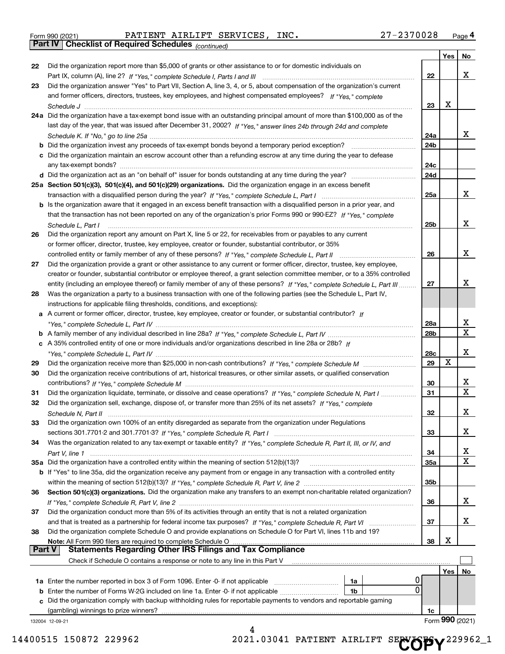|  | Form 990 (2021) |
|--|-----------------|
|  |                 |

*(continued)*

|               |                                                                                                                                    |            | Yes | No              |
|---------------|------------------------------------------------------------------------------------------------------------------------------------|------------|-----|-----------------|
| 22            | Did the organization report more than \$5,000 of grants or other assistance to or for domestic individuals on                      |            |     |                 |
|               |                                                                                                                                    | 22         |     | х               |
| 23            | Did the organization answer "Yes" to Part VII, Section A, line 3, 4, or 5, about compensation of the organization's current        |            |     |                 |
|               | and former officers, directors, trustees, key employees, and highest compensated employees? If "Yes." complete                     |            |     |                 |
|               |                                                                                                                                    | 23         | х   |                 |
|               | 24a Did the organization have a tax-exempt bond issue with an outstanding principal amount of more than \$100,000 as of the        |            |     |                 |
|               | last day of the year, that was issued after December 31, 2002? If "Yes," answer lines 24b through 24d and complete                 |            |     |                 |
|               |                                                                                                                                    | 24a        |     | х               |
|               | <b>b</b> Did the organization invest any proceeds of tax-exempt bonds beyond a temporary period exception?                         | 24b        |     |                 |
|               | c Did the organization maintain an escrow account other than a refunding escrow at any time during the year to defease             |            |     |                 |
|               |                                                                                                                                    | 24c        |     |                 |
|               |                                                                                                                                    | 24d        |     |                 |
|               | 25a Section 501(c)(3), 501(c)(4), and 501(c)(29) organizations. Did the organization engage in an excess benefit                   |            |     |                 |
|               |                                                                                                                                    | 25a        |     | х               |
|               | b Is the organization aware that it engaged in an excess benefit transaction with a disqualified person in a prior year, and       |            |     |                 |
|               | that the transaction has not been reported on any of the organization's prior Forms 990 or 990-EZ? If "Yes," complete              |            |     |                 |
|               | Schedule L, Part I                                                                                                                 | 25b        |     | х               |
| 26            | Did the organization report any amount on Part X, line 5 or 22, for receivables from or payables to any current                    |            |     |                 |
|               | or former officer, director, trustee, key employee, creator or founder, substantial contributor, or 35%                            |            |     |                 |
|               |                                                                                                                                    | 26         |     | х               |
| 27            | Did the organization provide a grant or other assistance to any current or former officer, director, trustee, key employee,        |            |     |                 |
|               | creator or founder, substantial contributor or employee thereof, a grant selection committee member, or to a 35% controlled        |            |     |                 |
|               | entity (including an employee thereof) or family member of any of these persons? If "Yes," complete Schedule L, Part III           | 27         |     | x               |
| 28            | Was the organization a party to a business transaction with one of the following parties (see the Schedule L, Part IV,             |            |     |                 |
|               | instructions for applicable filing thresholds, conditions, and exceptions):                                                        |            |     |                 |
|               | a A current or former officer, director, trustee, key employee, creator or founder, or substantial contributor? If                 |            |     |                 |
|               |                                                                                                                                    | 28a        |     | х               |
|               |                                                                                                                                    | 28b        |     | $\mathbf x$     |
|               | c A 35% controlled entity of one or more individuals and/or organizations described in line 28a or 28b? If                         |            |     |                 |
|               |                                                                                                                                    | 28c        |     | х               |
| 29            |                                                                                                                                    | 29         | х   |                 |
| 30            | Did the organization receive contributions of art, historical treasures, or other similar assets, or qualified conservation        |            |     |                 |
|               |                                                                                                                                    | 30         |     | х               |
| 31            | Did the organization liquidate, terminate, or dissolve and cease operations? If "Yes," complete Schedule N, Part I                 | 31         |     | X               |
| 32            | Did the organization sell, exchange, dispose of, or transfer more than 25% of its net assets? If "Yes," complete                   |            |     |                 |
|               |                                                                                                                                    | 32         |     | х               |
|               | Did the organization own 100% of an entity disregarded as separate from the organization under Regulations                         |            |     |                 |
|               |                                                                                                                                    | 33         |     | х               |
| 34            | Was the organization related to any tax-exempt or taxable entity? If "Yes," complete Schedule R, Part II, III, or IV, and          |            |     |                 |
|               |                                                                                                                                    | 34         |     | x               |
|               | 35a Did the organization have a controlled entity within the meaning of section 512(b)(13)?                                        | <b>35a</b> |     | X               |
|               | <b>b</b> If "Yes" to line 35a, did the organization receive any payment from or engage in any transaction with a controlled entity |            |     |                 |
|               |                                                                                                                                    | 35b        |     |                 |
| 36            | Section 501(c)(3) organizations. Did the organization make any transfers to an exempt non-charitable related organization?         |            |     |                 |
|               |                                                                                                                                    | 36         |     | х               |
| 37            | Did the organization conduct more than 5% of its activities through an entity that is not a related organization                   |            |     |                 |
|               |                                                                                                                                    | 37         |     | х               |
| 38            | Did the organization complete Schedule O and provide explanations on Schedule O for Part VI, lines 11b and 19?                     |            |     |                 |
|               | Note: All Form 990 filers are required to complete Schedule O                                                                      | 38         | х   |                 |
| <b>Part V</b> | <b>Statements Regarding Other IRS Filings and Tax Compliance</b>                                                                   |            |     |                 |
|               | Check if Schedule O contains a response or note to any line in this Part V                                                         |            |     |                 |
|               |                                                                                                                                    |            | Yes | No              |
|               | 1a Enter the number reported in box 3 of Form 1096. Enter -0- if not applicable<br>1a                                              |            |     |                 |
|               | 0<br>1b                                                                                                                            |            |     |                 |
|               | c Did the organization comply with backup withholding rules for reportable payments to vendors and reportable gaming               |            |     |                 |
|               | (gambling) winnings to prize winners?                                                                                              | 1c         |     |                 |
|               | 132004 12-09-21                                                                                                                    |            |     | Form 990 (2021) |
|               | 4                                                                                                                                  |            |     |                 |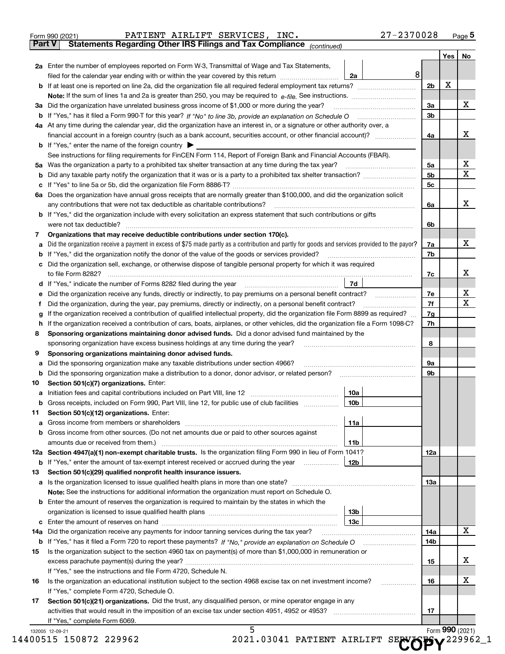|               | PATIENT AIRLIFT SERVICES, INC.<br>Form 990 (2021)                                                                                                                                                                              |                 | 27-2370028 |                |                 | $_{\text{Page}}$ 5 |
|---------------|--------------------------------------------------------------------------------------------------------------------------------------------------------------------------------------------------------------------------------|-----------------|------------|----------------|-----------------|--------------------|
| <b>Part V</b> | Statements Regarding Other IRS Filings and Tax Compliance (continued)                                                                                                                                                          |                 |            |                |                 |                    |
|               |                                                                                                                                                                                                                                |                 |            |                | Yes             | No                 |
|               | 2a Enter the number of employees reported on Form W-3, Transmittal of Wage and Tax Statements,                                                                                                                                 |                 |            |                |                 |                    |
|               | filed for the calendar year ending with or within the year covered by this return                                                                                                                                              | 2a              | 8          |                |                 |                    |
|               |                                                                                                                                                                                                                                |                 |            | 2 <sub>b</sub> | х               |                    |
|               |                                                                                                                                                                                                                                |                 |            |                |                 |                    |
| За            | Did the organization have unrelated business gross income of \$1,000 or more during the year?                                                                                                                                  |                 |            | 3a             |                 | x                  |
|               |                                                                                                                                                                                                                                |                 |            | 3 <sub>b</sub> |                 |                    |
|               | 4a At any time during the calendar year, did the organization have an interest in, or a signature or other authority over, a                                                                                                   |                 |            |                |                 |                    |
|               |                                                                                                                                                                                                                                |                 |            | 4a             |                 | х                  |
|               | <b>b</b> If "Yes," enter the name of the foreign country $\blacktriangleright$                                                                                                                                                 |                 |            |                |                 |                    |
|               | See instructions for filing requirements for FinCEN Form 114, Report of Foreign Bank and Financial Accounts (FBAR).                                                                                                            |                 |            |                |                 |                    |
| 5a            | Was the organization a party to a prohibited tax shelter transaction at any time during the tax year?                                                                                                                          |                 |            | 5a             |                 | х                  |
| b             |                                                                                                                                                                                                                                |                 |            | 5 <sub>b</sub> |                 | X                  |
| с             |                                                                                                                                                                                                                                |                 |            | 5c             |                 |                    |
|               | 6a Does the organization have annual gross receipts that are normally greater than \$100,000, and did the organization solicit                                                                                                 |                 |            |                |                 |                    |
|               | any contributions that were not tax deductible as charitable contributions?                                                                                                                                                    |                 |            | 6a             |                 | x                  |
|               | <b>b</b> If "Yes," did the organization include with every solicitation an express statement that such contributions or gifts                                                                                                  |                 |            |                |                 |                    |
|               | were not tax deductible?                                                                                                                                                                                                       |                 |            | 6b             |                 |                    |
| 7             | Organizations that may receive deductible contributions under section 170(c).                                                                                                                                                  |                 |            |                |                 |                    |
| а             | Did the organization receive a payment in excess of \$75 made partly as a contribution and partly for goods and services provided to the payor?                                                                                |                 |            | 7a             |                 | x                  |
| b             | If "Yes," did the organization notify the donor of the value of the goods or services provided?                                                                                                                                |                 |            | 7b             |                 |                    |
| с             | Did the organization sell, exchange, or otherwise dispose of tangible personal property for which it was required                                                                                                              |                 |            |                |                 |                    |
|               |                                                                                                                                                                                                                                |                 |            | 7c             |                 | x                  |
|               | d If "Yes," indicate the number of Forms 8282 filed during the year [11] [11] The System manuscription of Forms 8282 filed during the year [11] [12] The System manuscription of the Wales of the Wales of the Wales of the Wa | 7d              |            |                |                 |                    |
| е             |                                                                                                                                                                                                                                |                 |            | 7e             |                 | х                  |
| f             | Did the organization, during the year, pay premiums, directly or indirectly, on a personal benefit contract?                                                                                                                   |                 |            | 7f             |                 | х                  |
| g             | If the organization received a contribution of qualified intellectual property, did the organization file Form 8899 as required?                                                                                               |                 |            | 7g             |                 |                    |
| h             | If the organization received a contribution of cars, boats, airplanes, or other vehicles, did the organization file a Form 1098-C?                                                                                             |                 |            | 7h             |                 |                    |
| 8             | Sponsoring organizations maintaining donor advised funds. Did a donor advised fund maintained by the                                                                                                                           |                 |            |                |                 |                    |
|               | sponsoring organization have excess business holdings at any time during the year?                                                                                                                                             |                 |            | 8              |                 |                    |
| 9             | Sponsoring organizations maintaining donor advised funds.                                                                                                                                                                      |                 |            |                |                 |                    |
| а             | Did the sponsoring organization make any taxable distributions under section 4966?                                                                                                                                             |                 |            | 9а             |                 |                    |
| b             | Did the sponsoring organization make a distribution to a donor, donor advisor, or related person?                                                                                                                              |                 |            | 9b             |                 |                    |
| 10            | Section 501(c)(7) organizations. Enter:                                                                                                                                                                                        |                 |            |                |                 |                    |
| а             | Initiation fees and capital contributions included on Part VIII, line 12 [111] [11] [12] [11] [12] [11] [12] [                                                                                                                 | 10a             |            |                |                 |                    |
|               | Gross receipts, included on Form 990, Part VIII, line 12, for public use of club facilities                                                                                                                                    | 10b             |            |                |                 |                    |
| 11            | Section 501(c)(12) organizations. Enter:                                                                                                                                                                                       |                 |            |                |                 |                    |
| a             | Gross income from members or shareholders                                                                                                                                                                                      | 11a             |            |                |                 |                    |
| b             | Gross income from other sources. (Do not net amounts due or paid to other sources against                                                                                                                                      |                 |            |                |                 |                    |
|               |                                                                                                                                                                                                                                | 11 <sub>b</sub> |            |                |                 |                    |
|               | 12a Section 4947(a)(1) non-exempt charitable trusts. Is the organization filing Form 990 in lieu of Form 1041?                                                                                                                 |                 |            | 12a            |                 |                    |
|               | <b>b</b> If "Yes," enter the amount of tax-exempt interest received or accrued during the year <i>manument</i>                                                                                                                 | 12b             |            |                |                 |                    |
| 13            | Section 501(c)(29) qualified nonprofit health insurance issuers.                                                                                                                                                               |                 |            |                |                 |                    |
|               | a Is the organization licensed to issue qualified health plans in more than one state?                                                                                                                                         |                 |            | 13a            |                 |                    |
|               | Note: See the instructions for additional information the organization must report on Schedule O.                                                                                                                              |                 |            |                |                 |                    |
| b             | Enter the amount of reserves the organization is required to maintain by the states in which the                                                                                                                               |                 |            |                |                 |                    |
|               |                                                                                                                                                                                                                                | 13 <sub>b</sub> |            |                |                 |                    |
| с             |                                                                                                                                                                                                                                | 13с             |            |                |                 |                    |
| 14a           | Did the organization receive any payments for indoor tanning services during the tax year?                                                                                                                                     |                 |            | 14a            |                 | x                  |
|               | <b>b</b> If "Yes," has it filed a Form 720 to report these payments? If "No," provide an explanation on Schedule O                                                                                                             |                 |            | 14b            |                 |                    |
| 15            | Is the organization subject to the section 4960 tax on payment(s) of more than \$1,000,000 in remuneration or                                                                                                                  |                 |            |                |                 |                    |
|               |                                                                                                                                                                                                                                |                 |            | 15             |                 | x                  |
|               | If "Yes," see the instructions and file Form 4720, Schedule N.                                                                                                                                                                 |                 |            |                |                 |                    |
| 16            | Is the organization an educational institution subject to the section 4968 excise tax on net investment income?                                                                                                                |                 |            | 16             |                 | х                  |
|               | If "Yes," complete Form 4720, Schedule O.                                                                                                                                                                                      |                 |            |                |                 |                    |
| 17            | Section 501(c)(21) organizations. Did the trust, any disqualified person, or mine operator engage in any                                                                                                                       |                 |            |                |                 |                    |
|               | activities that would result in the imposition of an excise tax under section 4951, 4952 or 4953?                                                                                                                              |                 |            | 17             |                 |                    |
|               | If "Yes," complete Form 6069.                                                                                                                                                                                                  |                 |            |                |                 |                    |
|               | 5<br>132005 12-09-21<br>$2021$ 03041 DATTENT ATRITET CERNIFORS, 20096<br><b>በበ515 15በ872 229962</b>                                                                                                                            |                 |            |                | Form 990 (2021) |                    |
|               |                                                                                                                                                                                                                                |                 |            |                |                 |                    |

| 14400515 150872 229962 |  |  | 2021.03041 PATIENT AIRLIFT SECOPY <sup>229962_1</sup> |
|------------------------|--|--|-------------------------------------------------------|
|------------------------|--|--|-------------------------------------------------------|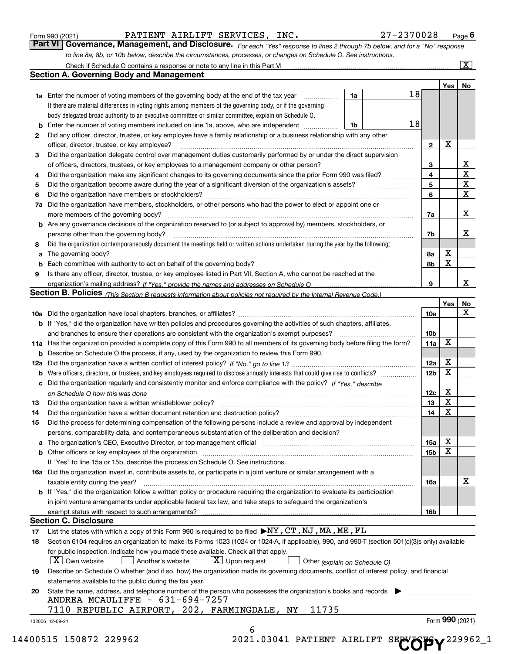|    | 27-2370028<br>PATIENT AIRLIFT SERVICES, INC.<br>Form 990 (2021)                                                                                                                                                               |                 |                         | Page $6$           |
|----|-------------------------------------------------------------------------------------------------------------------------------------------------------------------------------------------------------------------------------|-----------------|-------------------------|--------------------|
|    | Governance, Management, and Disclosure. For each "Yes" response to lines 2 through 7b below, and for a "No" response<br>Part VI                                                                                               |                 |                         |                    |
|    | to line 8a, 8b, or 10b below, describe the circumstances, processes, or changes on Schedule O. See instructions.                                                                                                              |                 |                         |                    |
|    | Check if Schedule O contains a response or note to any line in this Part VI [11] [12] [12] Check if Schedule O contains a response or note to any line in this Part VI                                                        |                 |                         | $\boxed{\text{X}}$ |
|    | <b>Section A. Governing Body and Management</b>                                                                                                                                                                               |                 |                         |                    |
|    |                                                                                                                                                                                                                               |                 | Yes                     | No                 |
|    | 18<br><b>1a</b> Enter the number of voting members of the governing body at the end of the tax year<br>1a                                                                                                                     |                 |                         |                    |
|    | If there are material differences in voting rights among members of the governing body, or if the governing                                                                                                                   |                 |                         |                    |
|    | body delegated broad authority to an executive committee or similar committee, explain on Schedule O.                                                                                                                         |                 |                         |                    |
| b  | 18<br>Enter the number of voting members included on line 1a, above, who are independent<br>1b                                                                                                                                |                 |                         |                    |
| 2  | Did any officer, director, trustee, or key employee have a family relationship or a business relationship with any other                                                                                                      |                 |                         |                    |
|    | officer, director, trustee, or key employee?<br>.                                                                                                                                                                             | $\mathbf{2}$    | х                       |                    |
| 3  | Did the organization delegate control over management duties customarily performed by or under the direct supervision                                                                                                         |                 |                         |                    |
|    | of officers, directors, trustees, or key employees to a management company or other person?                                                                                                                                   | 3               |                         | x                  |
| 4  | Did the organization make any significant changes to its governing documents since the prior Form 990 was filed?                                                                                                              | 4               |                         | $\mathbf X$        |
| 5  |                                                                                                                                                                                                                               | 5               |                         | X                  |
| 6  | Did the organization have members or stockholders?                                                                                                                                                                            | 6               |                         | $\mathbf x$        |
| 7a | Did the organization have members, stockholders, or other persons who had the power to elect or appoint one or                                                                                                                |                 |                         |                    |
|    | more members of the governing body?                                                                                                                                                                                           | 7a              |                         | X                  |
|    | <b>b</b> Are any governance decisions of the organization reserved to (or subject to approval by) members, stockholders, or                                                                                                   |                 |                         |                    |
|    | persons other than the governing body?                                                                                                                                                                                        | 7b              |                         | x                  |
| 8  | Did the organization contemporaneously document the meetings held or written actions undertaken during the year by the following:                                                                                             |                 |                         |                    |
| а  |                                                                                                                                                                                                                               | 8a              | х                       |                    |
| b  |                                                                                                                                                                                                                               | 8b              | X                       |                    |
| 9  | Is there any officer, director, trustee, or key employee listed in Part VII, Section A, who cannot be reached at the                                                                                                          |                 |                         |                    |
|    |                                                                                                                                                                                                                               | 9               |                         | x                  |
|    | Section B. Policies (This Section B requests information about policies not required by the Internal Revenue Code.)                                                                                                           |                 |                         |                    |
|    |                                                                                                                                                                                                                               |                 | Yes                     | No                 |
|    |                                                                                                                                                                                                                               | 10a             |                         | X                  |
|    | <b>b</b> If "Yes," did the organization have written policies and procedures governing the activities of such chapters, affiliates,                                                                                           |                 |                         |                    |
|    | and branches to ensure their operations are consistent with the organization's exempt purposes?                                                                                                                               | 10 <sub>b</sub> |                         |                    |
|    | 11a Has the organization provided a complete copy of this Form 990 to all members of its governing body before filing the form?                                                                                               | <b>11a</b>      | X                       |                    |
|    | <b>b</b> Describe on Schedule O the process, if any, used by the organization to review this Form 990.                                                                                                                        |                 |                         |                    |
|    |                                                                                                                                                                                                                               | 12a             | х                       |                    |
| b  |                                                                                                                                                                                                                               | 12 <sub>b</sub> | X                       |                    |
|    | c Did the organization regularly and consistently monitor and enforce compliance with the policy? If "Yes," describe                                                                                                          |                 |                         |                    |
|    |                                                                                                                                                                                                                               | 12c             | х                       |                    |
|    |                                                                                                                                                                                                                               | 13              | $\overline{\textbf{X}}$ |                    |
| 14 | Did the organization have a written document retention and destruction policy? manufactured and the organization have a written document retention and destruction policy?                                                    | 14              | X                       |                    |
| 15 | Did the process for determining compensation of the following persons include a review and approval by independent                                                                                                            |                 |                         |                    |
|    | persons, comparability data, and contemporaneous substantiation of the deliberation and decision?                                                                                                                             |                 |                         |                    |
| a  | The organization's CEO, Executive Director, or top management official manufactured content content of the organization's CEO, Executive Director, or top management official manufactured content of the original content of | 15a             | х                       |                    |
|    |                                                                                                                                                                                                                               | 15b             | х                       |                    |
|    | If "Yes" to line 15a or 15b, describe the process on Schedule O. See instructions.                                                                                                                                            |                 |                         |                    |
|    | 16a Did the organization invest in, contribute assets to, or participate in a joint venture or similar arrangement with a                                                                                                     |                 |                         |                    |
|    | taxable entity during the year?                                                                                                                                                                                               | 16a             |                         | х                  |
|    | b If "Yes," did the organization follow a written policy or procedure requiring the organization to evaluate its participation                                                                                                |                 |                         |                    |
|    | in joint venture arrangements under applicable federal tax law, and take steps to safequard the organization's                                                                                                                |                 |                         |                    |
|    |                                                                                                                                                                                                                               | 16b             |                         |                    |
|    | <b>Section C. Disclosure</b>                                                                                                                                                                                                  |                 |                         |                    |
| 17 | List the states with which a copy of this Form 990 is required to be filed ▶NY, CT, NJ, MA, ME, FL                                                                                                                            |                 |                         |                    |
| 18 | Section 6104 requires an organization to make its Forms 1023 (1024 or 1024-A, if applicable), 990, and 990-T (section 501(c)(3)s only) available                                                                              |                 |                         |                    |
|    | for public inspection. Indicate how you made these available. Check all that apply.                                                                                                                                           |                 |                         |                    |
|    | $X$ Own website<br>$X$ Upon request<br>Another's website<br>Other (explain on Schedule O)                                                                                                                                     |                 |                         |                    |
| 19 | Describe on Schedule O whether (and if so, how) the organization made its governing documents, conflict of interest policy, and financial                                                                                     |                 |                         |                    |
|    | statements available to the public during the tax year.                                                                                                                                                                       |                 |                         |                    |
| 20 | State the name, address, and telephone number of the person who possesses the organization's books and records                                                                                                                |                 |                         |                    |
|    | ANDREA MCAULIFFE - 631-694-7257                                                                                                                                                                                               |                 |                         |                    |
|    | 11735<br>7110 REPUBLIC AIRPORT, 202, FARMINGDALE, NY                                                                                                                                                                          |                 |                         |                    |
|    | 132006 12-09-21                                                                                                                                                                                                               |                 |                         | Form 990 (2021)    |
|    | 6                                                                                                                                                                                                                             |                 |                         |                    |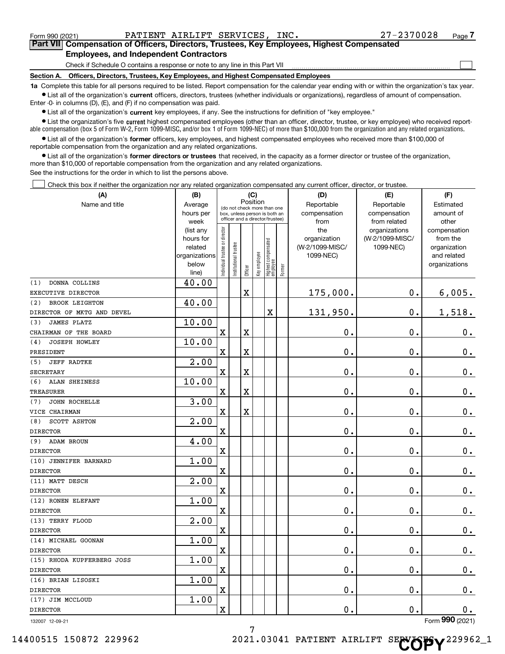$\mathcal{L}^{\text{max}}$ 

**7Part VII Compensation of Officers, Directors, Trustees, Key Employees, Highest Compensated Employees, and Independent Contractors**

Check if Schedule O contains a response or note to any line in this Part VII

**Section A. Officers, Directors, Trustees, Key Employees, and Highest Compensated Employees**

**1a**  Complete this table for all persons required to be listed. Report compensation for the calendar year ending with or within the organization's tax year. **•** List all of the organization's current officers, directors, trustees (whether individuals or organizations), regardless of amount of compensation.

Enter -0- in columns (D), (E), and (F) if no compensation was paid.

 $\bullet$  List all of the organization's  $\sf current$  key employees, if any. See the instructions for definition of "key employee."

**Example is the organization's five current highest compensated employees (other than an officer, director, trustee, or key employee) who received report-**■ List the organization's five current highest compensated employees (other than an officer, director, trustee, or key employee) who received report-<br>able compensation (box 5 of Form W-2, Form 1099-MISC, and/or box 1 of F

**•** List all of the organization's former officers, key employees, and highest compensated employees who received more than \$100,000 of reportable compensation from the organization and any related organizations.

**former directors or trustees**  ¥ List all of the organization's that received, in the capacity as a former director or trustee of the organization, more than \$10,000 of reportable compensation from the organization and any related organizations.

See the instructions for the order in which to list the persons above.

Check this box if neither the organization nor any related organization compensated any current officer, director, or trustee.  $\mathcal{L}^{\text{max}}$ 

| (A)                          | (B)                    | (C)<br>Position               |                                                                  |                       |              |                                  |        | (D)             | (E)                           | (F)                   |  |
|------------------------------|------------------------|-------------------------------|------------------------------------------------------------------|-----------------------|--------------|----------------------------------|--------|-----------------|-------------------------------|-----------------------|--|
| Name and title               | Average                | (do not check more than one   |                                                                  |                       |              |                                  |        | Reportable      | Reportable                    | Estimated             |  |
|                              | hours per              |                               | box, unless person is both an<br>officer and a director/trustee) |                       |              |                                  |        | compensation    | compensation                  | amount of             |  |
|                              | week                   |                               |                                                                  |                       |              |                                  |        | from<br>the     | from related<br>organizations | other<br>compensation |  |
|                              | (list any<br>hours for |                               |                                                                  |                       |              |                                  |        | organization    | (W-2/1099-MISC/               | from the              |  |
|                              | related                |                               |                                                                  |                       |              |                                  |        | (W-2/1099-MISC/ | 1099-NEC)                     | organization          |  |
|                              | organizations          |                               |                                                                  |                       |              |                                  |        | 1099-NEC)       |                               | and related           |  |
|                              | below                  | ndividual trustee or director | nstitutional trustee                                             |                       | Key employee | Highest compensated<br> employee |        |                 |                               | organizations         |  |
|                              | line)                  |                               |                                                                  | Officer               |              |                                  | Former |                 |                               |                       |  |
| (1)<br>DONNA COLLINS         | 40.00                  |                               |                                                                  |                       |              |                                  |        |                 |                               |                       |  |
| EXECUTIVE DIRECTOR           |                        |                               |                                                                  | $\mathbf X$           |              |                                  |        | 175,000.        | 0.                            | 6,005.                |  |
| (2)<br><b>BROOK LEIGHTON</b> | 40.00                  |                               |                                                                  |                       |              |                                  |        |                 |                               |                       |  |
| DIRECTOR OF MKTG AND DEVEL   |                        |                               |                                                                  |                       |              | X                                |        | 131,950.        | 0.                            | 1,518.                |  |
| <b>JAMES PLATZ</b><br>(3)    | 10.00                  |                               |                                                                  |                       |              |                                  |        |                 |                               |                       |  |
| CHAIRMAN OF THE BOARD        |                        | $\mathbf X$                   |                                                                  | X                     |              |                                  |        | $\mathbf 0$ .   | 0.                            | 0.                    |  |
| JOSEPH HOWLEY<br>(4)         | 10.00                  |                               |                                                                  |                       |              |                                  |        |                 |                               |                       |  |
| PRESIDENT                    |                        | X                             |                                                                  | X                     |              |                                  |        | 0.              | $\mathbf 0$ .                 | $\mathbf 0$ .         |  |
| <b>JEFF RADTKE</b><br>(5)    | 2.00                   |                               |                                                                  |                       |              |                                  |        |                 |                               |                       |  |
| <b>SECRETARY</b>             |                        | $\mathbf X$                   |                                                                  | X                     |              |                                  |        | 0.              | $\mathbf 0$ .                 | $\mathbf 0$ .         |  |
| ALAN SHEINESS<br>(6)         | 10.00                  |                               |                                                                  |                       |              |                                  |        |                 |                               |                       |  |
| <b>TREASURER</b>             |                        | X                             |                                                                  | X                     |              |                                  |        | $\mathbf 0$ .   | $\mathbf 0$ .                 | $0 \cdot$             |  |
| JOHN ROCHELLE<br>(7)         | 3.00                   |                               |                                                                  |                       |              |                                  |        |                 |                               |                       |  |
| VICE CHAIRMAN                |                        | $\mathbf X$                   |                                                                  | $\overline{\text{X}}$ |              |                                  |        | $\mathbf 0$ .   | 0.                            | $0_{.}$               |  |
| SCOTT ASHTON<br>(8)          | 2.00                   |                               |                                                                  |                       |              |                                  |        |                 |                               |                       |  |
| <b>DIRECTOR</b>              |                        | X                             |                                                                  |                       |              |                                  |        | 0.              | $\mathbf 0$ .                 | $0$ .                 |  |
| ADAM BROUN<br>(9)            | 4.00                   |                               |                                                                  |                       |              |                                  |        |                 |                               |                       |  |
| <b>DIRECTOR</b>              |                        | $\mathbf X$                   |                                                                  |                       |              |                                  |        | $\mathbf 0$ .   | $\mathbf 0$ .                 | $\mathbf 0$ .         |  |
| (10) JENNIFER BARNARD        | 1.00                   |                               |                                                                  |                       |              |                                  |        |                 |                               |                       |  |
| <b>DIRECTOR</b>              |                        | X                             |                                                                  |                       |              |                                  |        | $\mathbf 0$ .   | $\mathbf 0$ .                 | $\mathbf 0$ .         |  |
| (11) MATT DESCH              | 2.00                   |                               |                                                                  |                       |              |                                  |        |                 |                               |                       |  |
| <b>DIRECTOR</b>              |                        | $\mathbf X$                   |                                                                  |                       |              |                                  |        | $\mathbf 0$ .   | 0.                            | $\mathbf 0$ .         |  |
| (12) RONEN ELEFANT           | 1.00                   |                               |                                                                  |                       |              |                                  |        |                 |                               |                       |  |
| <b>DIRECTOR</b>              |                        | X                             |                                                                  |                       |              |                                  |        | 0.              | $\mathbf 0$ .                 | $\mathbf 0$ .         |  |
| (13) TERRY FLOOD             | $\overline{2.00}$      |                               |                                                                  |                       |              |                                  |        |                 |                               |                       |  |
| <b>DIRECTOR</b>              |                        | $\rm X$                       |                                                                  |                       |              |                                  |        | $\mathbf 0$ .   | $\mathbf 0$ .                 | $0_{.}$               |  |
| (14) MICHAEL GOONAN          | 1.00                   |                               |                                                                  |                       |              |                                  |        |                 |                               |                       |  |
| <b>DIRECTOR</b>              |                        | X                             |                                                                  |                       |              |                                  |        | $\mathbf 0$ .   | $\mathbf 0$ .                 | $0$ .                 |  |
| (15) RHODA KUPFERBERG JOSS   | 1.00                   |                               |                                                                  |                       |              |                                  |        |                 |                               |                       |  |
| <b>DIRECTOR</b>              |                        | $\rm X$                       |                                                                  |                       |              |                                  |        | 0.              | $\mathbf 0$ .                 | $0_{.}$               |  |
| (16) BRIAN LISOSKI           | 1.00                   |                               |                                                                  |                       |              |                                  |        |                 |                               |                       |  |
| <b>DIRECTOR</b>              |                        | X                             |                                                                  |                       |              |                                  |        | $\mathbf 0$ .   | 0.                            | $\mathbf 0$ .         |  |
| (17) JIM MCCLOUD             | 1.00                   |                               |                                                                  |                       |              |                                  |        |                 |                               |                       |  |
| <b>DIRECTOR</b>              |                        | $\overline{\mathbf{X}}$       |                                                                  |                       |              |                                  |        | $\mathbf 0$ .   | 0.                            | $\mathbf 0$ .         |  |
|                              |                        |                               |                                                                  |                       |              |                                  |        |                 |                               |                       |  |

132007 12-09-21

Form (2021) **990**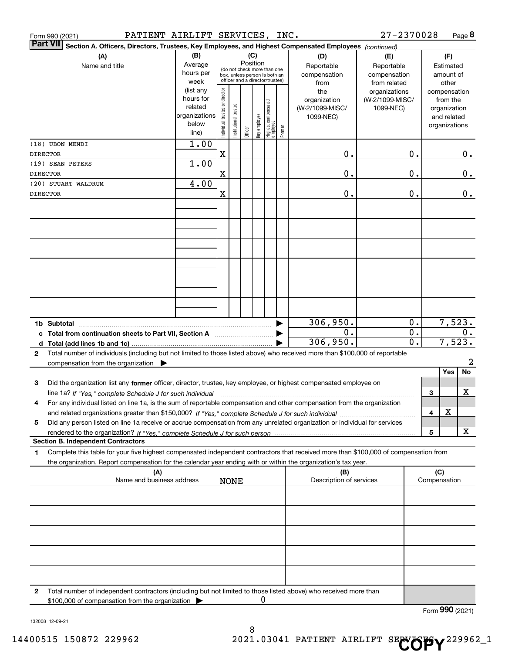| PATIENT AIRLIFT SERVICES, INC.<br>Form 990 (2021)                                                                                                                                                                                                                        |                                                                      |                                |                                                                                                 |                 |              |                                 |        |                                                     | 27-2370028                                        |                                                 |                                                                          | Page 8          |
|--------------------------------------------------------------------------------------------------------------------------------------------------------------------------------------------------------------------------------------------------------------------------|----------------------------------------------------------------------|--------------------------------|-------------------------------------------------------------------------------------------------|-----------------|--------------|---------------------------------|--------|-----------------------------------------------------|---------------------------------------------------|-------------------------------------------------|--------------------------------------------------------------------------|-----------------|
| <b>Part VII</b><br>Section A. Officers, Directors, Trustees, Key Employees, and Highest Compensated Employees (continued)                                                                                                                                                |                                                                      |                                |                                                                                                 |                 |              |                                 |        |                                                     |                                                   |                                                 |                                                                          |                 |
| (A)<br>Name and title                                                                                                                                                                                                                                                    | (B)<br>Average<br>hours per<br>week                                  |                                | (do not check more than one<br>box, unless person is both an<br>officer and a director/trustee) | (C)<br>Position |              |                                 |        | (D)<br>Reportable<br>compensation<br>from           | (E)<br>Reportable<br>compensation<br>from related |                                                 | (F)<br>Estimated<br>amount of<br>other                                   |                 |
|                                                                                                                                                                                                                                                                          | (list any<br>hours for<br>related<br>organizations<br>below<br>line) | Individual trustee or director | Institutional trustee                                                                           | Officer         | Key employee | Highest compensated<br>employee | Former | the<br>organization<br>(W-2/1099-MISC/<br>1099-NEC) | organizations<br>(W-2/1099-MISC/<br>1099-NEC)     |                                                 | compensation<br>from the<br>organization<br>and related<br>organizations |                 |
| (18) UBON MENDI<br>DIRECTOR                                                                                                                                                                                                                                              | 1.00                                                                 | X                              |                                                                                                 |                 |              |                                 |        | 0.                                                  |                                                   | 0.                                              |                                                                          | 0.              |
| (19) SEAN PETERS                                                                                                                                                                                                                                                         | 1.00                                                                 |                                |                                                                                                 |                 |              |                                 |        |                                                     |                                                   |                                                 |                                                                          |                 |
| <b>DIRECTOR</b>                                                                                                                                                                                                                                                          |                                                                      | X                              |                                                                                                 |                 |              |                                 |        | 0.                                                  |                                                   | 0.                                              |                                                                          | 0.              |
| (20) STUART WALDRUM                                                                                                                                                                                                                                                      | 4.00                                                                 |                                |                                                                                                 |                 |              |                                 |        |                                                     |                                                   |                                                 |                                                                          |                 |
| DIRECTOR                                                                                                                                                                                                                                                                 |                                                                      | X                              |                                                                                                 |                 |              |                                 |        | 0.                                                  |                                                   | 0.                                              |                                                                          | 0.              |
|                                                                                                                                                                                                                                                                          |                                                                      |                                |                                                                                                 |                 |              |                                 |        |                                                     |                                                   |                                                 |                                                                          |                 |
|                                                                                                                                                                                                                                                                          |                                                                      |                                |                                                                                                 |                 |              |                                 |        |                                                     |                                                   |                                                 |                                                                          |                 |
|                                                                                                                                                                                                                                                                          |                                                                      |                                |                                                                                                 |                 |              |                                 |        |                                                     |                                                   |                                                 |                                                                          |                 |
|                                                                                                                                                                                                                                                                          |                                                                      |                                |                                                                                                 |                 |              |                                 |        |                                                     |                                                   |                                                 |                                                                          |                 |
|                                                                                                                                                                                                                                                                          |                                                                      |                                |                                                                                                 |                 |              |                                 |        |                                                     |                                                   |                                                 |                                                                          |                 |
|                                                                                                                                                                                                                                                                          |                                                                      |                                |                                                                                                 |                 |              |                                 |        |                                                     |                                                   |                                                 |                                                                          |                 |
|                                                                                                                                                                                                                                                                          |                                                                      |                                |                                                                                                 |                 |              |                                 |        |                                                     |                                                   |                                                 |                                                                          |                 |
|                                                                                                                                                                                                                                                                          |                                                                      |                                |                                                                                                 |                 |              |                                 |        |                                                     |                                                   |                                                 |                                                                          |                 |
|                                                                                                                                                                                                                                                                          |                                                                      |                                |                                                                                                 |                 |              |                                 |        |                                                     |                                                   |                                                 |                                                                          |                 |
|                                                                                                                                                                                                                                                                          |                                                                      |                                |                                                                                                 |                 |              |                                 |        | 306,950.                                            |                                                   | 0.                                              |                                                                          | 7,523.          |
| c Total from continuation sheets to Part VII, Section A                                                                                                                                                                                                                  |                                                                      |                                |                                                                                                 |                 |              |                                 |        | 0.<br>306,950.                                      |                                                   | $\overline{0}$ .<br>$\overline{\mathfrak{o}}$ . |                                                                          | 0.<br>7,523.    |
| Total number of individuals (including but not limited to those listed above) who received more than \$100,000 of reportable<br>$\mathbf{2}$                                                                                                                             |                                                                      |                                |                                                                                                 |                 |              |                                 |        |                                                     |                                                   |                                                 |                                                                          |                 |
| compensation from the organization $\blacktriangleright$                                                                                                                                                                                                                 |                                                                      |                                |                                                                                                 |                 |              |                                 |        |                                                     |                                                   |                                                 |                                                                          | $\overline{a}$  |
|                                                                                                                                                                                                                                                                          |                                                                      |                                |                                                                                                 |                 |              |                                 |        |                                                     |                                                   |                                                 | Yes                                                                      | No              |
| Did the organization list any former officer, director, trustee, key employee, or highest compensated employee on<br>3                                                                                                                                                   |                                                                      |                                |                                                                                                 |                 |              |                                 |        |                                                     |                                                   |                                                 |                                                                          |                 |
| line 1a? If "Yes," complete Schedule J for such individual manufactured contained and the Ves," complete Schedule J for such individual<br>For any individual listed on line 1a, is the sum of reportable compensation and other compensation from the organization<br>4 |                                                                      |                                |                                                                                                 |                 |              |                                 |        |                                                     |                                                   |                                                 | 3                                                                        | х               |
|                                                                                                                                                                                                                                                                          |                                                                      |                                |                                                                                                 |                 |              |                                 |        |                                                     |                                                   |                                                 | X<br>4                                                                   |                 |
| Did any person listed on line 1a receive or accrue compensation from any unrelated organization or individual for services<br>5                                                                                                                                          |                                                                      |                                |                                                                                                 |                 |              |                                 |        |                                                     |                                                   |                                                 |                                                                          |                 |
|                                                                                                                                                                                                                                                                          |                                                                      |                                |                                                                                                 |                 |              |                                 |        |                                                     |                                                   |                                                 | 5                                                                        | х               |
| <b>Section B. Independent Contractors</b><br>Complete this table for your five highest compensated independent contractors that received more than \$100,000 of compensation from<br>1                                                                                   |                                                                      |                                |                                                                                                 |                 |              |                                 |        |                                                     |                                                   |                                                 |                                                                          |                 |
| the organization. Report compensation for the calendar year ending with or within the organization's tax year.                                                                                                                                                           |                                                                      |                                |                                                                                                 |                 |              |                                 |        |                                                     |                                                   |                                                 |                                                                          |                 |
| (A)                                                                                                                                                                                                                                                                      |                                                                      |                                |                                                                                                 |                 |              |                                 |        | (B)                                                 |                                                   |                                                 | (C)                                                                      |                 |
| Name and business address                                                                                                                                                                                                                                                |                                                                      |                                | <b>NONE</b>                                                                                     |                 |              |                                 |        | Description of services                             |                                                   |                                                 | Compensation                                                             |                 |
|                                                                                                                                                                                                                                                                          |                                                                      |                                |                                                                                                 |                 |              |                                 |        |                                                     |                                                   |                                                 |                                                                          |                 |
|                                                                                                                                                                                                                                                                          |                                                                      |                                |                                                                                                 |                 |              |                                 |        |                                                     |                                                   |                                                 |                                                                          |                 |
|                                                                                                                                                                                                                                                                          |                                                                      |                                |                                                                                                 |                 |              |                                 |        |                                                     |                                                   |                                                 |                                                                          |                 |
|                                                                                                                                                                                                                                                                          |                                                                      |                                |                                                                                                 |                 |              |                                 |        |                                                     |                                                   |                                                 |                                                                          |                 |
|                                                                                                                                                                                                                                                                          |                                                                      |                                |                                                                                                 |                 |              |                                 |        |                                                     |                                                   |                                                 |                                                                          |                 |
|                                                                                                                                                                                                                                                                          |                                                                      |                                |                                                                                                 |                 |              |                                 |        |                                                     |                                                   |                                                 |                                                                          |                 |
|                                                                                                                                                                                                                                                                          |                                                                      |                                |                                                                                                 |                 |              |                                 |        |                                                     |                                                   |                                                 |                                                                          |                 |
| Total number of independent contractors (including but not limited to those listed above) who received more than<br>2<br>\$100,000 of compensation from the organization                                                                                                 |                                                                      |                                |                                                                                                 |                 | 0            |                                 |        |                                                     |                                                   |                                                 |                                                                          |                 |
|                                                                                                                                                                                                                                                                          |                                                                      |                                |                                                                                                 |                 |              |                                 |        |                                                     |                                                   |                                                 |                                                                          | Form 990 (2021) |

132008 12-09-21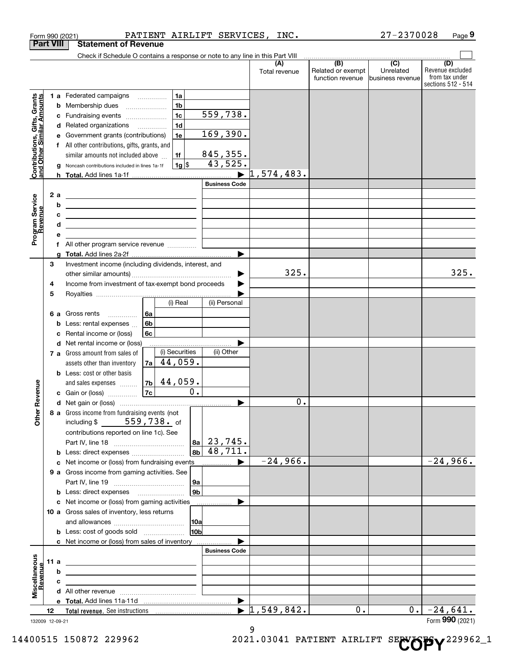| <b>Part VIII</b><br><b>Statement of Revenue</b><br>Check if Schedule O contains a response or note to any line in this Part VIII<br>(B)<br>$\overline{(C)}$<br>(D)<br>(A)<br>Revenue excluded<br>Related or exempt<br>Unrelated<br>Total revenue<br>from tax under<br>function revenue<br>Ibusiness revenue<br>1a<br>1 a Federated campaigns<br>Contributions, Gifts, Grants<br>and Other Similar Amounts<br>1 <sub>b</sub><br><b>b</b> Membership dues<br>559,738.<br>1 <sub>c</sub><br>c Fundraising events<br>1 <sub>d</sub><br>d Related organizations<br>169,390.<br>1e<br>e Government grants (contributions)<br>f All other contributions, gifts, grants, and<br>845, 355.<br>similar amounts not included above<br>1f<br>43,525.<br> 1g <br>g Noncash contributions included in lines 1a-1f<br>$\blacktriangleright$ 1,574,483.<br><b>Business Code</b><br>2 a<br>Program Service<br>Revenue<br><u> 1989 - Johann Stoff, amerikansk politiker (</u><br>b<br><u> 1989 - Johann Barbara, martin amerikan basar dan berasal dalam basa dalam basar dalam basar dalam basa dalam</u><br>c<br><u> 1989 - Johann Stein, mars an deutscher Stein († 1958)</u><br>d<br><u> 1989 - Johann John Stein, markin film ar yn y brenin y brenin y brenin y brenin y brenin y brenin y brenin y</u><br>е<br>a<br>Investment income (including dividends, interest, and<br>3<br>325.<br>▶<br>Income from investment of tax-exempt bond proceeds<br>4<br>5<br>(i) Real<br>(ii) Personal<br><b>6 a</b> Gross rents<br>6a<br>6b<br><b>b</b> Less: rental expenses<br>6c<br>Rental income or (loss)<br>c<br>d Net rental income or (loss)<br>(i) Securities<br>(ii) Other<br><b>7 a</b> Gross amount from sales of<br>$ 7a $ 44,059.<br>assets other than inventory<br><b>b</b> Less: cost or other basis<br>44,059.<br>7b<br>venue<br>and sales expenses<br>0.<br>7c<br><b>c</b> Gain or (loss)<br>$\overline{0}$ .<br>Other Re<br>8 a Gross income from fundraising events (not<br>559,738. <sub>of</sub><br>including \$<br>contributions reported on line 1c). See<br>$ 8a $ 23, 745.<br>$ 8b $ 48,711.<br><b>b</b> Less: direct expenses <i></i><br>$-24,966.$<br>$-24,966.$<br>c Net income or (loss) from fundraising events<br>9 a Gross income from gaming activities. See<br> 9a <br> 9b <br><b>b</b> Less: direct expenses <b>manually</b><br>c Net income or (loss) from gaming activities<br>10 a Gross sales of inventory, less returns<br>10a<br>10 <sub>b</sub><br>c Net income or (loss) from sales of inventory<br><b>Business Code</b><br>Miscellaneous<br>Revenue<br>11 a<br>b<br>c<br>$\blacktriangleright$ 1,549,842.<br>$-24,641.$<br>0.<br>0.<br>12<br>Form 990 (2021)<br>132009 12-09-21<br>9 |  |  | Form 990 (2021) |  | PATIENT AIRLIFT SERVICES, INC. |  | 27-2370028 | Page 9             |
|-----------------------------------------------------------------------------------------------------------------------------------------------------------------------------------------------------------------------------------------------------------------------------------------------------------------------------------------------------------------------------------------------------------------------------------------------------------------------------------------------------------------------------------------------------------------------------------------------------------------------------------------------------------------------------------------------------------------------------------------------------------------------------------------------------------------------------------------------------------------------------------------------------------------------------------------------------------------------------------------------------------------------------------------------------------------------------------------------------------------------------------------------------------------------------------------------------------------------------------------------------------------------------------------------------------------------------------------------------------------------------------------------------------------------------------------------------------------------------------------------------------------------------------------------------------------------------------------------------------------------------------------------------------------------------------------------------------------------------------------------------------------------------------------------------------------------------------------------------------------------------------------------------------------------------------------------------------------------------------------------------------------------------------------------------------------------------------------------------------------------------------------------------------------------------------------------------------------------------------------------------------------------------------------------------------------------------------------------------------------------------------------------------------------------------------------------------------------------------------------------------------------------------------------------------------------------------------------------------------------------------------------------------------------------------------------------------------|--|--|-----------------|--|--------------------------------|--|------------|--------------------|
|                                                                                                                                                                                                                                                                                                                                                                                                                                                                                                                                                                                                                                                                                                                                                                                                                                                                                                                                                                                                                                                                                                                                                                                                                                                                                                                                                                                                                                                                                                                                                                                                                                                                                                                                                                                                                                                                                                                                                                                                                                                                                                                                                                                                                                                                                                                                                                                                                                                                                                                                                                                                                                                                                                           |  |  |                 |  |                                |  |            |                    |
|                                                                                                                                                                                                                                                                                                                                                                                                                                                                                                                                                                                                                                                                                                                                                                                                                                                                                                                                                                                                                                                                                                                                                                                                                                                                                                                                                                                                                                                                                                                                                                                                                                                                                                                                                                                                                                                                                                                                                                                                                                                                                                                                                                                                                                                                                                                                                                                                                                                                                                                                                                                                                                                                                                           |  |  |                 |  |                                |  |            |                    |
|                                                                                                                                                                                                                                                                                                                                                                                                                                                                                                                                                                                                                                                                                                                                                                                                                                                                                                                                                                                                                                                                                                                                                                                                                                                                                                                                                                                                                                                                                                                                                                                                                                                                                                                                                                                                                                                                                                                                                                                                                                                                                                                                                                                                                                                                                                                                                                                                                                                                                                                                                                                                                                                                                                           |  |  |                 |  |                                |  |            |                    |
|                                                                                                                                                                                                                                                                                                                                                                                                                                                                                                                                                                                                                                                                                                                                                                                                                                                                                                                                                                                                                                                                                                                                                                                                                                                                                                                                                                                                                                                                                                                                                                                                                                                                                                                                                                                                                                                                                                                                                                                                                                                                                                                                                                                                                                                                                                                                                                                                                                                                                                                                                                                                                                                                                                           |  |  |                 |  |                                |  |            |                    |
|                                                                                                                                                                                                                                                                                                                                                                                                                                                                                                                                                                                                                                                                                                                                                                                                                                                                                                                                                                                                                                                                                                                                                                                                                                                                                                                                                                                                                                                                                                                                                                                                                                                                                                                                                                                                                                                                                                                                                                                                                                                                                                                                                                                                                                                                                                                                                                                                                                                                                                                                                                                                                                                                                                           |  |  |                 |  |                                |  |            | sections 512 - 514 |
|                                                                                                                                                                                                                                                                                                                                                                                                                                                                                                                                                                                                                                                                                                                                                                                                                                                                                                                                                                                                                                                                                                                                                                                                                                                                                                                                                                                                                                                                                                                                                                                                                                                                                                                                                                                                                                                                                                                                                                                                                                                                                                                                                                                                                                                                                                                                                                                                                                                                                                                                                                                                                                                                                                           |  |  |                 |  |                                |  |            |                    |
|                                                                                                                                                                                                                                                                                                                                                                                                                                                                                                                                                                                                                                                                                                                                                                                                                                                                                                                                                                                                                                                                                                                                                                                                                                                                                                                                                                                                                                                                                                                                                                                                                                                                                                                                                                                                                                                                                                                                                                                                                                                                                                                                                                                                                                                                                                                                                                                                                                                                                                                                                                                                                                                                                                           |  |  |                 |  |                                |  |            |                    |
|                                                                                                                                                                                                                                                                                                                                                                                                                                                                                                                                                                                                                                                                                                                                                                                                                                                                                                                                                                                                                                                                                                                                                                                                                                                                                                                                                                                                                                                                                                                                                                                                                                                                                                                                                                                                                                                                                                                                                                                                                                                                                                                                                                                                                                                                                                                                                                                                                                                                                                                                                                                                                                                                                                           |  |  |                 |  |                                |  |            |                    |
|                                                                                                                                                                                                                                                                                                                                                                                                                                                                                                                                                                                                                                                                                                                                                                                                                                                                                                                                                                                                                                                                                                                                                                                                                                                                                                                                                                                                                                                                                                                                                                                                                                                                                                                                                                                                                                                                                                                                                                                                                                                                                                                                                                                                                                                                                                                                                                                                                                                                                                                                                                                                                                                                                                           |  |  |                 |  |                                |  |            |                    |
|                                                                                                                                                                                                                                                                                                                                                                                                                                                                                                                                                                                                                                                                                                                                                                                                                                                                                                                                                                                                                                                                                                                                                                                                                                                                                                                                                                                                                                                                                                                                                                                                                                                                                                                                                                                                                                                                                                                                                                                                                                                                                                                                                                                                                                                                                                                                                                                                                                                                                                                                                                                                                                                                                                           |  |  |                 |  |                                |  |            |                    |
|                                                                                                                                                                                                                                                                                                                                                                                                                                                                                                                                                                                                                                                                                                                                                                                                                                                                                                                                                                                                                                                                                                                                                                                                                                                                                                                                                                                                                                                                                                                                                                                                                                                                                                                                                                                                                                                                                                                                                                                                                                                                                                                                                                                                                                                                                                                                                                                                                                                                                                                                                                                                                                                                                                           |  |  |                 |  |                                |  |            |                    |
|                                                                                                                                                                                                                                                                                                                                                                                                                                                                                                                                                                                                                                                                                                                                                                                                                                                                                                                                                                                                                                                                                                                                                                                                                                                                                                                                                                                                                                                                                                                                                                                                                                                                                                                                                                                                                                                                                                                                                                                                                                                                                                                                                                                                                                                                                                                                                                                                                                                                                                                                                                                                                                                                                                           |  |  |                 |  |                                |  |            |                    |
|                                                                                                                                                                                                                                                                                                                                                                                                                                                                                                                                                                                                                                                                                                                                                                                                                                                                                                                                                                                                                                                                                                                                                                                                                                                                                                                                                                                                                                                                                                                                                                                                                                                                                                                                                                                                                                                                                                                                                                                                                                                                                                                                                                                                                                                                                                                                                                                                                                                                                                                                                                                                                                                                                                           |  |  |                 |  |                                |  |            |                    |
|                                                                                                                                                                                                                                                                                                                                                                                                                                                                                                                                                                                                                                                                                                                                                                                                                                                                                                                                                                                                                                                                                                                                                                                                                                                                                                                                                                                                                                                                                                                                                                                                                                                                                                                                                                                                                                                                                                                                                                                                                                                                                                                                                                                                                                                                                                                                                                                                                                                                                                                                                                                                                                                                                                           |  |  |                 |  |                                |  |            |                    |
|                                                                                                                                                                                                                                                                                                                                                                                                                                                                                                                                                                                                                                                                                                                                                                                                                                                                                                                                                                                                                                                                                                                                                                                                                                                                                                                                                                                                                                                                                                                                                                                                                                                                                                                                                                                                                                                                                                                                                                                                                                                                                                                                                                                                                                                                                                                                                                                                                                                                                                                                                                                                                                                                                                           |  |  |                 |  |                                |  |            |                    |
|                                                                                                                                                                                                                                                                                                                                                                                                                                                                                                                                                                                                                                                                                                                                                                                                                                                                                                                                                                                                                                                                                                                                                                                                                                                                                                                                                                                                                                                                                                                                                                                                                                                                                                                                                                                                                                                                                                                                                                                                                                                                                                                                                                                                                                                                                                                                                                                                                                                                                                                                                                                                                                                                                                           |  |  |                 |  |                                |  |            |                    |
|                                                                                                                                                                                                                                                                                                                                                                                                                                                                                                                                                                                                                                                                                                                                                                                                                                                                                                                                                                                                                                                                                                                                                                                                                                                                                                                                                                                                                                                                                                                                                                                                                                                                                                                                                                                                                                                                                                                                                                                                                                                                                                                                                                                                                                                                                                                                                                                                                                                                                                                                                                                                                                                                                                           |  |  |                 |  |                                |  |            |                    |
|                                                                                                                                                                                                                                                                                                                                                                                                                                                                                                                                                                                                                                                                                                                                                                                                                                                                                                                                                                                                                                                                                                                                                                                                                                                                                                                                                                                                                                                                                                                                                                                                                                                                                                                                                                                                                                                                                                                                                                                                                                                                                                                                                                                                                                                                                                                                                                                                                                                                                                                                                                                                                                                                                                           |  |  |                 |  |                                |  |            |                    |
|                                                                                                                                                                                                                                                                                                                                                                                                                                                                                                                                                                                                                                                                                                                                                                                                                                                                                                                                                                                                                                                                                                                                                                                                                                                                                                                                                                                                                                                                                                                                                                                                                                                                                                                                                                                                                                                                                                                                                                                                                                                                                                                                                                                                                                                                                                                                                                                                                                                                                                                                                                                                                                                                                                           |  |  |                 |  |                                |  |            |                    |
|                                                                                                                                                                                                                                                                                                                                                                                                                                                                                                                                                                                                                                                                                                                                                                                                                                                                                                                                                                                                                                                                                                                                                                                                                                                                                                                                                                                                                                                                                                                                                                                                                                                                                                                                                                                                                                                                                                                                                                                                                                                                                                                                                                                                                                                                                                                                                                                                                                                                                                                                                                                                                                                                                                           |  |  |                 |  |                                |  |            |                    |
|                                                                                                                                                                                                                                                                                                                                                                                                                                                                                                                                                                                                                                                                                                                                                                                                                                                                                                                                                                                                                                                                                                                                                                                                                                                                                                                                                                                                                                                                                                                                                                                                                                                                                                                                                                                                                                                                                                                                                                                                                                                                                                                                                                                                                                                                                                                                                                                                                                                                                                                                                                                                                                                                                                           |  |  |                 |  |                                |  |            |                    |
|                                                                                                                                                                                                                                                                                                                                                                                                                                                                                                                                                                                                                                                                                                                                                                                                                                                                                                                                                                                                                                                                                                                                                                                                                                                                                                                                                                                                                                                                                                                                                                                                                                                                                                                                                                                                                                                                                                                                                                                                                                                                                                                                                                                                                                                                                                                                                                                                                                                                                                                                                                                                                                                                                                           |  |  |                 |  |                                |  |            |                    |
|                                                                                                                                                                                                                                                                                                                                                                                                                                                                                                                                                                                                                                                                                                                                                                                                                                                                                                                                                                                                                                                                                                                                                                                                                                                                                                                                                                                                                                                                                                                                                                                                                                                                                                                                                                                                                                                                                                                                                                                                                                                                                                                                                                                                                                                                                                                                                                                                                                                                                                                                                                                                                                                                                                           |  |  |                 |  |                                |  |            |                    |
|                                                                                                                                                                                                                                                                                                                                                                                                                                                                                                                                                                                                                                                                                                                                                                                                                                                                                                                                                                                                                                                                                                                                                                                                                                                                                                                                                                                                                                                                                                                                                                                                                                                                                                                                                                                                                                                                                                                                                                                                                                                                                                                                                                                                                                                                                                                                                                                                                                                                                                                                                                                                                                                                                                           |  |  |                 |  |                                |  |            |                    |
|                                                                                                                                                                                                                                                                                                                                                                                                                                                                                                                                                                                                                                                                                                                                                                                                                                                                                                                                                                                                                                                                                                                                                                                                                                                                                                                                                                                                                                                                                                                                                                                                                                                                                                                                                                                                                                                                                                                                                                                                                                                                                                                                                                                                                                                                                                                                                                                                                                                                                                                                                                                                                                                                                                           |  |  |                 |  |                                |  |            | 325.               |
|                                                                                                                                                                                                                                                                                                                                                                                                                                                                                                                                                                                                                                                                                                                                                                                                                                                                                                                                                                                                                                                                                                                                                                                                                                                                                                                                                                                                                                                                                                                                                                                                                                                                                                                                                                                                                                                                                                                                                                                                                                                                                                                                                                                                                                                                                                                                                                                                                                                                                                                                                                                                                                                                                                           |  |  |                 |  |                                |  |            |                    |
|                                                                                                                                                                                                                                                                                                                                                                                                                                                                                                                                                                                                                                                                                                                                                                                                                                                                                                                                                                                                                                                                                                                                                                                                                                                                                                                                                                                                                                                                                                                                                                                                                                                                                                                                                                                                                                                                                                                                                                                                                                                                                                                                                                                                                                                                                                                                                                                                                                                                                                                                                                                                                                                                                                           |  |  |                 |  |                                |  |            |                    |
|                                                                                                                                                                                                                                                                                                                                                                                                                                                                                                                                                                                                                                                                                                                                                                                                                                                                                                                                                                                                                                                                                                                                                                                                                                                                                                                                                                                                                                                                                                                                                                                                                                                                                                                                                                                                                                                                                                                                                                                                                                                                                                                                                                                                                                                                                                                                                                                                                                                                                                                                                                                                                                                                                                           |  |  |                 |  |                                |  |            |                    |
|                                                                                                                                                                                                                                                                                                                                                                                                                                                                                                                                                                                                                                                                                                                                                                                                                                                                                                                                                                                                                                                                                                                                                                                                                                                                                                                                                                                                                                                                                                                                                                                                                                                                                                                                                                                                                                                                                                                                                                                                                                                                                                                                                                                                                                                                                                                                                                                                                                                                                                                                                                                                                                                                                                           |  |  |                 |  |                                |  |            |                    |
|                                                                                                                                                                                                                                                                                                                                                                                                                                                                                                                                                                                                                                                                                                                                                                                                                                                                                                                                                                                                                                                                                                                                                                                                                                                                                                                                                                                                                                                                                                                                                                                                                                                                                                                                                                                                                                                                                                                                                                                                                                                                                                                                                                                                                                                                                                                                                                                                                                                                                                                                                                                                                                                                                                           |  |  |                 |  |                                |  |            |                    |
|                                                                                                                                                                                                                                                                                                                                                                                                                                                                                                                                                                                                                                                                                                                                                                                                                                                                                                                                                                                                                                                                                                                                                                                                                                                                                                                                                                                                                                                                                                                                                                                                                                                                                                                                                                                                                                                                                                                                                                                                                                                                                                                                                                                                                                                                                                                                                                                                                                                                                                                                                                                                                                                                                                           |  |  |                 |  |                                |  |            |                    |
|                                                                                                                                                                                                                                                                                                                                                                                                                                                                                                                                                                                                                                                                                                                                                                                                                                                                                                                                                                                                                                                                                                                                                                                                                                                                                                                                                                                                                                                                                                                                                                                                                                                                                                                                                                                                                                                                                                                                                                                                                                                                                                                                                                                                                                                                                                                                                                                                                                                                                                                                                                                                                                                                                                           |  |  |                 |  |                                |  |            |                    |
|                                                                                                                                                                                                                                                                                                                                                                                                                                                                                                                                                                                                                                                                                                                                                                                                                                                                                                                                                                                                                                                                                                                                                                                                                                                                                                                                                                                                                                                                                                                                                                                                                                                                                                                                                                                                                                                                                                                                                                                                                                                                                                                                                                                                                                                                                                                                                                                                                                                                                                                                                                                                                                                                                                           |  |  |                 |  |                                |  |            |                    |
|                                                                                                                                                                                                                                                                                                                                                                                                                                                                                                                                                                                                                                                                                                                                                                                                                                                                                                                                                                                                                                                                                                                                                                                                                                                                                                                                                                                                                                                                                                                                                                                                                                                                                                                                                                                                                                                                                                                                                                                                                                                                                                                                                                                                                                                                                                                                                                                                                                                                                                                                                                                                                                                                                                           |  |  |                 |  |                                |  |            |                    |
|                                                                                                                                                                                                                                                                                                                                                                                                                                                                                                                                                                                                                                                                                                                                                                                                                                                                                                                                                                                                                                                                                                                                                                                                                                                                                                                                                                                                                                                                                                                                                                                                                                                                                                                                                                                                                                                                                                                                                                                                                                                                                                                                                                                                                                                                                                                                                                                                                                                                                                                                                                                                                                                                                                           |  |  |                 |  |                                |  |            |                    |
|                                                                                                                                                                                                                                                                                                                                                                                                                                                                                                                                                                                                                                                                                                                                                                                                                                                                                                                                                                                                                                                                                                                                                                                                                                                                                                                                                                                                                                                                                                                                                                                                                                                                                                                                                                                                                                                                                                                                                                                                                                                                                                                                                                                                                                                                                                                                                                                                                                                                                                                                                                                                                                                                                                           |  |  |                 |  |                                |  |            |                    |
|                                                                                                                                                                                                                                                                                                                                                                                                                                                                                                                                                                                                                                                                                                                                                                                                                                                                                                                                                                                                                                                                                                                                                                                                                                                                                                                                                                                                                                                                                                                                                                                                                                                                                                                                                                                                                                                                                                                                                                                                                                                                                                                                                                                                                                                                                                                                                                                                                                                                                                                                                                                                                                                                                                           |  |  |                 |  |                                |  |            |                    |
|                                                                                                                                                                                                                                                                                                                                                                                                                                                                                                                                                                                                                                                                                                                                                                                                                                                                                                                                                                                                                                                                                                                                                                                                                                                                                                                                                                                                                                                                                                                                                                                                                                                                                                                                                                                                                                                                                                                                                                                                                                                                                                                                                                                                                                                                                                                                                                                                                                                                                                                                                                                                                                                                                                           |  |  |                 |  |                                |  |            |                    |
|                                                                                                                                                                                                                                                                                                                                                                                                                                                                                                                                                                                                                                                                                                                                                                                                                                                                                                                                                                                                                                                                                                                                                                                                                                                                                                                                                                                                                                                                                                                                                                                                                                                                                                                                                                                                                                                                                                                                                                                                                                                                                                                                                                                                                                                                                                                                                                                                                                                                                                                                                                                                                                                                                                           |  |  |                 |  |                                |  |            |                    |
|                                                                                                                                                                                                                                                                                                                                                                                                                                                                                                                                                                                                                                                                                                                                                                                                                                                                                                                                                                                                                                                                                                                                                                                                                                                                                                                                                                                                                                                                                                                                                                                                                                                                                                                                                                                                                                                                                                                                                                                                                                                                                                                                                                                                                                                                                                                                                                                                                                                                                                                                                                                                                                                                                                           |  |  |                 |  |                                |  |            |                    |
|                                                                                                                                                                                                                                                                                                                                                                                                                                                                                                                                                                                                                                                                                                                                                                                                                                                                                                                                                                                                                                                                                                                                                                                                                                                                                                                                                                                                                                                                                                                                                                                                                                                                                                                                                                                                                                                                                                                                                                                                                                                                                                                                                                                                                                                                                                                                                                                                                                                                                                                                                                                                                                                                                                           |  |  |                 |  |                                |  |            |                    |
|                                                                                                                                                                                                                                                                                                                                                                                                                                                                                                                                                                                                                                                                                                                                                                                                                                                                                                                                                                                                                                                                                                                                                                                                                                                                                                                                                                                                                                                                                                                                                                                                                                                                                                                                                                                                                                                                                                                                                                                                                                                                                                                                                                                                                                                                                                                                                                                                                                                                                                                                                                                                                                                                                                           |  |  |                 |  |                                |  |            |                    |
|                                                                                                                                                                                                                                                                                                                                                                                                                                                                                                                                                                                                                                                                                                                                                                                                                                                                                                                                                                                                                                                                                                                                                                                                                                                                                                                                                                                                                                                                                                                                                                                                                                                                                                                                                                                                                                                                                                                                                                                                                                                                                                                                                                                                                                                                                                                                                                                                                                                                                                                                                                                                                                                                                                           |  |  |                 |  |                                |  |            |                    |
|                                                                                                                                                                                                                                                                                                                                                                                                                                                                                                                                                                                                                                                                                                                                                                                                                                                                                                                                                                                                                                                                                                                                                                                                                                                                                                                                                                                                                                                                                                                                                                                                                                                                                                                                                                                                                                                                                                                                                                                                                                                                                                                                                                                                                                                                                                                                                                                                                                                                                                                                                                                                                                                                                                           |  |  |                 |  |                                |  |            |                    |
|                                                                                                                                                                                                                                                                                                                                                                                                                                                                                                                                                                                                                                                                                                                                                                                                                                                                                                                                                                                                                                                                                                                                                                                                                                                                                                                                                                                                                                                                                                                                                                                                                                                                                                                                                                                                                                                                                                                                                                                                                                                                                                                                                                                                                                                                                                                                                                                                                                                                                                                                                                                                                                                                                                           |  |  |                 |  |                                |  |            |                    |
|                                                                                                                                                                                                                                                                                                                                                                                                                                                                                                                                                                                                                                                                                                                                                                                                                                                                                                                                                                                                                                                                                                                                                                                                                                                                                                                                                                                                                                                                                                                                                                                                                                                                                                                                                                                                                                                                                                                                                                                                                                                                                                                                                                                                                                                                                                                                                                                                                                                                                                                                                                                                                                                                                                           |  |  |                 |  |                                |  |            |                    |
|                                                                                                                                                                                                                                                                                                                                                                                                                                                                                                                                                                                                                                                                                                                                                                                                                                                                                                                                                                                                                                                                                                                                                                                                                                                                                                                                                                                                                                                                                                                                                                                                                                                                                                                                                                                                                                                                                                                                                                                                                                                                                                                                                                                                                                                                                                                                                                                                                                                                                                                                                                                                                                                                                                           |  |  |                 |  |                                |  |            |                    |
|                                                                                                                                                                                                                                                                                                                                                                                                                                                                                                                                                                                                                                                                                                                                                                                                                                                                                                                                                                                                                                                                                                                                                                                                                                                                                                                                                                                                                                                                                                                                                                                                                                                                                                                                                                                                                                                                                                                                                                                                                                                                                                                                                                                                                                                                                                                                                                                                                                                                                                                                                                                                                                                                                                           |  |  |                 |  |                                |  |            |                    |
|                                                                                                                                                                                                                                                                                                                                                                                                                                                                                                                                                                                                                                                                                                                                                                                                                                                                                                                                                                                                                                                                                                                                                                                                                                                                                                                                                                                                                                                                                                                                                                                                                                                                                                                                                                                                                                                                                                                                                                                                                                                                                                                                                                                                                                                                                                                                                                                                                                                                                                                                                                                                                                                                                                           |  |  |                 |  |                                |  |            |                    |
|                                                                                                                                                                                                                                                                                                                                                                                                                                                                                                                                                                                                                                                                                                                                                                                                                                                                                                                                                                                                                                                                                                                                                                                                                                                                                                                                                                                                                                                                                                                                                                                                                                                                                                                                                                                                                                                                                                                                                                                                                                                                                                                                                                                                                                                                                                                                                                                                                                                                                                                                                                                                                                                                                                           |  |  |                 |  |                                |  |            |                    |
|                                                                                                                                                                                                                                                                                                                                                                                                                                                                                                                                                                                                                                                                                                                                                                                                                                                                                                                                                                                                                                                                                                                                                                                                                                                                                                                                                                                                                                                                                                                                                                                                                                                                                                                                                                                                                                                                                                                                                                                                                                                                                                                                                                                                                                                                                                                                                                                                                                                                                                                                                                                                                                                                                                           |  |  |                 |  |                                |  |            |                    |
|                                                                                                                                                                                                                                                                                                                                                                                                                                                                                                                                                                                                                                                                                                                                                                                                                                                                                                                                                                                                                                                                                                                                                                                                                                                                                                                                                                                                                                                                                                                                                                                                                                                                                                                                                                                                                                                                                                                                                                                                                                                                                                                                                                                                                                                                                                                                                                                                                                                                                                                                                                                                                                                                                                           |  |  |                 |  |                                |  |            |                    |
|                                                                                                                                                                                                                                                                                                                                                                                                                                                                                                                                                                                                                                                                                                                                                                                                                                                                                                                                                                                                                                                                                                                                                                                                                                                                                                                                                                                                                                                                                                                                                                                                                                                                                                                                                                                                                                                                                                                                                                                                                                                                                                                                                                                                                                                                                                                                                                                                                                                                                                                                                                                                                                                                                                           |  |  |                 |  |                                |  |            |                    |
|                                                                                                                                                                                                                                                                                                                                                                                                                                                                                                                                                                                                                                                                                                                                                                                                                                                                                                                                                                                                                                                                                                                                                                                                                                                                                                                                                                                                                                                                                                                                                                                                                                                                                                                                                                                                                                                                                                                                                                                                                                                                                                                                                                                                                                                                                                                                                                                                                                                                                                                                                                                                                                                                                                           |  |  |                 |  |                                |  |            |                    |
|                                                                                                                                                                                                                                                                                                                                                                                                                                                                                                                                                                                                                                                                                                                                                                                                                                                                                                                                                                                                                                                                                                                                                                                                                                                                                                                                                                                                                                                                                                                                                                                                                                                                                                                                                                                                                                                                                                                                                                                                                                                                                                                                                                                                                                                                                                                                                                                                                                                                                                                                                                                                                                                                                                           |  |  |                 |  |                                |  |            |                    |
|                                                                                                                                                                                                                                                                                                                                                                                                                                                                                                                                                                                                                                                                                                                                                                                                                                                                                                                                                                                                                                                                                                                                                                                                                                                                                                                                                                                                                                                                                                                                                                                                                                                                                                                                                                                                                                                                                                                                                                                                                                                                                                                                                                                                                                                                                                                                                                                                                                                                                                                                                                                                                                                                                                           |  |  |                 |  |                                |  |            |                    |
|                                                                                                                                                                                                                                                                                                                                                                                                                                                                                                                                                                                                                                                                                                                                                                                                                                                                                                                                                                                                                                                                                                                                                                                                                                                                                                                                                                                                                                                                                                                                                                                                                                                                                                                                                                                                                                                                                                                                                                                                                                                                                                                                                                                                                                                                                                                                                                                                                                                                                                                                                                                                                                                                                                           |  |  |                 |  |                                |  |            |                    |
|                                                                                                                                                                                                                                                                                                                                                                                                                                                                                                                                                                                                                                                                                                                                                                                                                                                                                                                                                                                                                                                                                                                                                                                                                                                                                                                                                                                                                                                                                                                                                                                                                                                                                                                                                                                                                                                                                                                                                                                                                                                                                                                                                                                                                                                                                                                                                                                                                                                                                                                                                                                                                                                                                                           |  |  |                 |  |                                |  |            |                    |
|                                                                                                                                                                                                                                                                                                                                                                                                                                                                                                                                                                                                                                                                                                                                                                                                                                                                                                                                                                                                                                                                                                                                                                                                                                                                                                                                                                                                                                                                                                                                                                                                                                                                                                                                                                                                                                                                                                                                                                                                                                                                                                                                                                                                                                                                                                                                                                                                                                                                                                                                                                                                                                                                                                           |  |  |                 |  |                                |  |            |                    |
|                                                                                                                                                                                                                                                                                                                                                                                                                                                                                                                                                                                                                                                                                                                                                                                                                                                                                                                                                                                                                                                                                                                                                                                                                                                                                                                                                                                                                                                                                                                                                                                                                                                                                                                                                                                                                                                                                                                                                                                                                                                                                                                                                                                                                                                                                                                                                                                                                                                                                                                                                                                                                                                                                                           |  |  |                 |  |                                |  |            |                    |
|                                                                                                                                                                                                                                                                                                                                                                                                                                                                                                                                                                                                                                                                                                                                                                                                                                                                                                                                                                                                                                                                                                                                                                                                                                                                                                                                                                                                                                                                                                                                                                                                                                                                                                                                                                                                                                                                                                                                                                                                                                                                                                                                                                                                                                                                                                                                                                                                                                                                                                                                                                                                                                                                                                           |  |  |                 |  |                                |  |            |                    |
|                                                                                                                                                                                                                                                                                                                                                                                                                                                                                                                                                                                                                                                                                                                                                                                                                                                                                                                                                                                                                                                                                                                                                                                                                                                                                                                                                                                                                                                                                                                                                                                                                                                                                                                                                                                                                                                                                                                                                                                                                                                                                                                                                                                                                                                                                                                                                                                                                                                                                                                                                                                                                                                                                                           |  |  |                 |  |                                |  |            |                    |

<sup>132009 12-09-21</sup>

<sup>14400515 150872 229962 2021.03041</sup> PATIENT AIRLIFT SE**NOPY**<sup>229962\_1</sup>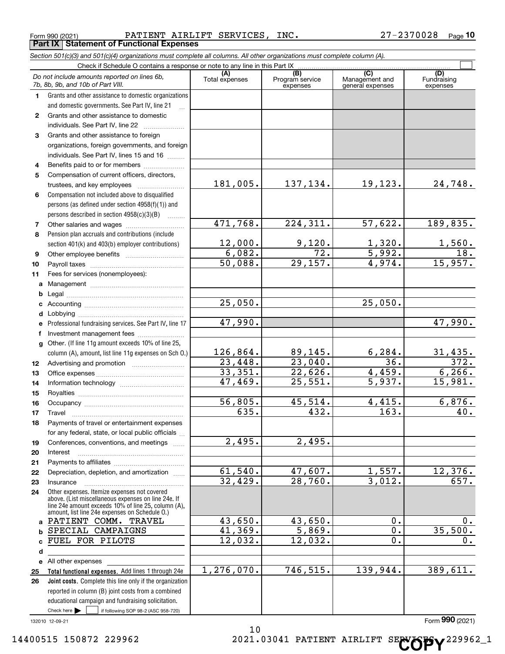Form 990 (2021) Page PATIENT AIRLIFT SERVICES, INC. 27-2370028 **Part IX Statement of Functional Expenses**

|                  | Section 501(c)(3) and 501(c)(4) organizations must complete all columns. All other organizations must complete column (A).                                                                                   |                       |                                    |                                           |                                |
|------------------|--------------------------------------------------------------------------------------------------------------------------------------------------------------------------------------------------------------|-----------------------|------------------------------------|-------------------------------------------|--------------------------------|
|                  | Check if Schedule O contains a response or note to any line in this Part IX                                                                                                                                  |                       |                                    |                                           |                                |
|                  | Do not include amounts reported on lines 6b,<br>7b, 8b, 9b, and 10b of Part VIII.                                                                                                                            | (A)<br>Total expenses | (B)<br>Program service<br>expenses | (C)<br>Management and<br>general expenses | (D)<br>Fundraising<br>expenses |
| 1.               | Grants and other assistance to domestic organizations                                                                                                                                                        |                       |                                    |                                           |                                |
|                  | and domestic governments. See Part IV, line 21                                                                                                                                                               |                       |                                    |                                           |                                |
| $\mathbf{2}$     | Grants and other assistance to domestic                                                                                                                                                                      |                       |                                    |                                           |                                |
|                  | individuals. See Part IV, line 22                                                                                                                                                                            |                       |                                    |                                           |                                |
| 3                | Grants and other assistance to foreign                                                                                                                                                                       |                       |                                    |                                           |                                |
|                  | organizations, foreign governments, and foreign                                                                                                                                                              |                       |                                    |                                           |                                |
|                  | individuals. See Part IV, lines 15 and 16                                                                                                                                                                    |                       |                                    |                                           |                                |
| 4                | Benefits paid to or for members                                                                                                                                                                              |                       |                                    |                                           |                                |
| 5                | Compensation of current officers, directors,                                                                                                                                                                 |                       |                                    |                                           |                                |
|                  |                                                                                                                                                                                                              | 181,005.              | 137,134.                           | 19,123.                                   | 24,748.                        |
| 6                | Compensation not included above to disqualified                                                                                                                                                              |                       |                                    |                                           |                                |
|                  | persons (as defined under section 4958(f)(1)) and                                                                                                                                                            |                       |                                    |                                           |                                |
|                  | persons described in section 4958(c)(3)(B)                                                                                                                                                                   |                       |                                    |                                           |                                |
| 7                |                                                                                                                                                                                                              | 471,768.              | 224,311.                           | 57,622.                                   | 189,835.                       |
| 8                | Pension plan accruals and contributions (include                                                                                                                                                             |                       |                                    |                                           |                                |
|                  | section 401(k) and 403(b) employer contributions)                                                                                                                                                            | 12,000.               | 9,120.                             | 1,320.                                    | $\frac{1,560}{18}$             |
| 9                |                                                                                                                                                                                                              | 6,082.                | $\overline{72}$ .                  | $\frac{1}{5,992.}$                        |                                |
| 10               |                                                                                                                                                                                                              | 50,088.               | 29,157.                            | 4,974.                                    | 15,957.                        |
| 11               | Fees for services (nonemployees):                                                                                                                                                                            |                       |                                    |                                           |                                |
| a                |                                                                                                                                                                                                              |                       |                                    |                                           |                                |
| b                |                                                                                                                                                                                                              |                       |                                    |                                           |                                |
| c                |                                                                                                                                                                                                              | 25,050.               |                                    | 25,050.                                   |                                |
| d                |                                                                                                                                                                                                              |                       |                                    |                                           |                                |
| е                | Professional fundraising services. See Part IV, line 17                                                                                                                                                      | 47,990.               |                                    |                                           | 47,990.                        |
| f                | Investment management fees                                                                                                                                                                                   |                       |                                    |                                           |                                |
| g                | Other. (If line 11g amount exceeds 10% of line 25,                                                                                                                                                           |                       |                                    |                                           |                                |
|                  | column (A), amount, list line 11g expenses on Sch O.)                                                                                                                                                        | 126,864.              | 89, 145.                           | 6, 284.                                   | $\frac{31,435.}{372.}$         |
| 12 <sup>12</sup> |                                                                                                                                                                                                              | 23,448.               | 23,040.                            | $\overline{36}$ .                         |                                |
| 13               |                                                                                                                                                                                                              | 33,351.               | 22,626.                            | 4,459.                                    | 6, 266.                        |
| 14               |                                                                                                                                                                                                              | 47, 469.              | 25,551.                            | 5,937.                                    | 15,981.                        |
| 15               |                                                                                                                                                                                                              |                       |                                    |                                           |                                |
| 16               |                                                                                                                                                                                                              | 56,805.               | $\overline{45,514}$ .              | 4,415.                                    | 6,876.                         |
| 17               |                                                                                                                                                                                                              | 635.                  | 432.                               | 163.                                      | 40.                            |
| 18               | Payments of travel or entertainment expenses                                                                                                                                                                 |                       |                                    |                                           |                                |
|                  | for any federal, state, or local public officials                                                                                                                                                            |                       |                                    |                                           |                                |
| 19               | Conferences, conventions, and meetings                                                                                                                                                                       | 2,495.                | 2,495.                             |                                           |                                |
| 20               | Interest                                                                                                                                                                                                     |                       |                                    |                                           |                                |
| 21               |                                                                                                                                                                                                              |                       |                                    |                                           |                                |
| 22               | Depreciation, depletion, and amortization                                                                                                                                                                    | 61,540.               | 47,607.                            | 1,557.                                    | 12,376.                        |
| 23               | Insurance                                                                                                                                                                                                    | 32,429.               | 28,760.                            | 3,012.                                    | 657.                           |
| 24               | Other expenses. Itemize expenses not covered<br>above. (List miscellaneous expenses on line 24e. If<br>line 24e amount exceeds 10% of line 25, column (A),<br>amount, list line 24e expenses on Schedule O.) |                       |                                    |                                           |                                |
|                  | a PATIENT COMM. TRAVEL                                                                                                                                                                                       | 43,650.               | 43,650.                            | 0.                                        | $0$ .                          |
| b                | SPECIAL CAMPAIGNS                                                                                                                                                                                            | 41,369.               | 5,869.                             | 0.                                        | 35,500.                        |
| c                | FUEL FOR PILOTS                                                                                                                                                                                              | 12,032.               | 12,032.                            | $\mathbf 0$ .                             | $0$ .                          |
| d                |                                                                                                                                                                                                              |                       |                                    |                                           |                                |
|                  | e All other expenses                                                                                                                                                                                         |                       |                                    |                                           |                                |
| 25               | Total functional expenses. Add lines 1 through 24e                                                                                                                                                           | 1,276,070.            | 746, 515.                          | 139,944.                                  | 389,611.                       |
| 26               | <b>Joint costs.</b> Complete this line only if the organization                                                                                                                                              |                       |                                    |                                           |                                |
|                  | reported in column (B) joint costs from a combined                                                                                                                                                           |                       |                                    |                                           |                                |
|                  | educational campaign and fundraising solicitation.                                                                                                                                                           |                       |                                    |                                           |                                |
|                  | Check here $\blacktriangleright$<br>if following SOP 98-2 (ASC 958-720)                                                                                                                                      |                       |                                    |                                           |                                |

132010 12-09-21

10 14400515 150872 229962 2021.03041 PATIENT AIRLIFT SE**NOPY**<sup>229962\_1</sup>

Form (2021) **990**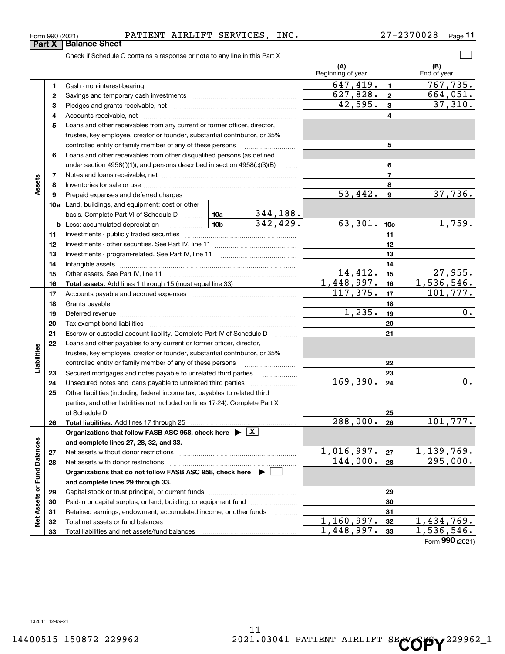Form 990 (2021) Page PATIENT AIRLIFT SERVICES, INC. 27-2370028

**11**

|                             |          | Check if Schedule O contains a response or note to any line in this Part X [11] manufacture in this part X [11] manufacture in this part X [11] manufacture in this part X [11] manufacture in this part X [11] manufacture in |                      |           |                          |                 |                         |
|-----------------------------|----------|--------------------------------------------------------------------------------------------------------------------------------------------------------------------------------------------------------------------------------|----------------------|-----------|--------------------------|-----------------|-------------------------|
|                             |          |                                                                                                                                                                                                                                |                      |           | (A)<br>Beginning of year |                 | (B)<br>End of year      |
|                             | 1        |                                                                                                                                                                                                                                |                      |           | 647,419.                 | $\mathbf{1}$    | 767,735.                |
|                             | 2        |                                                                                                                                                                                                                                |                      |           | 627,828.                 | $\mathbf{2}$    | 664,051.                |
|                             | 3        |                                                                                                                                                                                                                                |                      |           | 42,595.                  | 3               | 37,310.                 |
|                             | 4        |                                                                                                                                                                                                                                |                      |           | 4                        |                 |                         |
|                             | 5        | Loans and other receivables from any current or former officer, director,                                                                                                                                                      |                      |           |                          |                 |                         |
|                             |          | trustee, key employee, creator or founder, substantial contributor, or 35%                                                                                                                                                     |                      |           |                          |                 |                         |
|                             |          | controlled entity or family member of any of these persons                                                                                                                                                                     |                      |           |                          | 5               |                         |
|                             | 6        | Loans and other receivables from other disqualified persons (as defined                                                                                                                                                        |                      |           |                          |                 |                         |
|                             |          | under section $4958(f)(1)$ , and persons described in section $4958(c)(3)(B)$                                                                                                                                                  |                      | 6         |                          |                 |                         |
|                             | 7        |                                                                                                                                                                                                                                |                      |           | $\overline{7}$           |                 |                         |
| Assets                      | 8        |                                                                                                                                                                                                                                |                      | 8         |                          |                 |                         |
|                             | 9        | Prepaid expenses and deferred charges                                                                                                                                                                                          |                      |           | $\overline{53,442}$ .    | 9               | 37,736.                 |
|                             |          | <b>10a</b> Land, buildings, and equipment: cost or other                                                                                                                                                                       |                      |           |                          |                 |                         |
|                             |          | basis. Complete Part VI of Schedule D  10a                                                                                                                                                                                     |                      | 344,188.  |                          |                 |                         |
|                             |          | <b>b</b> Less: accumulated depreciation                                                                                                                                                                                        |                      | 342, 429. | 63,301.                  | 10 <sub>c</sub> | 1,759.                  |
|                             | 11       |                                                                                                                                                                                                                                |                      | 11        |                          |                 |                         |
|                             | 12       |                                                                                                                                                                                                                                |                      | 12        |                          |                 |                         |
|                             | 13       |                                                                                                                                                                                                                                |                      | 13        |                          |                 |                         |
|                             | 14       |                                                                                                                                                                                                                                |                      | 14        |                          |                 |                         |
|                             | 15       |                                                                                                                                                                                                                                |                      | 14,412.   | 15                       | 27,955.         |                         |
|                             | 16       |                                                                                                                                                                                                                                |                      |           | 1,448,997.<br>117, 375.  | 16              | 1,536,546.<br>101, 777. |
|                             | 17       |                                                                                                                                                                                                                                |                      |           |                          | 17              |                         |
|                             | 18       |                                                                                                                                                                                                                                | $\overline{1,235}$ . | 18        | 0.                       |                 |                         |
|                             | 19       | Deferred revenue manual contracts and contracts and contracts are contracted and contracts are contracted and c                                                                                                                |                      |           |                          | 19              |                         |
|                             | 20<br>21 |                                                                                                                                                                                                                                |                      |           |                          | 20              |                         |
|                             | 22       | Escrow or custodial account liability. Complete Part IV of Schedule D<br>Loans and other payables to any current or former officer, director,                                                                                  |                      |           |                          | 21              |                         |
|                             |          | trustee, key employee, creator or founder, substantial contributor, or 35%                                                                                                                                                     |                      |           |                          |                 |                         |
| Liabilities                 |          | controlled entity or family member of any of these persons                                                                                                                                                                     |                      |           |                          | 22              |                         |
|                             | 23       |                                                                                                                                                                                                                                |                      |           |                          | 23              |                         |
|                             | 24       |                                                                                                                                                                                                                                |                      |           | 169,390.                 | 24              | $0$ .                   |
|                             | 25       | Other liabilities (including federal income tax, payables to related third                                                                                                                                                     |                      |           |                          |                 |                         |
|                             |          | parties, and other liabilities not included on lines 17-24). Complete Part X                                                                                                                                                   |                      |           |                          |                 |                         |
|                             |          | of Schedule D                                                                                                                                                                                                                  |                      |           |                          | 25              |                         |
|                             | 26       |                                                                                                                                                                                                                                |                      |           | 288,000.                 | 26              | 101,777.                |
|                             |          | Organizations that follow FASB ASC 958, check here $\triangleright \lfloor X \rfloor$                                                                                                                                          |                      |           |                          |                 |                         |
|                             |          | and complete lines 27, 28, 32, and 33.                                                                                                                                                                                         |                      |           |                          |                 |                         |
|                             | 27       |                                                                                                                                                                                                                                |                      |           | 1,016,997.               | 27              | <u>1,139,769.</u>       |
|                             | 28       |                                                                                                                                                                                                                                |                      |           | 144,000.                 | 28              | 295,000.                |
|                             |          | Organizations that do not follow FASB ASC 958, check here $\blacktriangleright$                                                                                                                                                |                      |           |                          |                 |                         |
|                             |          | and complete lines 29 through 33.                                                                                                                                                                                              |                      |           |                          |                 |                         |
|                             | 29       |                                                                                                                                                                                                                                |                      |           |                          | 29              |                         |
|                             | 30       | Paid-in or capital surplus, or land, building, or equipment fund                                                                                                                                                               |                      |           |                          | 30              |                         |
| Net Assets or Fund Balances | 31       | Retained earnings, endowment, accumulated income, or other funds                                                                                                                                                               |                      |           |                          | 31              |                         |
|                             | 32       |                                                                                                                                                                                                                                |                      |           | 1,160,997.               | 32              | 1,434,769.              |
|                             | 33       |                                                                                                                                                                                                                                |                      |           | 1,448,997.               | 33              | 1,536,546.              |
|                             |          |                                                                                                                                                                                                                                |                      |           |                          |                 | Form 990 (2021)         |

**Part X Balance Sheet**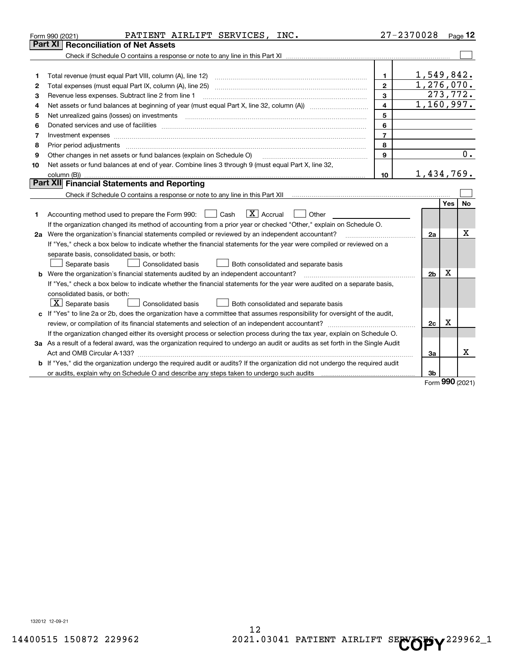|    | PATIENT AIRLIFT SERVICES, INC.<br>Form 990 (2021)                                                                                    |                         | 27-2370028     |          | Page 12 |
|----|--------------------------------------------------------------------------------------------------------------------------------------|-------------------------|----------------|----------|---------|
|    | <b>Part XI   Reconciliation of Net Assets</b>                                                                                        |                         |                |          |         |
|    |                                                                                                                                      |                         |                |          |         |
|    |                                                                                                                                      |                         |                |          |         |
| 1  |                                                                                                                                      | $\mathbf 1$             | 1,549,842.     |          |         |
| 2  |                                                                                                                                      | $\overline{2}$          | 1,276,070.     |          |         |
| з  | Revenue less expenses. Subtract line 2 from line 1                                                                                   | 3                       |                | 273,772. |         |
| 4  |                                                                                                                                      | $\overline{\mathbf{4}}$ | 1,160,997.     |          |         |
| 5  |                                                                                                                                      | 5                       |                |          |         |
| 6  |                                                                                                                                      | 6                       |                |          |         |
| 7  |                                                                                                                                      | $\overline{7}$          |                |          |         |
| 8  |                                                                                                                                      | 8                       |                |          |         |
| 9  | Other changes in net assets or fund balances (explain on Schedule O)                                                                 | 9                       |                |          | 0.      |
| 10 | Net assets or fund balances at end of year. Combine lines 3 through 9 (must equal Part X, line 32,                                   |                         |                |          |         |
|    |                                                                                                                                      | 10                      | 1,434,769.     |          |         |
|    | Part XII Financial Statements and Reporting                                                                                          |                         |                |          |         |
|    |                                                                                                                                      |                         |                |          |         |
|    |                                                                                                                                      |                         |                | Yes      | No      |
| 1  | $\boxed{\text{X}}$ Accrual<br>Accounting method used to prepare the Form 990: <u>June</u> Cash<br>Other<br>$\mathbf{1}$              |                         |                |          |         |
|    | If the organization changed its method of accounting from a prior year or checked "Other," explain on Schedule O.                    |                         |                |          |         |
|    | 2a Were the organization's financial statements compiled or reviewed by an independent accountant?                                   |                         | 2a             |          | x       |
|    | If "Yes," check a box below to indicate whether the financial statements for the year were compiled or reviewed on a                 |                         |                |          |         |
|    | separate basis, consolidated basis, or both:                                                                                         |                         |                |          |         |
|    | Both consolidated and separate basis<br>Separate basis<br>Consolidated basis                                                         |                         |                |          |         |
|    | <b>b</b> Were the organization's financial statements audited by an independent accountant?                                          |                         | 2 <sub>b</sub> | х        |         |
|    | If "Yes," check a box below to indicate whether the financial statements for the year were audited on a separate basis,              |                         |                |          |         |
|    | consolidated basis, or both:                                                                                                         |                         |                |          |         |
|    | $\lfloor x \rfloor$ Separate basis<br><b>Consolidated basis</b><br>Both consolidated and separate basis                              |                         |                |          |         |
|    | c If "Yes" to line 2a or 2b, does the organization have a committee that assumes responsibility for oversight of the audit,          |                         |                |          |         |
|    |                                                                                                                                      |                         | 2c             | x        |         |
|    | If the organization changed either its oversight process or selection process during the tax year, explain on Schedule O.            |                         |                |          |         |
|    | 3a As a result of a federal award, was the organization required to undergo an audit or audits as set forth in the Single Audit      |                         |                |          |         |
|    |                                                                                                                                      |                         | За             |          | Χ       |
|    | <b>b</b> If "Yes," did the organization undergo the required audit or audits? If the organization did not undergo the required audit |                         |                |          |         |
|    | or audits, explain why on Schedule O and describe any steps taken to undergo such audits [11] content to under                       |                         | 3b             |          |         |
|    |                                                                                                                                      |                         |                |          |         |

Form (2021) **990**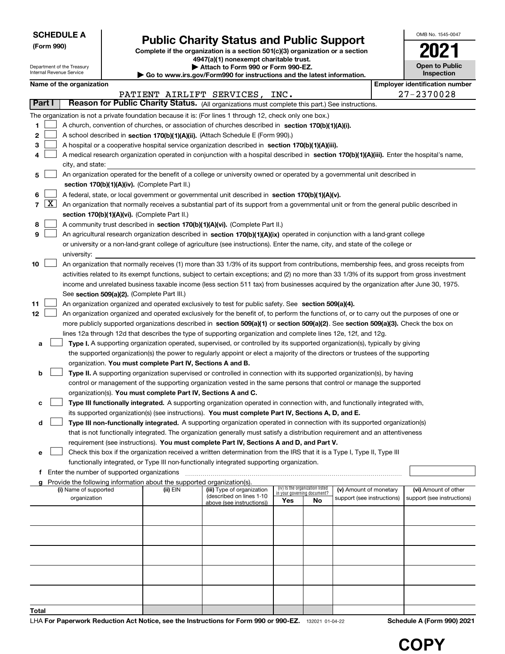Department of the Treasury Internal Revenue Service

**(Form 990)**

# **Public Charity Status and Public Support**

**Complete if the organization is a section 501(c)(3) organization or a section 4947(a)(1) nonexempt charitable trust.**

**| Attach to Form 990 or Form 990-EZ.** 

**| Go to www.irs.gov/Form990 for instructions and the latest information.**

| OMB No. 1545-0047                   |
|-------------------------------------|
|                                     |
| <b>Open to Public</b><br>Inspection |

| Name of the organization |  |
|--------------------------|--|
|--------------------------|--|

|       |                  |                                                                                                                                            | Name of the organization                                                                                                                     |          |                                |                                    |                                 |                            |  | <b>Employer identification number</b> |  |  |  |
|-------|------------------|--------------------------------------------------------------------------------------------------------------------------------------------|----------------------------------------------------------------------------------------------------------------------------------------------|----------|--------------------------------|------------------------------------|---------------------------------|----------------------------|--|---------------------------------------|--|--|--|
|       |                  |                                                                                                                                            |                                                                                                                                              |          | PATIENT AIRLIFT SERVICES, INC. |                                    |                                 |                            |  | 27-2370028                            |  |  |  |
|       | Part I           |                                                                                                                                            | Reason for Public Charity Status. (All organizations must complete this part.) See instructions.                                             |          |                                |                                    |                                 |                            |  |                                       |  |  |  |
|       |                  |                                                                                                                                            | The organization is not a private foundation because it is: (For lines 1 through 12, check only one box.)                                    |          |                                |                                    |                                 |                            |  |                                       |  |  |  |
| 1     |                  |                                                                                                                                            | A church, convention of churches, or association of churches described in section 170(b)(1)(A)(i).                                           |          |                                |                                    |                                 |                            |  |                                       |  |  |  |
| 2     |                  |                                                                                                                                            | A school described in section 170(b)(1)(A)(ii). (Attach Schedule E (Form 990).)                                                              |          |                                |                                    |                                 |                            |  |                                       |  |  |  |
| з     |                  | A hospital or a cooperative hospital service organization described in section 170(b)(1)(A)(iii).                                          |                                                                                                                                              |          |                                |                                    |                                 |                            |  |                                       |  |  |  |
| 4     |                  | A medical research organization operated in conjunction with a hospital described in section 170(b)(1)(A)(iii). Enter the hospital's name, |                                                                                                                                              |          |                                |                                    |                                 |                            |  |                                       |  |  |  |
|       | city, and state: |                                                                                                                                            |                                                                                                                                              |          |                                |                                    |                                 |                            |  |                                       |  |  |  |
| 5     |                  |                                                                                                                                            | An organization operated for the benefit of a college or university owned or operated by a governmental unit described in                    |          |                                |                                    |                                 |                            |  |                                       |  |  |  |
|       |                  |                                                                                                                                            | section 170(b)(1)(A)(iv). (Complete Part II.)                                                                                                |          |                                |                                    |                                 |                            |  |                                       |  |  |  |
| 6     |                  |                                                                                                                                            | A federal, state, or local government or governmental unit described in section 170(b)(1)(A)(v).                                             |          |                                |                                    |                                 |                            |  |                                       |  |  |  |
|       | $7 \times$       |                                                                                                                                            | An organization that normally receives a substantial part of its support from a governmental unit or from the general public described in    |          |                                |                                    |                                 |                            |  |                                       |  |  |  |
|       |                  |                                                                                                                                            | section 170(b)(1)(A)(vi). (Complete Part II.)                                                                                                |          |                                |                                    |                                 |                            |  |                                       |  |  |  |
| 8     |                  |                                                                                                                                            | A community trust described in section 170(b)(1)(A)(vi). (Complete Part II.)                                                                 |          |                                |                                    |                                 |                            |  |                                       |  |  |  |
| 9     |                  |                                                                                                                                            | An agricultural research organization described in section 170(b)(1)(A)(ix) operated in conjunction with a land-grant college                |          |                                |                                    |                                 |                            |  |                                       |  |  |  |
|       |                  |                                                                                                                                            | or university or a non-land-grant college of agriculture (see instructions). Enter the name, city, and state of the college or               |          |                                |                                    |                                 |                            |  |                                       |  |  |  |
|       |                  |                                                                                                                                            | university:                                                                                                                                  |          |                                |                                    |                                 |                            |  |                                       |  |  |  |
| 10    |                  |                                                                                                                                            | An organization that normally receives (1) more than 33 1/3% of its support from contributions, membership fees, and gross receipts from     |          |                                |                                    |                                 |                            |  |                                       |  |  |  |
|       |                  |                                                                                                                                            | activities related to its exempt functions, subject to certain exceptions; and (2) no more than 33 1/3% of its support from gross investment |          |                                |                                    |                                 |                            |  |                                       |  |  |  |
|       |                  |                                                                                                                                            | income and unrelated business taxable income (less section 511 tax) from businesses acquired by the organization after June 30, 1975.        |          |                                |                                    |                                 |                            |  |                                       |  |  |  |
|       |                  |                                                                                                                                            | See section 509(a)(2). (Complete Part III.)                                                                                                  |          |                                |                                    |                                 |                            |  |                                       |  |  |  |
| 11    |                  |                                                                                                                                            | An organization organized and operated exclusively to test for public safety. See section 509(a)(4).                                         |          |                                |                                    |                                 |                            |  |                                       |  |  |  |
| 12    |                  |                                                                                                                                            | An organization organized and operated exclusively for the benefit of, to perform the functions of, or to carry out the purposes of one or   |          |                                |                                    |                                 |                            |  |                                       |  |  |  |
|       |                  |                                                                                                                                            | more publicly supported organizations described in section 509(a)(1) or section 509(a)(2). See section 509(a)(3). Check the box on           |          |                                |                                    |                                 |                            |  |                                       |  |  |  |
|       |                  |                                                                                                                                            | lines 12a through 12d that describes the type of supporting organization and complete lines 12e, 12f, and 12g.                               |          |                                |                                    |                                 |                            |  |                                       |  |  |  |
| а     |                  |                                                                                                                                            | Type I. A supporting organization operated, supervised, or controlled by its supported organization(s), typically by giving                  |          |                                |                                    |                                 |                            |  |                                       |  |  |  |
|       |                  |                                                                                                                                            | the supported organization(s) the power to regularly appoint or elect a majority of the directors or trustees of the supporting              |          |                                |                                    |                                 |                            |  |                                       |  |  |  |
|       |                  |                                                                                                                                            | organization. You must complete Part IV, Sections A and B.                                                                                   |          |                                |                                    |                                 |                            |  |                                       |  |  |  |
| b     |                  |                                                                                                                                            | Type II. A supporting organization supervised or controlled in connection with its supported organization(s), by having                      |          |                                |                                    |                                 |                            |  |                                       |  |  |  |
|       |                  |                                                                                                                                            | control or management of the supporting organization vested in the same persons that control or manage the supported                         |          |                                |                                    |                                 |                            |  |                                       |  |  |  |
|       |                  |                                                                                                                                            | organization(s). You must complete Part IV, Sections A and C.                                                                                |          |                                |                                    |                                 |                            |  |                                       |  |  |  |
| с     |                  |                                                                                                                                            | Type III functionally integrated. A supporting organization operated in connection with, and functionally integrated with,                   |          |                                |                                    |                                 |                            |  |                                       |  |  |  |
|       |                  |                                                                                                                                            | its supported organization(s) (see instructions). You must complete Part IV, Sections A, D, and E.                                           |          |                                |                                    |                                 |                            |  |                                       |  |  |  |
| d     |                  |                                                                                                                                            | Type III non-functionally integrated. A supporting organization operated in connection with its supported organization(s)                    |          |                                |                                    |                                 |                            |  |                                       |  |  |  |
|       |                  |                                                                                                                                            | that is not functionally integrated. The organization generally must satisfy a distribution requirement and an attentiveness                 |          |                                |                                    |                                 |                            |  |                                       |  |  |  |
|       |                  |                                                                                                                                            | requirement (see instructions). You must complete Part IV, Sections A and D, and Part V.                                                     |          |                                |                                    |                                 |                            |  |                                       |  |  |  |
|       |                  |                                                                                                                                            | Check this box if the organization received a written determination from the IRS that it is a Type I, Type II, Type III                      |          |                                |                                    |                                 |                            |  |                                       |  |  |  |
|       |                  |                                                                                                                                            | functionally integrated, or Type III non-functionally integrated supporting organization.                                                    |          |                                |                                    |                                 |                            |  |                                       |  |  |  |
|       |                  |                                                                                                                                            | f Enter the number of supported organizations                                                                                                |          |                                |                                    |                                 |                            |  |                                       |  |  |  |
|       |                  |                                                                                                                                            | g Provide the following information about the supported organization(s).<br>(i) Name of supported                                            | (ii) EIN | (iii) Type of organization     |                                    | (iv) Is the organization listed | (v) Amount of monetary     |  | (vi) Amount of other                  |  |  |  |
|       |                  |                                                                                                                                            | organization                                                                                                                                 |          | (described on lines 1-10       | in your governing document?<br>Yes | No                              | support (see instructions) |  | support (see instructions)            |  |  |  |
|       |                  |                                                                                                                                            |                                                                                                                                              |          | above (see instructions))      |                                    |                                 |                            |  |                                       |  |  |  |
|       |                  |                                                                                                                                            |                                                                                                                                              |          |                                |                                    |                                 |                            |  |                                       |  |  |  |
|       |                  |                                                                                                                                            |                                                                                                                                              |          |                                |                                    |                                 |                            |  |                                       |  |  |  |
|       |                  |                                                                                                                                            |                                                                                                                                              |          |                                |                                    |                                 |                            |  |                                       |  |  |  |
|       |                  |                                                                                                                                            |                                                                                                                                              |          |                                |                                    |                                 |                            |  |                                       |  |  |  |
|       |                  |                                                                                                                                            |                                                                                                                                              |          |                                |                                    |                                 |                            |  |                                       |  |  |  |
|       |                  |                                                                                                                                            |                                                                                                                                              |          |                                |                                    |                                 |                            |  |                                       |  |  |  |
|       |                  |                                                                                                                                            |                                                                                                                                              |          |                                |                                    |                                 |                            |  |                                       |  |  |  |
|       |                  |                                                                                                                                            |                                                                                                                                              |          |                                |                                    |                                 |                            |  |                                       |  |  |  |
|       |                  |                                                                                                                                            |                                                                                                                                              |          |                                |                                    |                                 |                            |  |                                       |  |  |  |
| Total |                  |                                                                                                                                            |                                                                                                                                              |          |                                |                                    |                                 |                            |  |                                       |  |  |  |

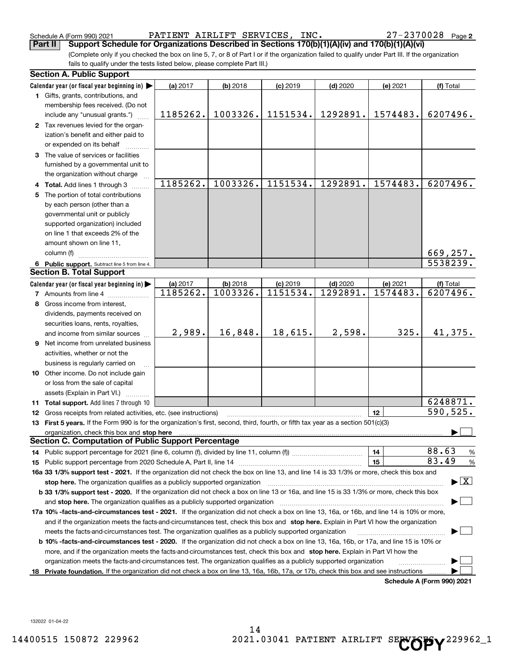Schedule A (Form 990) 2021 PATIENT AIRLIFT SERVICES, INC. 27-2370028 Page

(Complete only if you checked the box on line 5, 7, or 8 of Part I or if the organization failed to qualify under Part III. If the organization fails to qualify under the tests listed below, please complete Part III.) **Part II Support Schedule for Organizations Described in Sections 170(b)(1)(A)(iv) and 170(b)(1)(A)(vi)**

|    | <b>Section A. Public Support</b>                                                                                                               |                      |                        |                        |                        |                      |                                 |
|----|------------------------------------------------------------------------------------------------------------------------------------------------|----------------------|------------------------|------------------------|------------------------|----------------------|---------------------------------|
|    | Calendar year (or fiscal year beginning in) $\blacktriangleright$                                                                              | (a) 2017             | $(b)$ 2018             | $(c)$ 2019             | $(d)$ 2020             | (e) 2021             | (f) Total                       |
|    | 1 Gifts, grants, contributions, and                                                                                                            |                      |                        |                        |                        |                      |                                 |
|    | membership fees received. (Do not                                                                                                              |                      |                        |                        |                        |                      |                                 |
|    | include any "unusual grants.")                                                                                                                 | 1185262.             | 1003326.               | 1151534.               | 1292891.               | 1574483.             | 6207496.                        |
|    | 2 Tax revenues levied for the organ-                                                                                                           |                      |                        |                        |                        |                      |                                 |
|    | ization's benefit and either paid to                                                                                                           |                      |                        |                        |                        |                      |                                 |
|    | or expended on its behalf                                                                                                                      |                      |                        |                        |                        |                      |                                 |
|    | 3 The value of services or facilities                                                                                                          |                      |                        |                        |                        |                      |                                 |
|    | furnished by a governmental unit to                                                                                                            |                      |                        |                        |                        |                      |                                 |
|    | the organization without charge                                                                                                                |                      |                        |                        |                        |                      |                                 |
|    | 4 Total. Add lines 1 through 3                                                                                                                 | 1185262.             | 1003326.               | 1151534.               | 1292891.               | 1574483.             | 6207496.                        |
| 5. | The portion of total contributions                                                                                                             |                      |                        |                        |                        |                      |                                 |
|    | by each person (other than a                                                                                                                   |                      |                        |                        |                        |                      |                                 |
|    | governmental unit or publicly                                                                                                                  |                      |                        |                        |                        |                      |                                 |
|    | supported organization) included                                                                                                               |                      |                        |                        |                        |                      |                                 |
|    | on line 1 that exceeds 2% of the                                                                                                               |                      |                        |                        |                        |                      |                                 |
|    | amount shown on line 11,                                                                                                                       |                      |                        |                        |                        |                      |                                 |
|    | column (f)                                                                                                                                     |                      |                        |                        |                        |                      | 669,257.                        |
|    | 6 Public support. Subtract line 5 from line 4.<br><b>Section B. Total Support</b>                                                              |                      |                        |                        |                        |                      | 5538239.                        |
|    |                                                                                                                                                |                      |                        |                        |                        |                      |                                 |
|    | Calendar year (or fiscal year beginning in)                                                                                                    | (a) 2017<br>1185262. | $(b)$ 2018<br>1003326. | $(c)$ 2019<br>1151534. | $(d)$ 2020<br>1292891. | (e) 2021<br>1574483. | (f) Total<br>6207496.           |
|    | <b>7</b> Amounts from line 4                                                                                                                   |                      |                        |                        |                        |                      |                                 |
|    | 8 Gross income from interest,                                                                                                                  |                      |                        |                        |                        |                      |                                 |
|    | dividends, payments received on                                                                                                                |                      |                        |                        |                        |                      |                                 |
|    | securities loans, rents, royalties,                                                                                                            | 2,989.               | 16,848.                | 18,615.                | 2,598.                 | 325.                 | 41,375.                         |
|    | and income from similar sources                                                                                                                |                      |                        |                        |                        |                      |                                 |
|    | <b>9</b> Net income from unrelated business                                                                                                    |                      |                        |                        |                        |                      |                                 |
|    | activities, whether or not the                                                                                                                 |                      |                        |                        |                        |                      |                                 |
|    | business is regularly carried on                                                                                                               |                      |                        |                        |                        |                      |                                 |
|    | 10 Other income. Do not include gain                                                                                                           |                      |                        |                        |                        |                      |                                 |
|    | or loss from the sale of capital                                                                                                               |                      |                        |                        |                        |                      |                                 |
|    | assets (Explain in Part VI.)<br><b>11 Total support.</b> Add lines 7 through 10                                                                |                      |                        |                        |                        |                      | 6248871.                        |
|    | 12 Gross receipts from related activities, etc. (see instructions)                                                                             |                      |                        |                        |                        | 12                   | 590,525.                        |
|    | 13 First 5 years. If the Form 990 is for the organization's first, second, third, fourth, or fifth tax year as a section 501(c)(3)             |                      |                        |                        |                        |                      |                                 |
|    | organization, check this box and stop here                                                                                                     |                      |                        |                        |                        |                      |                                 |
|    | <b>Section C. Computation of Public Support Percentage</b>                                                                                     |                      |                        |                        |                        |                      |                                 |
|    |                                                                                                                                                |                      |                        |                        |                        | 14                   | 88.63<br>$\frac{9}{6}$          |
|    |                                                                                                                                                |                      |                        |                        |                        | 15                   | 83.49<br>%                      |
|    | 16a 33 1/3% support test - 2021. If the organization did not check the box on line 13, and line 14 is 33 1/3% or more, check this box and      |                      |                        |                        |                        |                      |                                 |
|    | stop here. The organization qualifies as a publicly supported organization                                                                     |                      |                        |                        |                        |                      | $\blacktriangleright$ $\vert$ X |
|    | b 33 1/3% support test - 2020. If the organization did not check a box on line 13 or 16a, and line 15 is 33 1/3% or more, check this box       |                      |                        |                        |                        |                      |                                 |
|    | and stop here. The organization qualifies as a publicly supported organization                                                                 |                      |                        |                        |                        |                      |                                 |
|    | 17a 10% -facts-and-circumstances test - 2021. If the organization did not check a box on line 13, 16a, or 16b, and line 14 is 10% or more,     |                      |                        |                        |                        |                      |                                 |
|    | and if the organization meets the facts-and-circumstances test, check this box and stop here. Explain in Part VI how the organization          |                      |                        |                        |                        |                      |                                 |
|    | meets the facts-and-circumstances test. The organization qualifies as a publicly supported organization                                        |                      |                        |                        |                        |                      |                                 |
|    | <b>b 10% -facts-and-circumstances test - 2020.</b> If the organization did not check a box on line 13, 16a, 16b, or 17a, and line 15 is 10% or |                      |                        |                        |                        |                      |                                 |
|    | more, and if the organization meets the facts-and-circumstances test, check this box and stop here. Explain in Part VI how the                 |                      |                        |                        |                        |                      |                                 |
|    | organization meets the facts-and-circumstances test. The organization qualifies as a publicly supported organization                           |                      |                        |                        |                        |                      |                                 |
|    | 18 Private foundation. If the organization did not check a box on line 13, 16a, 16b, 17a, or 17b, check this box and see instructions          |                      |                        |                        |                        |                      |                                 |
|    |                                                                                                                                                |                      |                        |                        |                        |                      | Schedule A (Form 990) 2021      |

**Schedule A (Form 990) 2021**

132022 01-04-22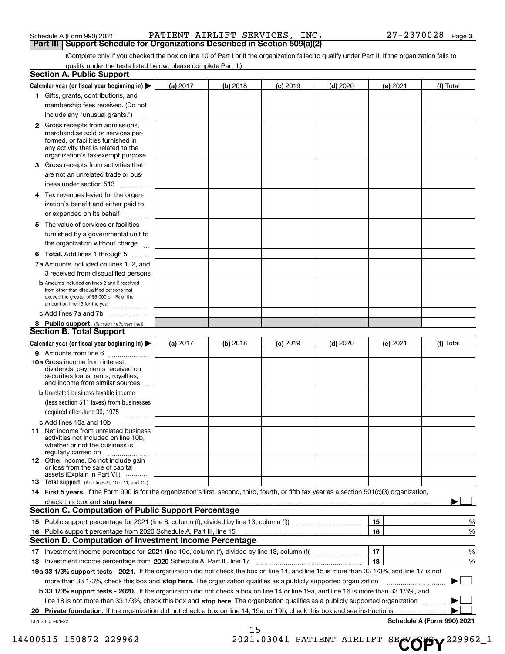| Schedule A (Form 990) 2021 |  |  |
|----------------------------|--|--|
|                            |  |  |

Schedule A (Form 990) 2021 PATIENT AIRLIFT SERVICES, INC. 27-2370028 Page **Part III** | Support Schedule for Organizations Described in Section 509(a)(2)

(Complete only if you checked the box on line 10 of Part I or if the organization failed to qualify under Part II. If the organization fails to qualify under the tests listed below, please complete Part II.)

|    | <b>Section A. Public Support</b>                                                                                                                                                                                                                                                |          |          |            |            |          |                            |
|----|---------------------------------------------------------------------------------------------------------------------------------------------------------------------------------------------------------------------------------------------------------------------------------|----------|----------|------------|------------|----------|----------------------------|
|    | Calendar year (or fiscal year beginning in) $\blacktriangleright$                                                                                                                                                                                                               | (a) 2017 | (b) 2018 | $(c)$ 2019 | $(d)$ 2020 | (e) 2021 | (f) Total                  |
|    | 1 Gifts, grants, contributions, and                                                                                                                                                                                                                                             |          |          |            |            |          |                            |
|    | membership fees received. (Do not                                                                                                                                                                                                                                               |          |          |            |            |          |                            |
|    | include any "unusual grants.")                                                                                                                                                                                                                                                  |          |          |            |            |          |                            |
|    | <b>2</b> Gross receipts from admissions,<br>merchandise sold or services per-<br>formed, or facilities furnished in<br>any activity that is related to the<br>organization's tax-exempt purpose                                                                                 |          |          |            |            |          |                            |
|    | 3 Gross receipts from activities that<br>are not an unrelated trade or bus-                                                                                                                                                                                                     |          |          |            |            |          |                            |
|    | iness under section 513                                                                                                                                                                                                                                                         |          |          |            |            |          |                            |
|    | 4 Tax revenues levied for the organ-<br>ization's benefit and either paid to<br>or expended on its behalf                                                                                                                                                                       |          |          |            |            |          |                            |
|    | 5 The value of services or facilities<br>furnished by a governmental unit to<br>the organization without charge                                                                                                                                                                 |          |          |            |            |          |                            |
|    | <b>6 Total.</b> Add lines 1 through 5                                                                                                                                                                                                                                           |          |          |            |            |          |                            |
|    | 7a Amounts included on lines 1, 2, and                                                                                                                                                                                                                                          |          |          |            |            |          |                            |
|    | 3 received from disqualified persons                                                                                                                                                                                                                                            |          |          |            |            |          |                            |
|    | <b>b</b> Amounts included on lines 2 and 3 received<br>from other than disqualified persons that<br>exceed the greater of \$5,000 or 1% of the<br>amount on line 13 for the year                                                                                                |          |          |            |            |          |                            |
|    | c Add lines 7a and 7b                                                                                                                                                                                                                                                           |          |          |            |            |          |                            |
|    | 8 Public support. (Subtract line 7c from line 6.)                                                                                                                                                                                                                               |          |          |            |            |          |                            |
|    | <b>Section B. Total Support</b>                                                                                                                                                                                                                                                 |          |          |            |            |          |                            |
|    | Calendar year (or fiscal year beginning in)                                                                                                                                                                                                                                     | (a) 2017 | (b) 2018 | $(c)$ 2019 | $(d)$ 2020 | (e) 2021 | (f) Total                  |
|    | 9 Amounts from line 6                                                                                                                                                                                                                                                           |          |          |            |            |          |                            |
|    | 10a Gross income from interest,<br>dividends, payments received on<br>securities loans, rents, royalties,<br>and income from similar sources                                                                                                                                    |          |          |            |            |          |                            |
|    | <b>b</b> Unrelated business taxable income                                                                                                                                                                                                                                      |          |          |            |            |          |                            |
|    | (less section 511 taxes) from businesses<br>acquired after June 30, 1975                                                                                                                                                                                                        |          |          |            |            |          |                            |
|    | c Add lines 10a and 10b<br><b>11</b> Net income from unrelated business<br>activities not included on line 10b.<br>whether or not the business is<br>regularly carried on                                                                                                       |          |          |            |            |          |                            |
|    | <b>12</b> Other income. Do not include gain<br>or loss from the sale of capital<br>assets (Explain in Part VI.)                                                                                                                                                                 |          |          |            |            |          |                            |
|    | <b>13</b> Total support. (Add lines 9, 10c, 11, and 12.)                                                                                                                                                                                                                        |          |          |            |            |          |                            |
|    | 14 First 5 years. If the Form 990 is for the organization's first, second, third, fourth, or fifth tax year as a section 501(c)(3) organization,                                                                                                                                |          |          |            |            |          |                            |
|    | check this box and stop here manufactured and content to the state of the state of the state of the state of the state of the state of the state of the state of the state of the state of the state of the state of the state                                                  |          |          |            |            |          |                            |
|    | <b>Section C. Computation of Public Support Percentage</b>                                                                                                                                                                                                                      |          |          |            |            |          |                            |
|    | 15 Public support percentage for 2021 (line 8, column (f), divided by line 13, column (f))                                                                                                                                                                                      |          |          |            |            | 15       | %                          |
|    | 16 Public support percentage from 2020 Schedule A, Part III, line 15                                                                                                                                                                                                            |          |          |            |            | 16       | %                          |
|    | <b>Section D. Computation of Investment Income Percentage</b>                                                                                                                                                                                                                   |          |          |            |            |          |                            |
|    | 17 Investment income percentage for 2021 (line 10c, column (f), divided by line 13, column (f))                                                                                                                                                                                 |          |          |            |            | 17       | %                          |
|    | 18 Investment income percentage from 2020 Schedule A, Part III, line 17                                                                                                                                                                                                         |          |          |            |            | 18       | %                          |
|    | 19a 33 1/3% support tests - 2021. If the organization did not check the box on line 14, and line 15 is more than 33 1/3%, and line 17 is not                                                                                                                                    |          |          |            |            |          |                            |
|    | more than 33 1/3%, check this box and stop here. The organization qualifies as a publicly supported organization                                                                                                                                                                |          |          |            |            |          |                            |
|    | <b>b 33 1/3% support tests - 2020.</b> If the organization did not check a box on line 14 or line 19a, and line 16 is more than 33 1/3%, and<br>line 18 is not more than 33 1/3%, check this box and stop here. The organization qualifies as a publicly supported organization |          |          |            |            |          |                            |
| 20 | Private foundation. If the organization did not check a box on line 14, 19a, or 19b, check this box and see instructions                                                                                                                                                        |          |          |            |            |          |                            |
|    | 132023 01-04-22                                                                                                                                                                                                                                                                 |          |          |            |            |          | Schedule A (Form 990) 2021 |
|    |                                                                                                                                                                                                                                                                                 |          |          |            |            |          |                            |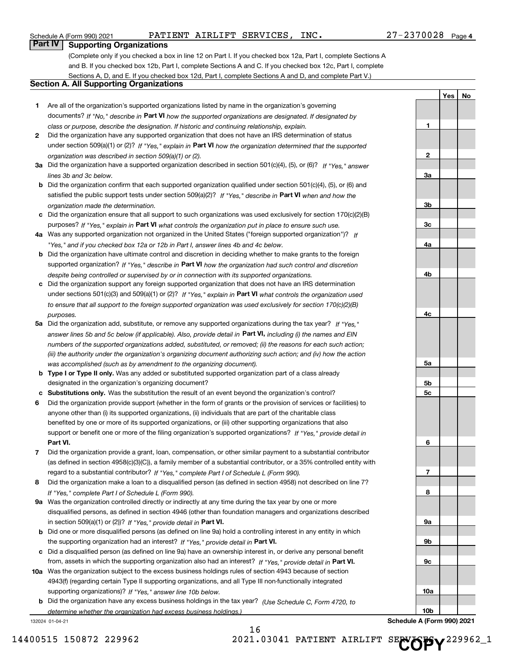Schedule A (Form 990) 2021 PATIENT AIRLIFT SERVICES, INC. 27-2370028 Page

**1**

**2**

**3a**

**3b**

**3c**

**4a**

**4b**

**4c**

**5a**

**5b5c**

**6**

**7**

**8**

**9a**

**9b**

**9c**

**10a**

**10b**

**Yes No**

#### **Part IV Supporting Organizations**

(Complete only if you checked a box in line 12 on Part I. If you checked box 12a, Part I, complete Sections A and B. If you checked box 12b, Part I, complete Sections A and C. If you checked box 12c, Part I, complete Sections A, D, and E. If you checked box 12d, Part I, complete Sections A and D, and complete Part V.)

#### **Section A. All Supporting Organizations**

- **1** Are all of the organization's supported organizations listed by name in the organization's governing documents? If "No," describe in **Part VI** how the supported organizations are designated. If designated by *class or purpose, describe the designation. If historic and continuing relationship, explain.*
- **2** Did the organization have any supported organization that does not have an IRS determination of status under section 509(a)(1) or (2)? If "Yes," explain in Part VI how the organization determined that the supported *organization was described in section 509(a)(1) or (2).*
- **3a** Did the organization have a supported organization described in section 501(c)(4), (5), or (6)? If "Yes," answer *lines 3b and 3c below.*
- **b** Did the organization confirm that each supported organization qualified under section 501(c)(4), (5), or (6) and satisfied the public support tests under section 509(a)(2)? If "Yes," describe in **Part VI** when and how the *organization made the determination.*
- **c**Did the organization ensure that all support to such organizations was used exclusively for section 170(c)(2)(B) purposes? If "Yes," explain in **Part VI** what controls the organization put in place to ensure such use.
- **4a***If* Was any supported organization not organized in the United States ("foreign supported organization")? *"Yes," and if you checked box 12a or 12b in Part I, answer lines 4b and 4c below.*
- **b** Did the organization have ultimate control and discretion in deciding whether to make grants to the foreign supported organization? If "Yes," describe in **Part VI** how the organization had such control and discretion *despite being controlled or supervised by or in connection with its supported organizations.*
- **c** Did the organization support any foreign supported organization that does not have an IRS determination under sections 501(c)(3) and 509(a)(1) or (2)? If "Yes," explain in **Part VI** what controls the organization used *to ensure that all support to the foreign supported organization was used exclusively for section 170(c)(2)(B) purposes.*
- **5a** Did the organization add, substitute, or remove any supported organizations during the tax year? If "Yes," answer lines 5b and 5c below (if applicable). Also, provide detail in **Part VI,** including (i) the names and EIN *numbers of the supported organizations added, substituted, or removed; (ii) the reasons for each such action; (iii) the authority under the organization's organizing document authorizing such action; and (iv) how the action was accomplished (such as by amendment to the organizing document).*
- **b** Type I or Type II only. Was any added or substituted supported organization part of a class already designated in the organization's organizing document?
- **cSubstitutions only.**  Was the substitution the result of an event beyond the organization's control?
- **6** Did the organization provide support (whether in the form of grants or the provision of services or facilities) to **Part VI.** *If "Yes," provide detail in* support or benefit one or more of the filing organization's supported organizations? anyone other than (i) its supported organizations, (ii) individuals that are part of the charitable class benefited by one or more of its supported organizations, or (iii) other supporting organizations that also
- **7**Did the organization provide a grant, loan, compensation, or other similar payment to a substantial contributor *If "Yes," complete Part I of Schedule L (Form 990).* regard to a substantial contributor? (as defined in section 4958(c)(3)(C)), a family member of a substantial contributor, or a 35% controlled entity with
- **8** Did the organization make a loan to a disqualified person (as defined in section 4958) not described on line 7? *If "Yes," complete Part I of Schedule L (Form 990).*
- **9a** Was the organization controlled directly or indirectly at any time during the tax year by one or more in section 509(a)(1) or (2))? If "Yes," *provide detail in* <code>Part VI.</code> disqualified persons, as defined in section 4946 (other than foundation managers and organizations described
- **b** Did one or more disqualified persons (as defined on line 9a) hold a controlling interest in any entity in which the supporting organization had an interest? If "Yes," provide detail in P**art VI**.
- **c**Did a disqualified person (as defined on line 9a) have an ownership interest in, or derive any personal benefit from, assets in which the supporting organization also had an interest? If "Yes," provide detail in P**art VI.**
- **10a** Was the organization subject to the excess business holdings rules of section 4943 because of section supporting organizations)? If "Yes," answer line 10b below. 4943(f) (regarding certain Type II supporting organizations, and all Type III non-functionally integrated
- **b** Did the organization have any excess business holdings in the tax year? (Use Schedule C, Form 4720, to *determine whether the organization had excess business holdings.)*

16

132024 01-04-21

**Schedule A (Form 990) 2021**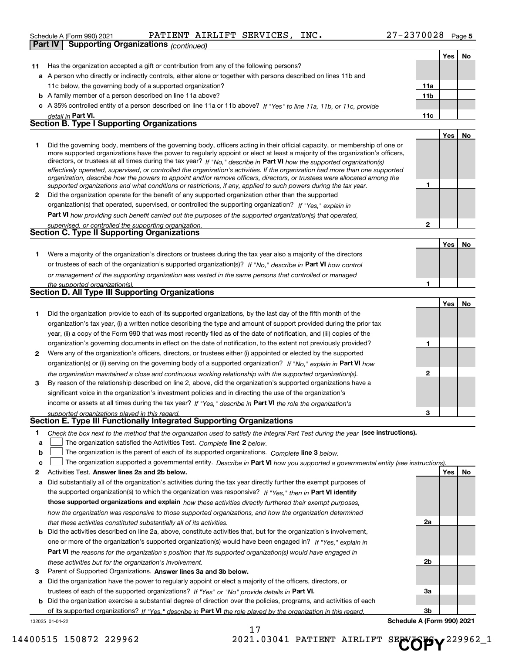|                | Schedule A (Form 990) 2021                                                                                       |                                             |  | PATIENT AIRLIFT SERVICES, INC. |                                                                                                                      | 27-2370028 |     |          | Page 5 |
|----------------|------------------------------------------------------------------------------------------------------------------|---------------------------------------------|--|--------------------------------|----------------------------------------------------------------------------------------------------------------------|------------|-----|----------|--------|
| <b>Part IV</b> |                                                                                                                  | <b>Supporting Organizations (continued)</b> |  |                                |                                                                                                                      |            |     |          |        |
|                |                                                                                                                  |                                             |  |                                |                                                                                                                      |            |     | Yes   No |        |
| 11             | Has the organization accepted a gift or contribution from any of the following persons?                          |                                             |  |                                |                                                                                                                      |            |     |          |        |
|                | a A person who directly or indirectly controls, either alone or together with persons described on lines 11b and |                                             |  |                                |                                                                                                                      |            |     |          |        |
|                | 11c below, the governing body of a supported organization?<br>11a                                                |                                             |  |                                |                                                                                                                      |            |     |          |        |
|                | <b>b</b> A family member of a person described on line 11a above?                                                |                                             |  |                                |                                                                                                                      |            | 11b |          |        |
|                |                                                                                                                  |                                             |  |                                | c A 35% controlled entity of a person described on line 11a or 11b above? If "Yes" to line 11a, 11b, or 11c, provide |            |     |          |        |
|                | <u>detail in Part VI.</u>                                                                                        |                                             |  |                                |                                                                                                                      |            | 11c |          |        |
|                | <b>Section B. Type I Supporting Organizations</b>                                                                |                                             |  |                                |                                                                                                                      |            |     |          |        |

PATIENT AIRLIFT SERVICES, INC. 27-2370028

|                |                                                                                                                                                                                                                                                                                                                                                                                                                                                                                                                                                                                                                                                      |   | Yes l | .No |
|----------------|------------------------------------------------------------------------------------------------------------------------------------------------------------------------------------------------------------------------------------------------------------------------------------------------------------------------------------------------------------------------------------------------------------------------------------------------------------------------------------------------------------------------------------------------------------------------------------------------------------------------------------------------------|---|-------|-----|
|                | Did the governing body, members of the governing body, officers acting in their official capacity, or membership of one or<br>more supported organizations have the power to regularly appoint or elect at least a majority of the organization's officers,<br>directors, or trustees at all times during the tax year? If "No," describe in Part VI how the supported organization(s)<br>effectively operated, supervised, or controlled the organization's activities. If the organization had more than one supported<br>organization, describe how the powers to appoint and/or remove officers, directors, or trustees were allocated among the |   |       |     |
|                | supported organizations and what conditions or restrictions, if any, applied to such powers during the tax year.                                                                                                                                                                                                                                                                                                                                                                                                                                                                                                                                     |   |       |     |
| $\overline{2}$ | Did the organization operate for the benefit of any supported organization other than the supported                                                                                                                                                                                                                                                                                                                                                                                                                                                                                                                                                  |   |       |     |
|                | organization(s) that operated, supervised, or controlled the supporting organization? If "Yes," explain in                                                                                                                                                                                                                                                                                                                                                                                                                                                                                                                                           |   |       |     |
|                | Part VI how providing such benefit carried out the purposes of the supported organization(s) that operated,                                                                                                                                                                                                                                                                                                                                                                                                                                                                                                                                          |   |       |     |
|                | supervised, or controlled the supporting organization.                                                                                                                                                                                                                                                                                                                                                                                                                                                                                                                                                                                               | ּ |       |     |
|                | <b>Section C. Type II Supporting Organizations</b>                                                                                                                                                                                                                                                                                                                                                                                                                                                                                                                                                                                                   |   |       |     |

|                                                                                                                  | <b>Yes</b> |  |
|------------------------------------------------------------------------------------------------------------------|------------|--|
| Were a majority of the organization's directors or trustees during the tax year also a majority of the directors |            |  |
| or trustees of each of the organization's supported organization(s)? If "No," describe in Part VI how control    |            |  |
| or management of the supporting organization was vested in the same persons that controlled or managed           |            |  |
| the supported organization(s).                                                                                   |            |  |
| <b>Section D. All Type III Supporting Organizations</b>                                                          |            |  |

|              | . .<br>. .                                                                                                             |   |     |    |
|--------------|------------------------------------------------------------------------------------------------------------------------|---|-----|----|
|              |                                                                                                                        |   | Yes | No |
|              | Did the organization provide to each of its supported organizations, by the last day of the fifth month of the         |   |     |    |
|              | organization's tax year, (i) a written notice describing the type and amount of support provided during the prior tax  |   |     |    |
|              | year, (ii) a copy of the Form 990 that was most recently filed as of the date of notification, and (iii) copies of the |   |     |    |
|              | organization's governing documents in effect on the date of notification, to the extent not previously provided?       |   |     |    |
| $\mathbf{2}$ | Were any of the organization's officers, directors, or trustees either (i) appointed or elected by the supported       |   |     |    |
|              | organization(s) or (ii) serving on the governing body of a supported organization? If "No," explain in Part VI how     |   |     |    |
|              | the organization maintained a close and continuous working relationship with the supported organization(s).            | 2 |     |    |
| 3            | By reason of the relationship described on line 2, above, did the organization's supported organizations have a        |   |     |    |
|              | significant voice in the organization's investment policies and in directing the use of the organization's             |   |     |    |
|              | income or assets at all times during the tax year? If "Yes," describe in Part VI the role the organization's           |   |     |    |
|              | supported organizations played in this regard                                                                          | з |     |    |

# *supported organizations played in this regard.* **Section E. Type III Functionally Integrated Supporting Organizations**

| Check the box next to the method that the organization used to satisfy the Integral Part Test during the year (see instructions). |
|-----------------------------------------------------------------------------------------------------------------------------------|
|-----------------------------------------------------------------------------------------------------------------------------------|

**alinupy** The organization satisfied the Activities Test. Complete line 2 below.

|  |  | <b>b</b> $\Box$ The organization is the parent of each of its supported organizations. Complete line 3 below.   |  |
|--|--|-----------------------------------------------------------------------------------------------------------------|--|
|  |  | the contract of the contract of the contract of the contract of the contract of the contract of the contract of |  |

|  | $\mathbf{c}$ The organization supported a governmental entity. Describe in Part VI how you supported a governmental entity (see instructions). |  |  |  |  |
|--|------------------------------------------------------------------------------------------------------------------------------------------------|--|--|--|--|
|--|------------------------------------------------------------------------------------------------------------------------------------------------|--|--|--|--|

17

- **2**Activities Test.
- **Activities Test. Answer lines 2a and 2b below.**<br>**a** Did substantially all of the organization's activities during the tax year directly further the exempt purposes of the supported organization(s) to which the organization was responsive? If "Yes," then in **Part VI identify those supported organizations and explain**  *how these activities directly furthered their exempt purposes, how the organization was responsive to those supported organizations, and how the organization determined that these activities constituted substantially all of its activities.*
- **b** Did the activities described on line 2a, above, constitute activities that, but for the organization's involvement, **Part VI**  *the reasons for the organization's position that its supported organization(s) would have engaged in* one or more of the organization's supported organization(s) would have been engaged in? If "Yes," e*xplain in these activities but for the organization's involvement.*
- **3** Parent of Supported Organizations. Answer lines 3a and 3b below.

**a** Did the organization have the power to regularly appoint or elect a majority of the officers, directors, or trustees of each of the supported organizations? If "Yes" or "No" provide details in **Part VI.** 

**b** Did the organization exercise a substantial degree of direction over the policies, programs, and activities of each of its supported organizations? If "Yes," describe in **Part VI** the role played by the organization in this regard.<br>.

132025 01-04-22

14400515 150872 229962 2021.03041 PATIENT AIRLIFT

SE**NOPY**<sup>229962\_1</sup>

**2a**

**2b**

**3a**

**3b**

**Schedule A (Form 990) 2021**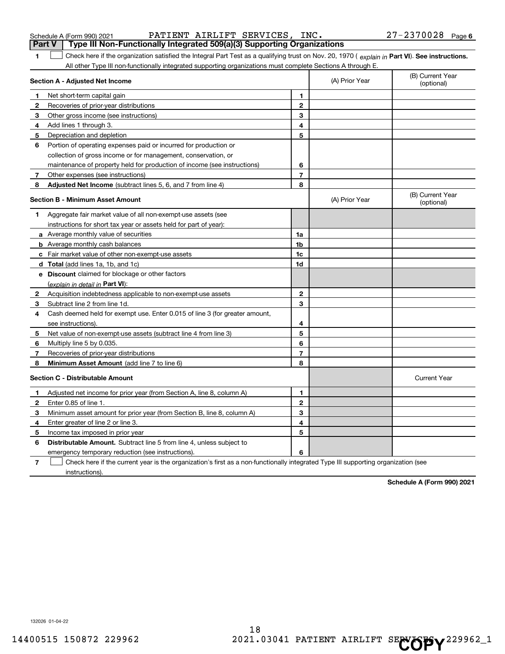| 4            | Cash deemed held for exempt use. Enter 0.015 of line 3 (for greater amount,                                                       |                |                                                       |
|--------------|-----------------------------------------------------------------------------------------------------------------------------------|----------------|-------------------------------------------------------|
|              | see instructions).                                                                                                                | 4              |                                                       |
| 5            | Net value of non-exempt-use assets (subtract line 4 from line 3)                                                                  | 5              |                                                       |
| 6            | Multiply line 5 by 0.035.                                                                                                         | 6              |                                                       |
| 7            | Recoveries of prior-year distributions                                                                                            | $\overline{7}$ |                                                       |
| 8            | Minimum Asset Amount (add line 7 to line 6)                                                                                       | 8              |                                                       |
|              | <b>Section C - Distributable Amount</b>                                                                                           |                | <b>Current Year</b>                                   |
|              | Adjusted net income for prior year (from Section A, line 8, column A)                                                             | 1              |                                                       |
| $\mathbf{2}$ | Enter 0.85 of line 1.                                                                                                             | $\mathbf{2}$   |                                                       |
| 3            | Minimum asset amount for prior year (from Section B, line 8, column A)                                                            | 3              |                                                       |
| 4            | Enter greater of line 2 or line 3.                                                                                                | 4              |                                                       |
|              | 5 Income tax imposed in prior year                                                                                                | 5              |                                                       |
| 6            | Distributable Amount. Subtract line 5 from line 4, unless subject to                                                              |                |                                                       |
|              | emergency temporary reduction (see instructions).                                                                                 | 6              |                                                       |
| 7            | Check here if the current year is the organization's first as a non-functionally integrated Type III supporting organization (see |                |                                                       |
|              | instructions).                                                                                                                    |                |                                                       |
|              |                                                                                                                                   |                | Schedule A (Form 990) 2021                            |
|              |                                                                                                                                   |                |                                                       |
|              | 132026 01-04-22<br>18<br>14400515 150872 229962                                                                                   |                | 2021.03041 PATIENT AIRLIFT SECOPY <sup>229962_1</sup> |

|              | Section A - Adjusted Net Income                                             |                | (A) Prior Year | (B) Current Year<br>(optional) |
|--------------|-----------------------------------------------------------------------------|----------------|----------------|--------------------------------|
| 1            | Net short-term capital gain                                                 | 1              |                |                                |
| $\mathbf{2}$ | Recoveries of prior-year distributions                                      | $\mathbf{2}$   |                |                                |
| 3            | Other gross income (see instructions)                                       | 3              |                |                                |
| 4            | Add lines 1 through 3.                                                      | 4              |                |                                |
| 5            | Depreciation and depletion                                                  | 5              |                |                                |
| 6            | Portion of operating expenses paid or incurred for production or            |                |                |                                |
|              | collection of gross income or for management, conservation, or              |                |                |                                |
|              | maintenance of property held for production of income (see instructions)    | 6              |                |                                |
| 7            | Other expenses (see instructions)                                           | $\overline{7}$ |                |                                |
| 8            | Adjusted Net Income (subtract lines 5, 6, and 7 from line 4)                | 8              |                |                                |
|              | <b>Section B - Minimum Asset Amount</b>                                     |                | (A) Prior Year | (B) Current Year<br>(optional) |
| 1            | Aggregate fair market value of all non-exempt-use assets (see               |                |                |                                |
|              | instructions for short tax year or assets held for part of year):           |                |                |                                |
|              | <b>a</b> Average monthly value of securities                                | 1a             |                |                                |
|              | <b>b</b> Average monthly cash balances                                      | 1b             |                |                                |
|              | c Fair market value of other non-exempt-use assets                          | 1c             |                |                                |
|              | <b>d</b> Total (add lines 1a, 1b, and 1c)                                   | 1d             |                |                                |
|              | e Discount claimed for blockage or other factors                            |                |                |                                |
|              | (explain in detail in Part VI):                                             |                |                |                                |
| $\mathbf{2}$ | Acquisition indebtedness applicable to non-exempt-use assets                | $\mathbf{2}$   |                |                                |
| 3            | Subtract line 2 from line 1d.                                               | 3              |                |                                |
| 4            | Cash deemed held for exempt use. Enter 0.015 of line 3 (for greater amount, |                |                |                                |
|              | see instructions).                                                          | 4              |                |                                |
| 5            | Net value of non-exempt-use assets (subtract line 4 from line 3)            | 5              |                |                                |
| 6            | Multiply line 5 by 0.035.                                                   | 6              |                |                                |
| 7            | Recoveries of prior-year distributions                                      | $\overline{7}$ |                |                                |
| 8            | Minimum Asset Amount (add line 7 to line 6)                                 | 8              |                |                                |
|              | <b>Section C - Distributable Amount</b>                                     |                |                | <b>Current Year</b>            |
| 1            | Adjusted net income for prior year (from Section A, line 8, column A)       | 1              |                |                                |
| $\mathbf{2}$ | Enter 0.85 of line 1.                                                       | $\mathbf{2}$   |                |                                |
| 3            | Minimum asset amount for prior year (from Section B, line 8, column A)      | 3              |                |                                |
| 4            | Enter greater of line 2 or line 3.                                          | 4              |                |                                |
| 5            | Income tax imposed in prior year                                            | 5              |                |                                |
| 6            | <b>Distributable Amount.</b> Subtract line 5 from line 4, unless subject to |                |                |                                |

**1**The Check here if the organization satisfied the Integral Part Test as a qualifying trust on Nov. 20, 1970 (explain in **Part VI). See instructions.**<br>All other Type III pen functionally integrated supporting examizations mu

Schedule A (Form 990) 2021 PATIENT AIRLIFT SERVICES, INC. 27-2370028 Page **Part V Type III Non-Functionally Integrated 509(a)(3) Supporting Organizations** 

All other Type III non-functionally integrated supporting organizations must complete Sections A through E.

(B) Current Year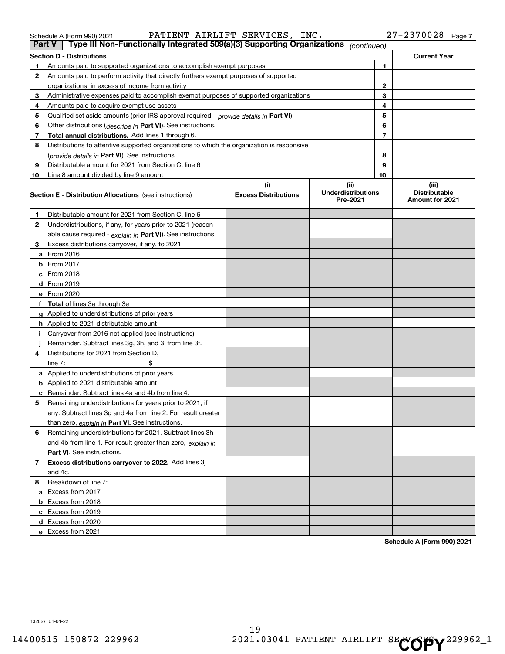| <b>Part V</b> | Type III Non-Functionally Integrated 509(a)(3) Supporting Organizations              | (continued) |                     |
|---------------|--------------------------------------------------------------------------------------|-------------|---------------------|
|               | <b>Section D - Distributions</b>                                                     |             | <b>Current Year</b> |
|               | Amounts paid to supported organizations to accomplish exempt purposes                |             |                     |
|               | Amounts paid to perform activity that directly furthers exempt purposes of supported |             |                     |
|               | organizations, in excess of income from activity                                     | ົ           |                     |

|    | organizations, in excess of income from activity                                           |                                    |                                               | 2              |                                                         |
|----|--------------------------------------------------------------------------------------------|------------------------------------|-----------------------------------------------|----------------|---------------------------------------------------------|
| 3  | Administrative expenses paid to accomplish exempt purposes of supported organizations      |                                    |                                               | 3              |                                                         |
| 4  | Amounts paid to acquire exempt-use assets                                                  |                                    |                                               | 4              |                                                         |
| 5  | Qualified set-aside amounts (prior IRS approval required - provide details in Part VI)     |                                    |                                               | 5              |                                                         |
| 6  | Other distributions (describe in Part VI). See instructions.                               |                                    |                                               | 6              |                                                         |
| 7  | Total annual distributions. Add lines 1 through 6.                                         |                                    |                                               | $\overline{7}$ |                                                         |
| 8  | Distributions to attentive supported organizations to which the organization is responsive |                                    |                                               |                |                                                         |
|    | (provide details in Part VI). See instructions.                                            |                                    |                                               | 8              |                                                         |
| 9  | Distributable amount for 2021 from Section C, line 6                                       |                                    |                                               | 9              |                                                         |
| 10 | Line 8 amount divided by line 9 amount                                                     |                                    |                                               | 10             |                                                         |
|    | <b>Section E - Distribution Allocations</b> (see instructions)                             | (i)<br><b>Excess Distributions</b> | (ii)<br><b>Underdistributions</b><br>Pre-2021 |                | (iii)<br><b>Distributable</b><br><b>Amount for 2021</b> |
| 1  | Distributable amount for 2021 from Section C, line 6                                       |                                    |                                               |                |                                                         |
| 2  | Underdistributions, if any, for years prior to 2021 (reason-                               |                                    |                                               |                |                                                         |
|    | able cause required - explain in Part VI). See instructions.                               |                                    |                                               |                |                                                         |
| 3  | Excess distributions carryover, if any, to 2021                                            |                                    |                                               |                |                                                         |
|    | <b>a</b> From 2016                                                                         |                                    |                                               |                |                                                         |
|    | $b$ From 2017                                                                              |                                    |                                               |                |                                                         |
|    | c From 2018                                                                                |                                    |                                               |                |                                                         |
|    | d From 2019                                                                                |                                    |                                               |                |                                                         |
|    | e From 2020                                                                                |                                    |                                               |                |                                                         |
|    | f Total of lines 3a through 3e                                                             |                                    |                                               |                |                                                         |
|    | g Applied to underdistributions of prior years                                             |                                    |                                               |                |                                                         |
|    | h Applied to 2021 distributable amount                                                     |                                    |                                               |                |                                                         |
| i. | Carryover from 2016 not applied (see instructions)                                         |                                    |                                               |                |                                                         |
|    | Remainder. Subtract lines 3g, 3h, and 3i from line 3f.                                     |                                    |                                               |                |                                                         |
| 4  | Distributions for 2021 from Section D.                                                     |                                    |                                               |                |                                                         |
|    | line $7:$                                                                                  |                                    |                                               |                |                                                         |
|    | a Applied to underdistributions of prior years                                             |                                    |                                               |                |                                                         |
|    | <b>b</b> Applied to 2021 distributable amount                                              |                                    |                                               |                |                                                         |
|    | c Remainder. Subtract lines 4a and 4b from line 4.                                         |                                    |                                               |                |                                                         |
| 5  | Remaining underdistributions for years prior to 2021, if                                   |                                    |                                               |                |                                                         |
|    | any. Subtract lines 3g and 4a from line 2. For result greater                              |                                    |                                               |                |                                                         |
|    | than zero, explain in Part VI. See instructions.                                           |                                    |                                               |                |                                                         |
| 6  | Remaining underdistributions for 2021. Subtract lines 3h                                   |                                    |                                               |                |                                                         |
|    | and 4b from line 1. For result greater than zero, explain in                               |                                    |                                               |                |                                                         |
|    | Part VI. See instructions.                                                                 |                                    |                                               |                |                                                         |
| 7  | Excess distributions carryover to 2022. Add lines 3j                                       |                                    |                                               |                |                                                         |
|    | and 4c.                                                                                    |                                    |                                               |                |                                                         |
|    | 8 Breakdown of line 7:                                                                     |                                    |                                               |                |                                                         |
|    | a Excess from 2017                                                                         |                                    |                                               |                |                                                         |
|    | b Excess from 2018                                                                         |                                    |                                               |                |                                                         |
|    | c Excess from 2019                                                                         |                                    |                                               |                |                                                         |
|    | d Excess from 2020                                                                         |                                    |                                               |                |                                                         |
|    | e Excess from 2021                                                                         |                                    |                                               |                |                                                         |

**Schedule A (Form 990) 2021**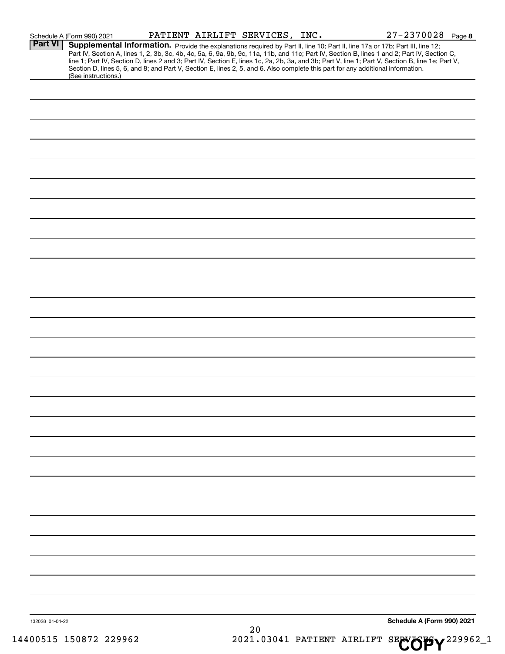| 132028 01-04-22                              |                     |  |  |  |                                                                                                                                 | Schedule A (Form 990) 2021                                                                                                                                                                                                                                                                                                                                                                                                        |  |
|----------------------------------------------|---------------------|--|--|--|---------------------------------------------------------------------------------------------------------------------------------|-----------------------------------------------------------------------------------------------------------------------------------------------------------------------------------------------------------------------------------------------------------------------------------------------------------------------------------------------------------------------------------------------------------------------------------|--|
|                                              |                     |  |  |  |                                                                                                                                 |                                                                                                                                                                                                                                                                                                                                                                                                                                   |  |
|                                              |                     |  |  |  |                                                                                                                                 |                                                                                                                                                                                                                                                                                                                                                                                                                                   |  |
|                                              |                     |  |  |  |                                                                                                                                 |                                                                                                                                                                                                                                                                                                                                                                                                                                   |  |
|                                              |                     |  |  |  |                                                                                                                                 |                                                                                                                                                                                                                                                                                                                                                                                                                                   |  |
|                                              |                     |  |  |  |                                                                                                                                 |                                                                                                                                                                                                                                                                                                                                                                                                                                   |  |
|                                              |                     |  |  |  |                                                                                                                                 |                                                                                                                                                                                                                                                                                                                                                                                                                                   |  |
|                                              |                     |  |  |  |                                                                                                                                 |                                                                                                                                                                                                                                                                                                                                                                                                                                   |  |
|                                              |                     |  |  |  |                                                                                                                                 |                                                                                                                                                                                                                                                                                                                                                                                                                                   |  |
|                                              |                     |  |  |  |                                                                                                                                 |                                                                                                                                                                                                                                                                                                                                                                                                                                   |  |
|                                              |                     |  |  |  |                                                                                                                                 |                                                                                                                                                                                                                                                                                                                                                                                                                                   |  |
|                                              |                     |  |  |  |                                                                                                                                 |                                                                                                                                                                                                                                                                                                                                                                                                                                   |  |
|                                              |                     |  |  |  |                                                                                                                                 |                                                                                                                                                                                                                                                                                                                                                                                                                                   |  |
|                                              |                     |  |  |  |                                                                                                                                 |                                                                                                                                                                                                                                                                                                                                                                                                                                   |  |
|                                              |                     |  |  |  |                                                                                                                                 |                                                                                                                                                                                                                                                                                                                                                                                                                                   |  |
|                                              |                     |  |  |  |                                                                                                                                 |                                                                                                                                                                                                                                                                                                                                                                                                                                   |  |
|                                              |                     |  |  |  |                                                                                                                                 |                                                                                                                                                                                                                                                                                                                                                                                                                                   |  |
|                                              |                     |  |  |  |                                                                                                                                 |                                                                                                                                                                                                                                                                                                                                                                                                                                   |  |
|                                              |                     |  |  |  |                                                                                                                                 |                                                                                                                                                                                                                                                                                                                                                                                                                                   |  |
|                                              |                     |  |  |  |                                                                                                                                 |                                                                                                                                                                                                                                                                                                                                                                                                                                   |  |
|                                              |                     |  |  |  |                                                                                                                                 |                                                                                                                                                                                                                                                                                                                                                                                                                                   |  |
|                                              |                     |  |  |  |                                                                                                                                 |                                                                                                                                                                                                                                                                                                                                                                                                                                   |  |
|                                              |                     |  |  |  |                                                                                                                                 |                                                                                                                                                                                                                                                                                                                                                                                                                                   |  |
|                                              |                     |  |  |  |                                                                                                                                 |                                                                                                                                                                                                                                                                                                                                                                                                                                   |  |
|                                              |                     |  |  |  |                                                                                                                                 |                                                                                                                                                                                                                                                                                                                                                                                                                                   |  |
|                                              |                     |  |  |  |                                                                                                                                 |                                                                                                                                                                                                                                                                                                                                                                                                                                   |  |
|                                              |                     |  |  |  |                                                                                                                                 |                                                                                                                                                                                                                                                                                                                                                                                                                                   |  |
|                                              |                     |  |  |  |                                                                                                                                 |                                                                                                                                                                                                                                                                                                                                                                                                                                   |  |
|                                              |                     |  |  |  |                                                                                                                                 |                                                                                                                                                                                                                                                                                                                                                                                                                                   |  |
|                                              |                     |  |  |  |                                                                                                                                 |                                                                                                                                                                                                                                                                                                                                                                                                                                   |  |
|                                              |                     |  |  |  |                                                                                                                                 |                                                                                                                                                                                                                                                                                                                                                                                                                                   |  |
|                                              |                     |  |  |  |                                                                                                                                 |                                                                                                                                                                                                                                                                                                                                                                                                                                   |  |
|                                              |                     |  |  |  |                                                                                                                                 |                                                                                                                                                                                                                                                                                                                                                                                                                                   |  |
|                                              | (See instructions.) |  |  |  |                                                                                                                                 |                                                                                                                                                                                                                                                                                                                                                                                                                                   |  |
|                                              |                     |  |  |  |                                                                                                                                 |                                                                                                                                                                                                                                                                                                                                                                                                                                   |  |
| Schedule A (Form 990) 2021<br><b>Part VI</b> |                     |  |  |  | Section D, lines 5, 6, and 8; and Part V, Section E, lines 2, 5, and 6. Also complete this part for any additional information. | Supplemental Information. Provide the explanations required by Part II, line 10; Part II, line 17a or 17b; Part III, line 12;<br>Part IV, Section A, lines 1, 2, 3b, 3c, 4b, 4c, 5a, 6, 9a, 9b, 9c, 11a, 11b, and 11c; Part IV, Section B, lines 1 and 2; Part IV, Section C,<br>line 1; Part IV, Section D, lines 2 and 3; Part IV, Section E, lines 1c, 2a, 2b, 3a, and 3b; Part V, line 1; Part V, Section B, line 1e; Part V, |  |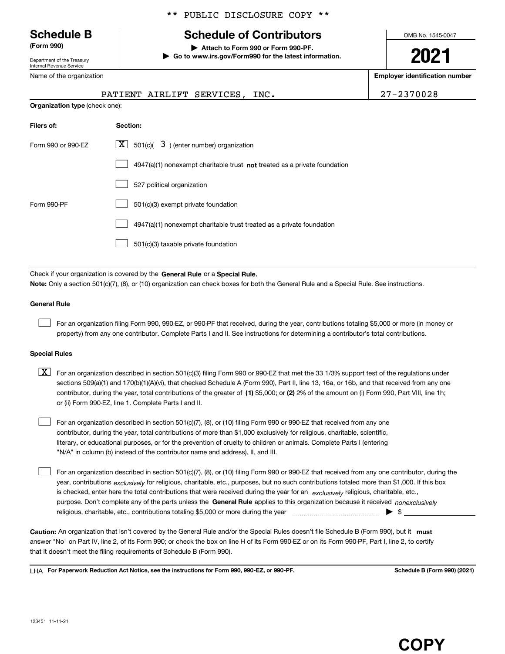Department of the Treasury Internal Revenue Service

Name of the organization

| ** PUBLIC DISCLOSURE COPY ** |
|------------------------------|
|------------------------------|

# **Schedule B Schedule of Contributors**

**(Form 990) | Attach to Form 990 or Form 990-PF. | Go to www.irs.gov/Form990 for the latest information.** OMB No. 1545-0047

**2021**

**Employer identification number**

PATIENT AIRLIFT SERVICES, INC. 27-2370028

|                                       |          | PATIENT AIRLIFT SERVICES, INC. |  |
|---------------------------------------|----------|--------------------------------|--|
| <b>Organization type (check one):</b> |          |                                |  |
| Filere of:                            | Section: |                                |  |

| Form 990 or 990-EZ | $\lfloor x \rfloor$ 501(c)( 3) (enter number) organization                         |
|--------------------|------------------------------------------------------------------------------------|
|                    | $4947(a)(1)$ nonexempt charitable trust <b>not</b> treated as a private foundation |
|                    | 527 political organization                                                         |
| Form 990-PF        | 501(c)(3) exempt private foundation                                                |
|                    | 4947(a)(1) nonexempt charitable trust treated as a private foundation              |
|                    | 501(c)(3) taxable private foundation                                               |

Check if your organization is covered by the **General Rule** or a **Special Rule.**<br>Nota: Only a section 501(c)(7), (8), or (10) erganization can chock boxes for be **Note:**  Only a section 501(c)(7), (8), or (10) organization can check boxes for both the General Rule and a Special Rule. See instructions.

#### **General Rule**

 $\mathcal{L}^{\text{max}}$ 

For an organization filing Form 990, 990-EZ, or 990-PF that received, during the year, contributions totaling \$5,000 or more (in money or property) from any one contributor. Complete Parts I and II. See instructions for determining a contributor's total contributions.

#### **Special Rules**

contributor, during the year, total contributions of the greater of (1**)** \$5,000; or (2) 2% of the amount on (i) Form 990, Part VIII, line 1h;  $\boxed{\textbf{X}}$  For an organization described in section 501(c)(3) filing Form 990 or 990-EZ that met the 33 1/3% support test of the regulations under sections 509(a)(1) and 170(b)(1)(A)(vi), that checked Schedule A (Form 990), Part II, line 13, 16a, or 16b, and that received from any one or (ii) Form 990-EZ, line 1. Complete Parts I and II.

For an organization described in section 501(c)(7), (8), or (10) filing Form 990 or 990-EZ that received from any one contributor, during the year, total contributions of more than \$1,000 exclusively for religious, charitable, scientific, literary, or educational purposes, or for the prevention of cruelty to children or animals. Complete Parts I (entering "N/A" in column (b) instead of the contributor name and address), II, and III.  $\mathcal{L}^{\text{max}}$ 

purpose. Don't complete any of the parts unless the **General Rule** applies to this organization because it received *nonexclusively* year, contributions <sub>exclusively</sub> for religious, charitable, etc., purposes, but no such contributions totaled more than \$1,000. If this box is checked, enter here the total contributions that were received during the year for an  $\;$ exclusively religious, charitable, etc., For an organization described in section 501(c)(7), (8), or (10) filing Form 990 or 990-EZ that received from any one contributor, during the religious, charitable, etc., contributions totaling \$5,000 or more during the year  $\Box$ — $\Box$   $\Box$   $\Box$  $\mathcal{L}^{\text{max}}$ 

Caution: An organization that isn't covered by the General Rule and/or the Special Rules doesn't file Schedule B (Form 990), but it **must** answer "No" on Part IV, line 2, of its Form 990; or check the box on line H of its Form 990-EZ or on its Form 990-PF, Part I, line 2, to certify that it doesn't meet the filing requirements of Schedule B (Form 990).

LHA For Paperwork Reduction Act Notice, see the instructions for Form 990, 990-EZ, or 990-PF. **In the act and Schedule B** (Form 990) (2021)

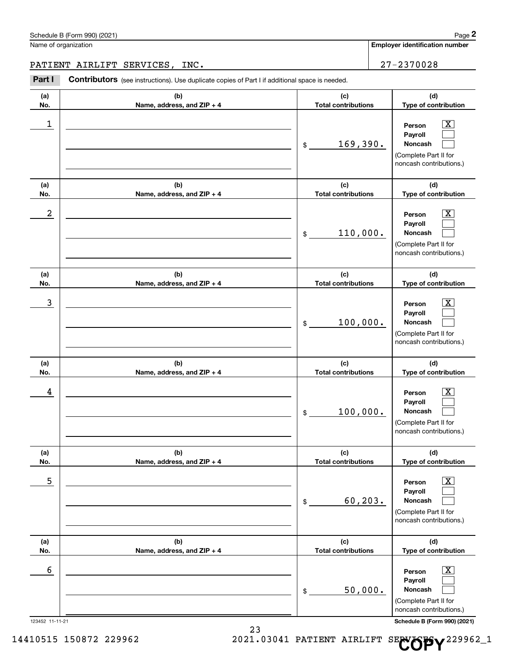123452 11-11-21 **Schedule B (Form 990) (2021)**

| Schedule B (Form 990) (2021) | Page |
|------------------------------|------|

### PATIENT AIRLIFT SERVICES, INC. 27-2370028

|                         | Schedule B (Form 990) (2021)                                                                          |                                   | Page 2                                                                                                    |
|-------------------------|-------------------------------------------------------------------------------------------------------|-----------------------------------|-----------------------------------------------------------------------------------------------------------|
|                         | Name of organization                                                                                  |                                   | Employer identification number                                                                            |
|                         | PATIENT AIRLIFT SERVICES,<br>INC.                                                                     |                                   | 27-2370028                                                                                                |
| Part I                  | <b>Contributors</b> (see instructions). Use duplicate copies of Part I if additional space is needed. |                                   |                                                                                                           |
| (a)<br>No.              | (b)<br>Name, address, and ZIP + 4                                                                     | (c)<br><b>Total contributions</b> | (d)<br>Type of contribution                                                                               |
| $\mathbf 1$             |                                                                                                       | 169,390.<br>$\mathfrak{S}$        | $\overline{\text{X}}$<br>Person<br>Payroll<br>Noncash<br>(Complete Part II for<br>noncash contributions.) |
| (a)<br>No.              | (b)<br>Name, address, and ZIP + 4                                                                     | (c)<br><b>Total contributions</b> | (d)<br>Type of contribution                                                                               |
| $\overline{\mathbf{c}}$ |                                                                                                       | 110,000.<br>\$                    | $\overline{\text{X}}$<br>Person<br>Payroll<br>Noncash<br>(Complete Part II for<br>noncash contributions.) |
| (a)<br>No.              | (b)<br>Name, address, and ZIP + 4                                                                     | (c)<br><b>Total contributions</b> | (d)<br>Type of contribution                                                                               |
| $\mathbf{3}$            |                                                                                                       | 100,000.<br>\$                    | $\overline{\text{X}}$<br>Person<br>Payroll<br>Noncash<br>(Complete Part II for<br>noncash contributions.) |
| (a)<br>No.              | (b)<br>Name, address, and ZIP + 4                                                                     | (c)<br><b>Total contributions</b> | (d)<br>Type of contribution                                                                               |
| 4                       |                                                                                                       | 100,000.<br>\$                    | $\overline{\text{X}}$<br>Person<br>Payroll<br>Noncash<br>(Complete Part II for<br>noncash contributions.) |
| (a)<br>No.              | (b)<br>Name, address, and ZIP + 4                                                                     | (c)<br><b>Total contributions</b> | (d)<br>Type of contribution                                                                               |
| 5                       |                                                                                                       | 60, 203.<br>\$                    | $\overline{\text{X}}$<br>Person<br>Payroll<br>Noncash<br>(Complete Part II for<br>noncash contributions.) |
| (a)<br>No.              | (b)<br>Name, address, and ZIP + 4                                                                     | (c)<br><b>Total contributions</b> | (d)<br>Type of contribution                                                                               |
| 6                       |                                                                                                       | 50,000.<br>\$                     | $\overline{\text{X}}$<br>Person<br>Payroll<br>Noncash<br>(Complete Part II for<br>noncash contributions.) |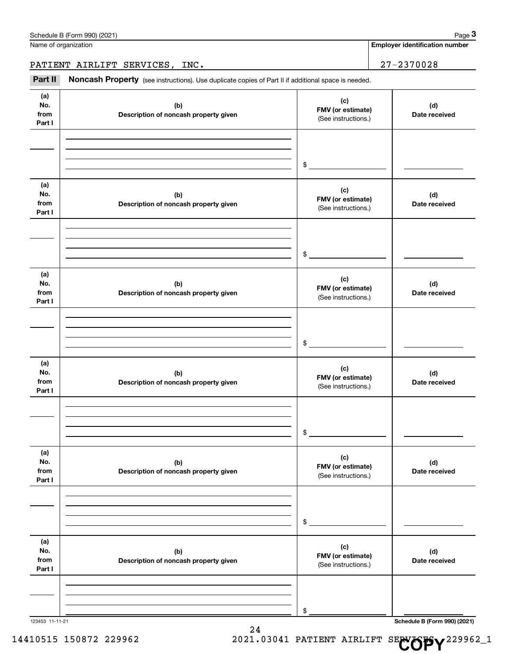|                              | Schedule B (Form 990) (2021)                                                                        |                                                 | Page 3                                |
|------------------------------|-----------------------------------------------------------------------------------------------------|-------------------------------------------------|---------------------------------------|
|                              | Name of organization                                                                                |                                                 | <b>Employer identification number</b> |
|                              | PATIENT AIRLIFT SERVICES, INC.                                                                      |                                                 | $27 - 2370028$                        |
| Part II                      | Noncash Property (see instructions). Use duplicate copies of Part II if additional space is needed. |                                                 |                                       |
| (a)<br>No.<br>from<br>Part I | (b)<br>Description of noncash property given                                                        | (c)<br>FMV (or estimate)<br>(See instructions.) | (d)<br>Date received                  |
|                              |                                                                                                     | \$                                              |                                       |
| (a)<br>No.<br>from<br>Part I | (b)<br>Description of noncash property given                                                        | (c)<br>FMV (or estimate)<br>(See instructions.) | (d)<br>Date received                  |
|                              |                                                                                                     | \$                                              |                                       |
| (a)<br>No.<br>from<br>Part I | (b)<br>Description of noncash property given                                                        | (c)<br>FMV (or estimate)<br>(See instructions.) | (d)<br>Date received                  |
|                              |                                                                                                     | \$                                              |                                       |
| (a)<br>No.<br>from<br>Part I | (b)<br>Description of noncash property given                                                        | (c)<br>FMV (or estimate)<br>(See instructions.) | (d)<br>Date received                  |
|                              |                                                                                                     | \$                                              |                                       |
| (a)<br>No.<br>from<br>Part I | (b)<br>Description of noncash property given                                                        | (c)<br>FMV (or estimate)<br>(See instructions.) | (d)<br>Date received                  |
|                              |                                                                                                     | \$                                              |                                       |
| (a)<br>No.<br>from<br>Part I | (b)<br>Description of noncash property given                                                        | (c)<br>FMV (or estimate)<br>(See instructions.) | (d)<br>Date received                  |
|                              |                                                                                                     | \$                                              |                                       |

123453 11-11-21 **Schedule B (Form 990) (2021)**

24 14410515 150872 229962 2021.03041 PATIENT AIRLIFT SE**NOPY**<sup>229962\_1</sup>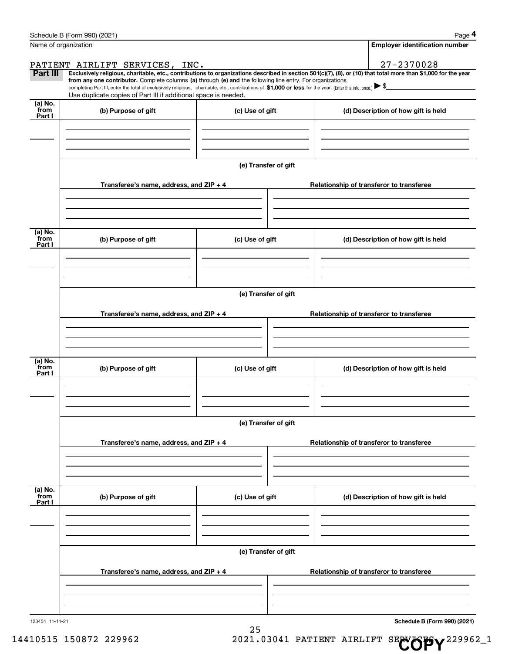|                 | Schedule B (Form 990) (2021)                                                                                                                                                                                                                                                                    |                                          | Page 4                                                                                                                                                         |  |  |  |  |  |
|-----------------|-------------------------------------------------------------------------------------------------------------------------------------------------------------------------------------------------------------------------------------------------------------------------------------------------|------------------------------------------|----------------------------------------------------------------------------------------------------------------------------------------------------------------|--|--|--|--|--|
|                 | Name of organization                                                                                                                                                                                                                                                                            |                                          | <b>Employer identification number</b>                                                                                                                          |  |  |  |  |  |
|                 | PATIENT AIRLIFT SERVICES, INC.                                                                                                                                                                                                                                                                  |                                          | 27-2370028                                                                                                                                                     |  |  |  |  |  |
| Part III        |                                                                                                                                                                                                                                                                                                 |                                          | Exclusively religious, charitable, etc., contributions to organizations described in section 501(c)(7), (8), or (10) that total more than \$1,000 for the year |  |  |  |  |  |
|                 | from any one contributor. Complete columns (a) through (e) and the following line entry. For organizations<br>completing Part III, enter the total of exclusively religious, charitable, etc., contributions of \$1,000 or less for the year. (Enter this info. once.) $\blacktriangleright$ \$ |                                          |                                                                                                                                                                |  |  |  |  |  |
|                 | Use duplicate copies of Part III if additional space is needed.                                                                                                                                                                                                                                 |                                          |                                                                                                                                                                |  |  |  |  |  |
| (a) No.<br>from | (b) Purpose of gift                                                                                                                                                                                                                                                                             | (c) Use of gift                          | (d) Description of how gift is held                                                                                                                            |  |  |  |  |  |
| Part I          |                                                                                                                                                                                                                                                                                                 |                                          |                                                                                                                                                                |  |  |  |  |  |
|                 |                                                                                                                                                                                                                                                                                                 |                                          |                                                                                                                                                                |  |  |  |  |  |
|                 |                                                                                                                                                                                                                                                                                                 |                                          |                                                                                                                                                                |  |  |  |  |  |
|                 |                                                                                                                                                                                                                                                                                                 |                                          |                                                                                                                                                                |  |  |  |  |  |
|                 |                                                                                                                                                                                                                                                                                                 | (e) Transfer of gift                     |                                                                                                                                                                |  |  |  |  |  |
|                 |                                                                                                                                                                                                                                                                                                 |                                          |                                                                                                                                                                |  |  |  |  |  |
|                 | Transferee's name, address, and ZIP + 4                                                                                                                                                                                                                                                         |                                          | Relationship of transferor to transferee                                                                                                                       |  |  |  |  |  |
|                 |                                                                                                                                                                                                                                                                                                 |                                          |                                                                                                                                                                |  |  |  |  |  |
|                 |                                                                                                                                                                                                                                                                                                 |                                          |                                                                                                                                                                |  |  |  |  |  |
|                 |                                                                                                                                                                                                                                                                                                 |                                          |                                                                                                                                                                |  |  |  |  |  |
| (a) No.<br>from |                                                                                                                                                                                                                                                                                                 |                                          |                                                                                                                                                                |  |  |  |  |  |
| Part I          | (b) Purpose of gift                                                                                                                                                                                                                                                                             | (c) Use of gift                          | (d) Description of how gift is held                                                                                                                            |  |  |  |  |  |
|                 |                                                                                                                                                                                                                                                                                                 |                                          |                                                                                                                                                                |  |  |  |  |  |
|                 |                                                                                                                                                                                                                                                                                                 |                                          |                                                                                                                                                                |  |  |  |  |  |
|                 |                                                                                                                                                                                                                                                                                                 |                                          |                                                                                                                                                                |  |  |  |  |  |
|                 |                                                                                                                                                                                                                                                                                                 |                                          |                                                                                                                                                                |  |  |  |  |  |
|                 | (e) Transfer of gift                                                                                                                                                                                                                                                                            |                                          |                                                                                                                                                                |  |  |  |  |  |
|                 | Transferee's name, address, and ZIP + 4                                                                                                                                                                                                                                                         | Relationship of transferor to transferee |                                                                                                                                                                |  |  |  |  |  |
|                 |                                                                                                                                                                                                                                                                                                 |                                          |                                                                                                                                                                |  |  |  |  |  |
|                 |                                                                                                                                                                                                                                                                                                 |                                          |                                                                                                                                                                |  |  |  |  |  |
|                 |                                                                                                                                                                                                                                                                                                 |                                          |                                                                                                                                                                |  |  |  |  |  |
| (a) No.         |                                                                                                                                                                                                                                                                                                 |                                          |                                                                                                                                                                |  |  |  |  |  |
| from<br>Part I  | (b) Purpose of gift                                                                                                                                                                                                                                                                             | (c) Use of gift                          | (d) Description of how gift is held                                                                                                                            |  |  |  |  |  |
|                 |                                                                                                                                                                                                                                                                                                 |                                          |                                                                                                                                                                |  |  |  |  |  |
|                 |                                                                                                                                                                                                                                                                                                 |                                          |                                                                                                                                                                |  |  |  |  |  |
|                 |                                                                                                                                                                                                                                                                                                 |                                          |                                                                                                                                                                |  |  |  |  |  |
|                 |                                                                                                                                                                                                                                                                                                 |                                          |                                                                                                                                                                |  |  |  |  |  |
|                 |                                                                                                                                                                                                                                                                                                 | (e) Transfer of gift                     |                                                                                                                                                                |  |  |  |  |  |
|                 |                                                                                                                                                                                                                                                                                                 |                                          | Relationship of transferor to transferee                                                                                                                       |  |  |  |  |  |
|                 | Transferee's name, address, and $ZIP + 4$                                                                                                                                                                                                                                                       |                                          |                                                                                                                                                                |  |  |  |  |  |
|                 |                                                                                                                                                                                                                                                                                                 |                                          |                                                                                                                                                                |  |  |  |  |  |
|                 |                                                                                                                                                                                                                                                                                                 |                                          |                                                                                                                                                                |  |  |  |  |  |
|                 |                                                                                                                                                                                                                                                                                                 |                                          |                                                                                                                                                                |  |  |  |  |  |
| (a) No.<br>from | (b) Purpose of gift                                                                                                                                                                                                                                                                             | (c) Use of gift                          | (d) Description of how gift is held                                                                                                                            |  |  |  |  |  |
| Part I          |                                                                                                                                                                                                                                                                                                 |                                          |                                                                                                                                                                |  |  |  |  |  |
|                 |                                                                                                                                                                                                                                                                                                 |                                          |                                                                                                                                                                |  |  |  |  |  |
|                 |                                                                                                                                                                                                                                                                                                 |                                          |                                                                                                                                                                |  |  |  |  |  |
|                 |                                                                                                                                                                                                                                                                                                 |                                          |                                                                                                                                                                |  |  |  |  |  |
|                 |                                                                                                                                                                                                                                                                                                 | (e) Transfer of gift                     |                                                                                                                                                                |  |  |  |  |  |
|                 |                                                                                                                                                                                                                                                                                                 |                                          |                                                                                                                                                                |  |  |  |  |  |
|                 | Transferee's name, address, and $ZIP + 4$                                                                                                                                                                                                                                                       |                                          | Relationship of transferor to transferee                                                                                                                       |  |  |  |  |  |
|                 |                                                                                                                                                                                                                                                                                                 |                                          |                                                                                                                                                                |  |  |  |  |  |
|                 |                                                                                                                                                                                                                                                                                                 |                                          |                                                                                                                                                                |  |  |  |  |  |
|                 |                                                                                                                                                                                                                                                                                                 |                                          |                                                                                                                                                                |  |  |  |  |  |
|                 |                                                                                                                                                                                                                                                                                                 |                                          |                                                                                                                                                                |  |  |  |  |  |

25

123454 11-11-21

**Schedule B (Form 990) (2021)**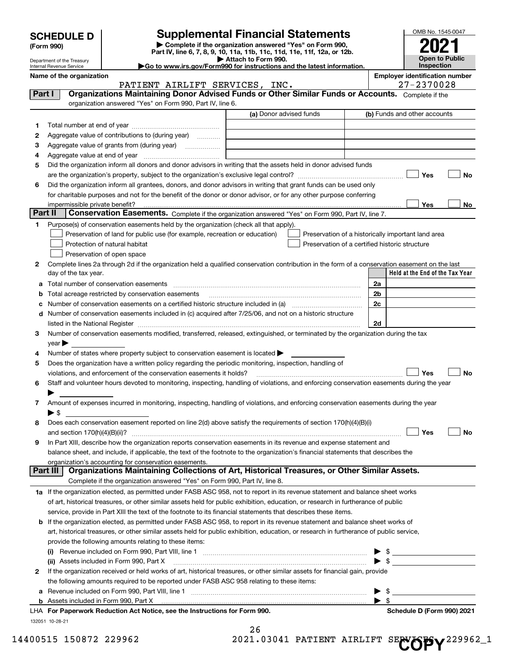| <b>SCHEDULE D</b> |  |
|-------------------|--|
| (Form 990)        |  |

## **SCHEDULE D Supplemental Financial Statements**

**| Complete if the organization answered "Yes" on Form 990, Part IV, line 6, 7, 8, 9, 10, 11a, 11b, 11c, 11d, 11e, 11f, 12a, or 12b. | Attach to Form 990.**



|    | Department of the Treasury<br>Internal Revenue Service |                                                                                                                                                                                                                               | Allach to Form 990.<br>Go to www.irs.gov/Form990 for instructions and the latest information. |                                                    | OPEN IN LADING<br>Inspection          |
|----|--------------------------------------------------------|-------------------------------------------------------------------------------------------------------------------------------------------------------------------------------------------------------------------------------|-----------------------------------------------------------------------------------------------|----------------------------------------------------|---------------------------------------|
|    | Name of the organization                               |                                                                                                                                                                                                                               |                                                                                               |                                                    | <b>Employer identification number</b> |
|    |                                                        | PATIENT AIRLIFT SERVICES, INC.                                                                                                                                                                                                |                                                                                               |                                                    | 27-2370028                            |
|    | Part I                                                 | Organizations Maintaining Donor Advised Funds or Other Similar Funds or Accounts. Complete if the                                                                                                                             |                                                                                               |                                                    |                                       |
|    |                                                        | organization answered "Yes" on Form 990, Part IV, line 6.                                                                                                                                                                     |                                                                                               |                                                    |                                       |
|    |                                                        |                                                                                                                                                                                                                               | (a) Donor advised funds                                                                       |                                                    | (b) Funds and other accounts          |
| 1. |                                                        |                                                                                                                                                                                                                               |                                                                                               |                                                    |                                       |
| 2  |                                                        | Aggregate value of contributions to (during year)                                                                                                                                                                             |                                                                                               |                                                    |                                       |
| з  |                                                        |                                                                                                                                                                                                                               |                                                                                               |                                                    |                                       |
| 4  |                                                        |                                                                                                                                                                                                                               |                                                                                               |                                                    |                                       |
| 5  |                                                        | Did the organization inform all donors and donor advisors in writing that the assets held in donor advised funds                                                                                                              |                                                                                               |                                                    |                                       |
|    |                                                        |                                                                                                                                                                                                                               |                                                                                               |                                                    | Yes<br>No                             |
| 6  |                                                        | Did the organization inform all grantees, donors, and donor advisors in writing that grant funds can be used only                                                                                                             |                                                                                               |                                                    |                                       |
|    |                                                        | for charitable purposes and not for the benefit of the donor or donor advisor, or for any other purpose conferring                                                                                                            |                                                                                               |                                                    |                                       |
|    | impermissible private benefit?                         |                                                                                                                                                                                                                               |                                                                                               |                                                    | Yes<br>No                             |
|    | Part II                                                | Conservation Easements. Complete if the organization answered "Yes" on Form 990, Part IV, line 7.                                                                                                                             |                                                                                               |                                                    |                                       |
| 1. |                                                        | Purpose(s) of conservation easements held by the organization (check all that apply).                                                                                                                                         |                                                                                               |                                                    |                                       |
|    |                                                        | Preservation of land for public use (for example, recreation or education)                                                                                                                                                    |                                                                                               | Preservation of a historically important land area |                                       |
|    |                                                        | Protection of natural habitat                                                                                                                                                                                                 |                                                                                               | Preservation of a certified historic structure     |                                       |
|    |                                                        | Preservation of open space                                                                                                                                                                                                    |                                                                                               |                                                    |                                       |
| 2  |                                                        | Complete lines 2a through 2d if the organization held a qualified conservation contribution in the form of a conservation easement on the last                                                                                |                                                                                               |                                                    |                                       |
|    | day of the tax year.                                   |                                                                                                                                                                                                                               |                                                                                               |                                                    | Held at the End of the Tax Year       |
| а  |                                                        |                                                                                                                                                                                                                               |                                                                                               | 2a                                                 |                                       |
| b  |                                                        | Total acreage restricted by conservation easements                                                                                                                                                                            |                                                                                               | 2b                                                 |                                       |
|    |                                                        | Number of conservation easements on a certified historic structure included in (a) <i>mummumumumum</i>                                                                                                                        |                                                                                               | 2c                                                 |                                       |
| d  |                                                        | Number of conservation easements included in (c) acquired after 7/25/06, and not on a historic structure                                                                                                                      |                                                                                               |                                                    |                                       |
|    |                                                        | listed in the National Register [111] Marshall Register [11] Marshall Register [11] Marshall Register [11] Marshall Register [11] Marshall Register [11] Marshall Register [11] Marshall Register [11] Marshall Register [11] |                                                                                               | 2d                                                 |                                       |
| 3  |                                                        | Number of conservation easements modified, transferred, released, extinguished, or terminated by the organization during the tax                                                                                              |                                                                                               |                                                    |                                       |
|    | $year \blacktriangleright$                             |                                                                                                                                                                                                                               |                                                                                               |                                                    |                                       |
| 4  |                                                        | Number of states where property subject to conservation easement is located >                                                                                                                                                 |                                                                                               |                                                    |                                       |
| 5  |                                                        | Does the organization have a written policy regarding the periodic monitoring, inspection, handling of                                                                                                                        |                                                                                               |                                                    |                                       |
|    |                                                        | violations, and enforcement of the conservation easements it holds?                                                                                                                                                           |                                                                                               |                                                    | Yes<br>No                             |
| 6  |                                                        | Staff and volunteer hours devoted to monitoring, inspecting, handling of violations, and enforcing conservation easements during the year                                                                                     |                                                                                               |                                                    |                                       |
|    |                                                        |                                                                                                                                                                                                                               |                                                                                               |                                                    |                                       |
| 7  | $\blacktriangleright$ \$                               | Amount of expenses incurred in monitoring, inspecting, handling of violations, and enforcing conservation easements during the year                                                                                           |                                                                                               |                                                    |                                       |
| 8  |                                                        | Does each conservation easement reported on line 2(d) above satisfy the requirements of section 170(h)(4)(B)(i)                                                                                                               |                                                                                               |                                                    |                                       |
|    |                                                        |                                                                                                                                                                                                                               |                                                                                               |                                                    | No<br>Yes                             |
| 9  |                                                        | In Part XIII, describe how the organization reports conservation easements in its revenue and expense statement and                                                                                                           |                                                                                               |                                                    |                                       |
|    |                                                        | balance sheet, and include, if applicable, the text of the footnote to the organization's financial statements that describes the                                                                                             |                                                                                               |                                                    |                                       |
|    |                                                        | organization's accounting for conservation easements.                                                                                                                                                                         |                                                                                               |                                                    |                                       |
|    | Part III                                               | Organizations Maintaining Collections of Art, Historical Treasures, or Other Similar Assets.                                                                                                                                  |                                                                                               |                                                    |                                       |
|    |                                                        | Complete if the organization answered "Yes" on Form 990, Part IV, line 8.                                                                                                                                                     |                                                                                               |                                                    |                                       |
|    |                                                        | 1a If the organization elected, as permitted under FASB ASC 958, not to report in its revenue statement and balance sheet works                                                                                               |                                                                                               |                                                    |                                       |
|    |                                                        | of art, historical treasures, or other similar assets held for public exhibition, education, or research in furtherance of public                                                                                             |                                                                                               |                                                    |                                       |
|    |                                                        | service, provide in Part XIII the text of the footnote to its financial statements that describes these items.                                                                                                                |                                                                                               |                                                    |                                       |
|    |                                                        | <b>b</b> If the organization elected, as permitted under FASB ASC 958, to report in its revenue statement and balance sheet works of                                                                                          |                                                                                               |                                                    |                                       |
|    |                                                        | art, historical treasures, or other similar assets held for public exhibition, education, or research in furtherance of public service,                                                                                       |                                                                                               |                                                    |                                       |
|    |                                                        | provide the following amounts relating to these items:                                                                                                                                                                        |                                                                                               |                                                    |                                       |
|    |                                                        |                                                                                                                                                                                                                               |                                                                                               | \$                                                 |                                       |
|    |                                                        | (ii) Assets included in Form 990, Part X                                                                                                                                                                                      |                                                                                               | $\blacktriangleright$ s                            |                                       |
| 2  |                                                        | If the organization received or held works of art, historical treasures, or other similar assets for financial gain, provide                                                                                                  |                                                                                               |                                                    |                                       |
|    |                                                        | the following amounts required to be reported under FASB ASC 958 relating to these items:                                                                                                                                     |                                                                                               |                                                    |                                       |
|    |                                                        |                                                                                                                                                                                                                               |                                                                                               | \$                                                 |                                       |
|    |                                                        | Appate included in Form 000, Dort V.                                                                                                                                                                                          |                                                                                               |                                                    |                                       |

**b** Assets included in Form 990, Part X

132051 10-28-21 **For Paperwork Reduction Act Notice, see the Instructions for Form 990. Schedule D (Form 990) 2021** LHA

 $\rightarrow$  \$

26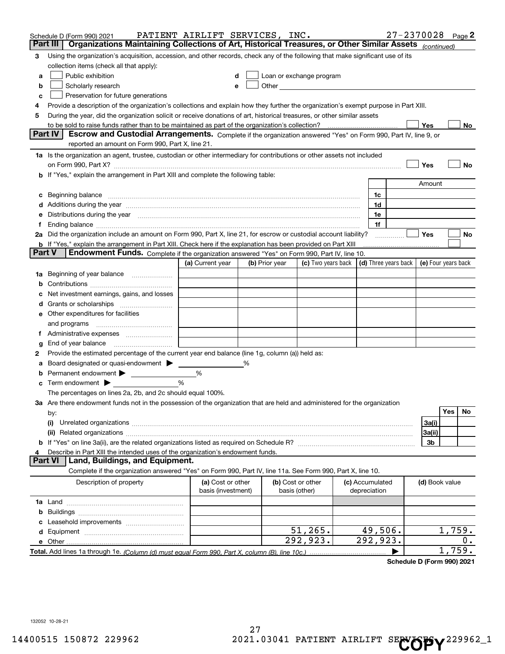|        | Schedule D (Form 990) 2021                                                                                                                                                                                                     | PATIENT AIRLIFT SERVICES, INC.          |   |                                    |                                                                                                                                                                                                                               |                                 | 27-2370028 Page 2                          |                |        |    |
|--------|--------------------------------------------------------------------------------------------------------------------------------------------------------------------------------------------------------------------------------|-----------------------------------------|---|------------------------------------|-------------------------------------------------------------------------------------------------------------------------------------------------------------------------------------------------------------------------------|---------------------------------|--------------------------------------------|----------------|--------|----|
|        | Organizations Maintaining Collections of Art, Historical Treasures, or Other Similar Assets (continued)<br>Part III                                                                                                            |                                         |   |                                    |                                                                                                                                                                                                                               |                                 |                                            |                |        |    |
| з      | Using the organization's acquisition, accession, and other records, check any of the following that make significant use of its                                                                                                |                                         |   |                                    |                                                                                                                                                                                                                               |                                 |                                            |                |        |    |
|        | collection items (check all that apply):                                                                                                                                                                                       |                                         |   |                                    |                                                                                                                                                                                                                               |                                 |                                            |                |        |    |
| a      | Public exhibition                                                                                                                                                                                                              |                                         |   |                                    | Loan or exchange program                                                                                                                                                                                                      |                                 |                                            |                |        |    |
| b      | Scholarly research                                                                                                                                                                                                             |                                         |   |                                    | Other and the contract of the contract of the contract of the contract of the contract of the contract of the contract of the contract of the contract of the contract of the contract of the contract of the contract of the |                                 |                                            |                |        |    |
| с      | Preservation for future generations                                                                                                                                                                                            |                                         |   |                                    |                                                                                                                                                                                                                               |                                 |                                            |                |        |    |
| 4      | Provide a description of the organization's collections and explain how they further the organization's exempt purpose in Part XIII.                                                                                           |                                         |   |                                    |                                                                                                                                                                                                                               |                                 |                                            |                |        |    |
| 5      | During the year, did the organization solicit or receive donations of art, historical treasures, or other similar assets                                                                                                       |                                         |   |                                    |                                                                                                                                                                                                                               |                                 |                                            |                |        |    |
|        | Part IV                                                                                                                                                                                                                        |                                         |   |                                    |                                                                                                                                                                                                                               |                                 |                                            | Yes            |        | No |
|        | Escrow and Custodial Arrangements. Complete if the organization answered "Yes" on Form 990, Part IV, line 9, or<br>reported an amount on Form 990, Part X, line 21.                                                            |                                         |   |                                    |                                                                                                                                                                                                                               |                                 |                                            |                |        |    |
|        | 1a Is the organization an agent, trustee, custodian or other intermediary for contributions or other assets not included                                                                                                       |                                         |   |                                    |                                                                                                                                                                                                                               |                                 |                                            |                |        |    |
|        | on Form 990, Part X? [11] matter continuum matter contract the contract of the contract of the contract of the                                                                                                                 |                                         |   |                                    |                                                                                                                                                                                                                               |                                 |                                            | Yes            |        | No |
|        | b If "Yes," explain the arrangement in Part XIII and complete the following table:                                                                                                                                             |                                         |   |                                    |                                                                                                                                                                                                                               |                                 |                                            |                |        |    |
|        |                                                                                                                                                                                                                                |                                         |   |                                    |                                                                                                                                                                                                                               |                                 |                                            | Amount         |        |    |
| c      | Beginning balance <u>www.maren.communication.communication.communication.communication.com</u>                                                                                                                                 |                                         |   |                                    |                                                                                                                                                                                                                               | 1c                              |                                            |                |        |    |
|        |                                                                                                                                                                                                                                |                                         |   |                                    |                                                                                                                                                                                                                               | 1d                              |                                            |                |        |    |
|        | e Distributions during the year manufactured and continuum and contained and the year manufactured and contained and the year manufactured and contained and contained and contained and contained and contained and contained |                                         |   |                                    |                                                                                                                                                                                                                               | 1e                              |                                            |                |        |    |
|        |                                                                                                                                                                                                                                |                                         |   |                                    |                                                                                                                                                                                                                               | 1f                              |                                            |                |        |    |
|        | 2a Did the organization include an amount on Form 990, Part X, line 21, for escrow or custodial account liability?                                                                                                             |                                         |   |                                    |                                                                                                                                                                                                                               |                                 |                                            | Yes            |        | No |
|        | <b>b</b> If "Yes," explain the arrangement in Part XIII. Check here if the explanation has been provided on Part XIII                                                                                                          |                                         |   |                                    |                                                                                                                                                                                                                               |                                 |                                            |                |        |    |
| Part V | Endowment Funds. Complete if the organization answered "Yes" on Form 990, Part IV, line 10.                                                                                                                                    |                                         |   |                                    |                                                                                                                                                                                                                               |                                 |                                            |                |        |    |
|        |                                                                                                                                                                                                                                | (a) Current year                        |   | (b) Prior year                     | (c) Two years back                                                                                                                                                                                                            |                                 | (d) Three years back   (e) Four years back |                |        |    |
|        | 1a Beginning of year balance                                                                                                                                                                                                   |                                         |   |                                    |                                                                                                                                                                                                                               |                                 |                                            |                |        |    |
| b      |                                                                                                                                                                                                                                |                                         |   |                                    |                                                                                                                                                                                                                               |                                 |                                            |                |        |    |
|        | Net investment earnings, gains, and losses                                                                                                                                                                                     |                                         |   |                                    |                                                                                                                                                                                                                               |                                 |                                            |                |        |    |
|        |                                                                                                                                                                                                                                |                                         |   |                                    |                                                                                                                                                                                                                               |                                 |                                            |                |        |    |
|        | e Other expenditures for facilities                                                                                                                                                                                            |                                         |   |                                    |                                                                                                                                                                                                                               |                                 |                                            |                |        |    |
|        |                                                                                                                                                                                                                                |                                         |   |                                    |                                                                                                                                                                                                                               |                                 |                                            |                |        |    |
|        |                                                                                                                                                                                                                                |                                         |   |                                    |                                                                                                                                                                                                                               |                                 |                                            |                |        |    |
| g      | End of year balance <i>manually contained</i>                                                                                                                                                                                  |                                         |   |                                    |                                                                                                                                                                                                                               |                                 |                                            |                |        |    |
| 2      | Provide the estimated percentage of the current year end balance (line 1g, column (a)) held as:                                                                                                                                |                                         |   |                                    |                                                                                                                                                                                                                               |                                 |                                            |                |        |    |
| а      | Board designated or quasi-endowment ><br>Permanent endowment >                                                                                                                                                                 | %                                       | % |                                    |                                                                                                                                                                                                                               |                                 |                                            |                |        |    |
| b      | Term endowment $\blacktriangleright$                                                                                                                                                                                           | %                                       |   |                                    |                                                                                                                                                                                                                               |                                 |                                            |                |        |    |
| c      | The percentages on lines 2a, 2b, and 2c should equal 100%.                                                                                                                                                                     |                                         |   |                                    |                                                                                                                                                                                                                               |                                 |                                            |                |        |    |
|        | 3a Are there endowment funds not in the possession of the organization that are held and administered for the organization                                                                                                     |                                         |   |                                    |                                                                                                                                                                                                                               |                                 |                                            |                |        |    |
|        | by:                                                                                                                                                                                                                            |                                         |   |                                    |                                                                                                                                                                                                                               |                                 |                                            |                | Yes    | No |
|        | (i)                                                                                                                                                                                                                            |                                         |   |                                    |                                                                                                                                                                                                                               |                                 |                                            | 3a(i)          |        |    |
|        |                                                                                                                                                                                                                                |                                         |   |                                    |                                                                                                                                                                                                                               |                                 |                                            | 3a(ii)         |        |    |
|        |                                                                                                                                                                                                                                |                                         |   |                                    |                                                                                                                                                                                                                               |                                 |                                            | 3b             |        |    |
|        | Describe in Part XIII the intended uses of the organization's endowment funds.                                                                                                                                                 |                                         |   |                                    |                                                                                                                                                                                                                               |                                 |                                            |                |        |    |
|        | Land, Buildings, and Equipment.<br>Part VI                                                                                                                                                                                     |                                         |   |                                    |                                                                                                                                                                                                                               |                                 |                                            |                |        |    |
|        | Complete if the organization answered "Yes" on Form 990, Part IV, line 11a. See Form 990, Part X, line 10.                                                                                                                     |                                         |   |                                    |                                                                                                                                                                                                                               |                                 |                                            |                |        |    |
|        | Description of property                                                                                                                                                                                                        | (a) Cost or other<br>basis (investment) |   | (b) Cost or other<br>basis (other) |                                                                                                                                                                                                                               | (c) Accumulated<br>depreciation |                                            | (d) Book value |        |    |
|        |                                                                                                                                                                                                                                |                                         |   |                                    |                                                                                                                                                                                                                               |                                 |                                            |                |        |    |
| b      |                                                                                                                                                                                                                                |                                         |   |                                    |                                                                                                                                                                                                                               |                                 |                                            |                |        |    |
|        |                                                                                                                                                                                                                                |                                         |   |                                    |                                                                                                                                                                                                                               |                                 |                                            |                |        |    |
|        |                                                                                                                                                                                                                                |                                         |   |                                    | 51, 265.                                                                                                                                                                                                                      | 49,506.                         |                                            |                | 1,759. |    |
|        |                                                                                                                                                                                                                                |                                         |   |                                    | 292,923.                                                                                                                                                                                                                      | $\overline{292}$ , 923.         |                                            |                |        | 0. |
|        |                                                                                                                                                                                                                                |                                         |   |                                    |                                                                                                                                                                                                                               |                                 |                                            |                | 1,759. |    |

**Schedule D (Form 990) 2021**

132052 10-28-21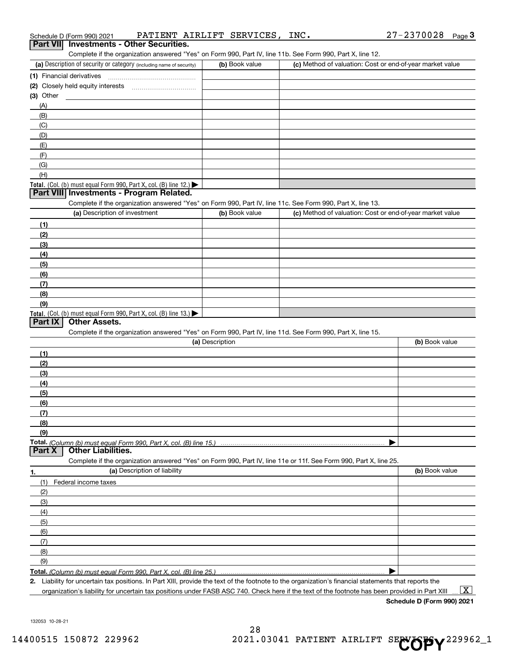| Schedule D (Form 990) 2021                                                                                                                           | PATIENT AIRLIFT SERVICES, | INC. | 27-2370028<br>Page $\bf{3}$                               |
|------------------------------------------------------------------------------------------------------------------------------------------------------|---------------------------|------|-----------------------------------------------------------|
| <b>Investments - Other Securities.</b><br><b>Part VII</b>                                                                                            |                           |      |                                                           |
| Complete if the organization answered "Yes" on Form 990, Part IV, line 11b. See Form 990, Part X, line 12.                                           |                           |      |                                                           |
| (a) Description of security or category (including name of security)                                                                                 | (b) Book value            |      | (c) Method of valuation: Cost or end-of-year market value |
| (1) Financial derivatives                                                                                                                            |                           |      |                                                           |
|                                                                                                                                                      |                           |      |                                                           |
| $(3)$ Other                                                                                                                                          |                           |      |                                                           |
| (A)                                                                                                                                                  |                           |      |                                                           |
| (B)                                                                                                                                                  |                           |      |                                                           |
| (C)                                                                                                                                                  |                           |      |                                                           |
| (D)                                                                                                                                                  |                           |      |                                                           |
| (E)                                                                                                                                                  |                           |      |                                                           |
| (F)                                                                                                                                                  |                           |      |                                                           |
| (G)                                                                                                                                                  |                           |      |                                                           |
| (H)                                                                                                                                                  |                           |      |                                                           |
| Total. (Col. (b) must equal Form 990, Part X, col. (B) line 12.)<br>Part VIII Investments - Program Related.                                         |                           |      |                                                           |
| Complete if the organization answered "Yes" on Form 990, Part IV, line 11c. See Form 990, Part X, line 13.                                           |                           |      |                                                           |
| (a) Description of investment                                                                                                                        | (b) Book value            |      | (c) Method of valuation: Cost or end-of-year market value |
| (1)                                                                                                                                                  |                           |      |                                                           |
| (2)                                                                                                                                                  |                           |      |                                                           |
| (3)                                                                                                                                                  |                           |      |                                                           |
| (4)                                                                                                                                                  |                           |      |                                                           |
| (5)                                                                                                                                                  |                           |      |                                                           |
| (6)                                                                                                                                                  |                           |      |                                                           |
| (7)                                                                                                                                                  |                           |      |                                                           |
| (8)                                                                                                                                                  |                           |      |                                                           |
| (9)                                                                                                                                                  |                           |      |                                                           |
| Total. (Col. (b) must equal Form 990, Part X, col. (B) line 13.)                                                                                     |                           |      |                                                           |
| <b>Other Assets.</b><br>Part IX                                                                                                                      |                           |      |                                                           |
| Complete if the organization answered "Yes" on Form 990, Part IV, line 11d. See Form 990, Part X, line 15.                                           |                           |      |                                                           |
|                                                                                                                                                      | (a) Description           |      | (b) Book value                                            |
| (1)                                                                                                                                                  |                           |      |                                                           |
| (2)                                                                                                                                                  |                           |      |                                                           |
| (3)                                                                                                                                                  |                           |      |                                                           |
| (4)                                                                                                                                                  |                           |      |                                                           |
| (5)                                                                                                                                                  |                           |      |                                                           |
| (6)                                                                                                                                                  |                           |      |                                                           |
| (7)                                                                                                                                                  |                           |      |                                                           |
| (8)                                                                                                                                                  |                           |      |                                                           |
| (9)                                                                                                                                                  |                           |      |                                                           |
| <b>Other Liabilities.</b><br>Part X                                                                                                                  |                           |      |                                                           |
| Complete if the organization answered "Yes" on Form 990, Part IV, line 11e or 11f. See Form 990, Part X, line 25.                                    |                           |      |                                                           |
| (a) Description of liability<br>1.                                                                                                                   |                           |      | (b) Book value                                            |
| (1)<br>Federal income taxes                                                                                                                          |                           |      |                                                           |
| (2)                                                                                                                                                  |                           |      |                                                           |
| (3)                                                                                                                                                  |                           |      |                                                           |
| (4)                                                                                                                                                  |                           |      |                                                           |
| (5)                                                                                                                                                  |                           |      |                                                           |
| (6)                                                                                                                                                  |                           |      |                                                           |
| (7)                                                                                                                                                  |                           |      |                                                           |
| (8)                                                                                                                                                  |                           |      |                                                           |
| (9)                                                                                                                                                  |                           |      |                                                           |
| Total. (Column (b) must equal Form 990, Part X, col. (B) line 25.)                                                                                   |                           |      |                                                           |
| 2. Liability for uncertain tax positions. In Part XIII, provide the text of the footnote to the organization's financial statements that reports the |                           |      |                                                           |

organization's liability for uncertain tax positions under FASB ASC 740. Check here if the text of the footnote has been provided in Part XIII

 $\boxed{\text{X}}$ 

132053 10-28-21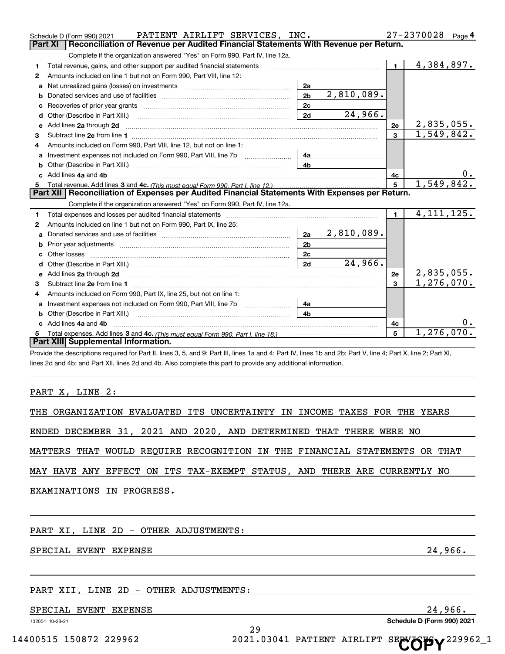|              | PATIENT AIRLIFT SERVICES, INC.<br>Schedule D (Form 990) 2021                                                                                                                                                                        |                |            |                | 27-2370028<br>Page $4$ |
|--------------|-------------------------------------------------------------------------------------------------------------------------------------------------------------------------------------------------------------------------------------|----------------|------------|----------------|------------------------|
| Part XI      | Reconciliation of Revenue per Audited Financial Statements With Revenue per Return.                                                                                                                                                 |                |            |                |                        |
|              | Complete if the organization answered "Yes" on Form 990, Part IV, line 12a.                                                                                                                                                         |                |            |                |                        |
| 1            | Total revenue, gains, and other support per audited financial statements                                                                                                                                                            |                |            | $\blacksquare$ | 4,384,897.             |
| 2            | Amounts included on line 1 but not on Form 990, Part VIII, line 12:                                                                                                                                                                 |                |            |                |                        |
| a            | Net unrealized gains (losses) on investments [11] matter contracts and the unrealized gains (losses) on investments                                                                                                                 | 2a             |            |                |                        |
| b            |                                                                                                                                                                                                                                     | 2 <sub>b</sub> | 2,810,089. |                |                        |
| c            |                                                                                                                                                                                                                                     | 2c             |            |                |                        |
|              |                                                                                                                                                                                                                                     | 2d             | 24,966.    |                |                        |
| e            | Add lines 2a through 2d <b>contained a contained a contained a contained a</b> contained a contained a contained a contained a contained a contained a contained a contained a contained a contained a contained a contained a cont |                |            | 2e             | 2,835,055.             |
| 3            | Subtract line 2e from line 1 <b>Manual Community and Community</b> and Table 1 and Table 1 and Table 1 and Table 1 and Table 1 and Table 1 and Table 1 and Table 1 and Table 1 and Table 1 and Table 1 and Table 1 and Table 1 and  |                |            | 3              | 1,549,842.             |
| 4            | Amounts included on Form 990, Part VIII, line 12, but not on line 1:                                                                                                                                                                |                |            |                |                        |
| a            | Investment expenses not included on Form 990, Part VIII, line 7b [100] [100] [100] [100] [100] [100] [100] [10                                                                                                                      | 4a             |            |                |                        |
| b            |                                                                                                                                                                                                                                     | 4b             |            |                |                        |
| $\mathbf{c}$ | Add lines 4a and 4b                                                                                                                                                                                                                 |                |            | 4с             | 0.                     |
| 5            |                                                                                                                                                                                                                                     |                |            | 5              | 1,549,842.             |
|              | Part XII   Reconciliation of Expenses per Audited Financial Statements With Expenses per Return.                                                                                                                                    |                |            |                |                        |
|              | Complete if the organization answered "Yes" on Form 990, Part IV, line 12a.                                                                                                                                                         |                |            |                |                        |
| 1            | Total expenses and losses per audited financial statements                                                                                                                                                                          |                |            | $\blacksquare$ | 4, 111, 125.           |
| 2            | Amounts included on line 1 but not on Form 990, Part IX, line 25:                                                                                                                                                                   |                |            |                |                        |
| a            |                                                                                                                                                                                                                                     | 2a             | 2,810,089. |                |                        |
| b            |                                                                                                                                                                                                                                     | 2 <sub>b</sub> |            |                |                        |
|              |                                                                                                                                                                                                                                     | 2c             |            |                |                        |
| d            |                                                                                                                                                                                                                                     | 2d             | 24,966.    |                |                        |
| e            | Add lines 2a through 2d <b>minimum contained a contract and a</b> contract a contract of the contract of the contract of the contract of the contract of the contract of the contract of the contract of the contract of the contra |                |            | 2e             | 2,835,055.             |
| 3            |                                                                                                                                                                                                                                     |                |            | 3              | 1, 276, 070.           |
| 4            | Amounts included on Form 990, Part IX, line 25, but not on line 1:                                                                                                                                                                  |                |            |                |                        |
| a            | Investment expenses not included on Form 990, Part VIII, line 7b [1000000000000000000000000000000000                                                                                                                                | 4a             |            |                |                        |
| b            |                                                                                                                                                                                                                                     | 4h             |            |                |                        |
|              | Add lines 4a and 4b                                                                                                                                                                                                                 |                |            | 4с             | 0.                     |
| 5            |                                                                                                                                                                                                                                     |                |            | 5              | 1, 276, 070.           |
|              | Part XIII Supplemental Information.                                                                                                                                                                                                 |                |            |                |                        |
|              | Provide the descriptions required for Part II, lines 3, 5, and 9; Part III, lines 1a and 4; Part IV, lines 1b and 2b; Part V, line 4; Part X, line 2; Part XI,                                                                      |                |            |                |                        |

lines 2d and 4b; and Part XII, lines 2d and 4b. Also complete this part to provide any additional information.

#### PART X, LINE 2:

ENDED DECEMBER 31, 2021 AND 2020, AND DETERMINED THAT THERE WERE NO

MATTERS THAT WOULD REQUIRE RECOGNITION IN THE FINANCIAL STATEMENTS OR THAT

29

MAY HAVE ANY EFFECT ON ITS TAX-EXEMPT STATUS, AND THERE ARE CURRENTLY NO

EXAMINATIONS IN PROGRESS.

PART XI, LINE 2D - OTHER ADJUSTMENTS:

SPECIAL EVENT EXPENSE **24,966.** 24,966.

# PART XII, LINE 2D - OTHER ADJUSTMENTS:

SPECIAL EVENT EXPENSE 24, 2006.

132054 10-28-21

**Schedule D (Form 990) 2021**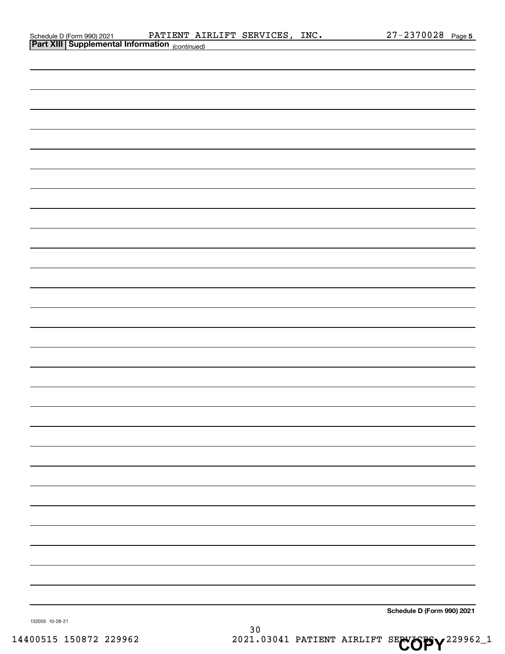| Schedule D (Form 990) 202 <sup>-</sup>                                                                          |  |
|-----------------------------------------------------------------------------------------------------------------|--|
| the contract of the contract of the contract of the contract of the contract of the contract of the contract of |  |

| <b>Part XIII Supplemental Information</b> (continued) |                            |
|-------------------------------------------------------|----------------------------|
|                                                       |                            |
|                                                       |                            |
|                                                       |                            |
|                                                       |                            |
|                                                       |                            |
|                                                       |                            |
|                                                       |                            |
|                                                       |                            |
|                                                       |                            |
|                                                       |                            |
|                                                       |                            |
|                                                       |                            |
|                                                       |                            |
|                                                       |                            |
|                                                       |                            |
|                                                       |                            |
|                                                       |                            |
|                                                       |                            |
|                                                       |                            |
|                                                       |                            |
|                                                       |                            |
|                                                       |                            |
|                                                       |                            |
|                                                       |                            |
|                                                       |                            |
|                                                       |                            |
|                                                       |                            |
|                                                       |                            |
|                                                       |                            |
|                                                       |                            |
|                                                       |                            |
| 132055 10-28-21                                       | Schedule D (Form 990) 2021 |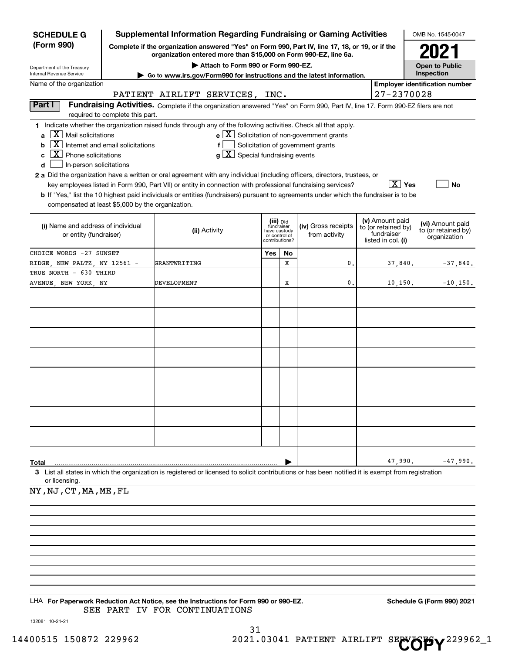| <b>SCHEDULE G</b>                                                                                                                                          |                                                 | <b>Supplemental Information Regarding Fundraising or Gaming Activities</b>                                                                                                                                                                                                                                                                                                                                                                                                                                                                         |                                                 |                         |                                                                                                   |                                                                            | OMB No. 1545-0047                                       |
|------------------------------------------------------------------------------------------------------------------------------------------------------------|-------------------------------------------------|----------------------------------------------------------------------------------------------------------------------------------------------------------------------------------------------------------------------------------------------------------------------------------------------------------------------------------------------------------------------------------------------------------------------------------------------------------------------------------------------------------------------------------------------------|-------------------------------------------------|-------------------------|---------------------------------------------------------------------------------------------------|----------------------------------------------------------------------------|---------------------------------------------------------|
| (Form 990)                                                                                                                                                 |                                                 | Complete if the organization answered "Yes" on Form 990, Part IV, line 17, 18, or 19, or if the<br>organization entered more than \$15,000 on Form 990-EZ, line 6a.                                                                                                                                                                                                                                                                                                                                                                                |                                                 |                         |                                                                                                   |                                                                            | 2021                                                    |
| Department of the Treasury<br>Internal Revenue Service                                                                                                     |                                                 | Attach to Form 990 or Form 990-EZ.                                                                                                                                                                                                                                                                                                                                                                                                                                                                                                                 |                                                 |                         |                                                                                                   |                                                                            | <b>Open to Public</b><br>Inspection                     |
| Name of the organization                                                                                                                                   |                                                 | $\triangleright$ Go to www.irs.gov/Form990 for instructions and the latest information.                                                                                                                                                                                                                                                                                                                                                                                                                                                            |                                                 |                         |                                                                                                   |                                                                            | <b>Employer identification number</b>                   |
|                                                                                                                                                            |                                                 | PATIENT AIRLIFT SERVICES, INC.                                                                                                                                                                                                                                                                                                                                                                                                                                                                                                                     |                                                 |                         |                                                                                                   | 27-2370028                                                                 |                                                         |
| Part I                                                                                                                                                     | required to complete this part.                 | Fundraising Activities. Complete if the organization answered "Yes" on Form 990, Part IV, line 17. Form 990-EZ filers are not                                                                                                                                                                                                                                                                                                                                                                                                                      |                                                 |                         |                                                                                                   |                                                                            |                                                         |
| $X \mid$ Mail solicitations<br>a<br>b<br>$X$ Phone solicitations<br>c<br>In-person solicitations<br>d<br>compensated at least \$5,000 by the organization. | $\overline{X}$ Internet and email solicitations | 1 Indicate whether the organization raised funds through any of the following activities. Check all that apply.<br>f<br>$g\mid X$ Special fundraising events<br>2 a Did the organization have a written or oral agreement with any individual (including officers, directors, trustees, or<br>key employees listed in Form 990, Part VII) or entity in connection with professional fundraising services?<br>b If "Yes," list the 10 highest paid individuals or entities (fundraisers) pursuant to agreements under which the fundraiser is to be |                                                 |                         | $e$ $\boxed{\text{X}}$ Solicitation of non-government grants<br>Solicitation of government grants | $ X $ Yes                                                                  | <b>No</b>                                               |
| (i) Name and address of individual<br>or entity (fundraiser)                                                                                               |                                                 | (ii) Activity                                                                                                                                                                                                                                                                                                                                                                                                                                                                                                                                      | have custody<br>or control of<br>contributions? | (iii) Did<br>fundraiser | (iv) Gross receipts<br>from activity                                                              | (v) Amount paid<br>to (or retained by)<br>fundraiser<br>listed in col. (i) | (vi) Amount paid<br>to (or retained by)<br>organization |
| CHOICE WORDS -27 SUNSET                                                                                                                                    |                                                 |                                                                                                                                                                                                                                                                                                                                                                                                                                                                                                                                                    | Yes                                             | No                      |                                                                                                   |                                                                            |                                                         |
| RIDGE NEW PALTZ NY 12561 -                                                                                                                                 |                                                 | GRANTWRITING                                                                                                                                                                                                                                                                                                                                                                                                                                                                                                                                       |                                                 | x                       | 0.                                                                                                | 37,840.                                                                    | $-37,840$ .                                             |
| TRUE NORTH - 630 THIRD<br>AVENUE, NEW YORK, NY                                                                                                             |                                                 | DEVELOPMENT                                                                                                                                                                                                                                                                                                                                                                                                                                                                                                                                        |                                                 | х                       | 0.                                                                                                | 10, 150.                                                                   | $-10,150.$                                              |
|                                                                                                                                                            |                                                 |                                                                                                                                                                                                                                                                                                                                                                                                                                                                                                                                                    |                                                 |                         |                                                                                                   |                                                                            |                                                         |
| Total<br>or licensing.                                                                                                                                     |                                                 | 3 List all states in which the organization is registered or licensed to solicit contributions or has been notified it is exempt from registration                                                                                                                                                                                                                                                                                                                                                                                                 |                                                 |                         |                                                                                                   | 47,990.                                                                    | $-47,990.$                                              |
| NY, NJ, CT, MA, ME, FL                                                                                                                                     |                                                 |                                                                                                                                                                                                                                                                                                                                                                                                                                                                                                                                                    |                                                 |                         |                                                                                                   |                                                                            |                                                         |
|                                                                                                                                                            |                                                 |                                                                                                                                                                                                                                                                                                                                                                                                                                                                                                                                                    |                                                 |                         |                                                                                                   |                                                                            |                                                         |

LHA For Paperwork Reduction Act Notice, see the Instructions for Form 990 or 990-EZ. Schedule G (Form 990) 2021 SEE PART IV FOR CONTINUATIONS

132081 10-21-21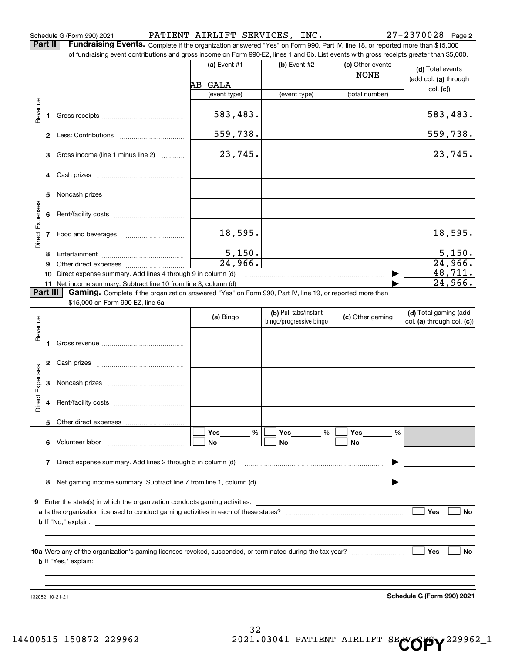Schedule G (Form 990) 2021 Page PATIENT AIRLIFT SERVICES, INC. 27-2370028

**Part II Fundraising Events.** Complete if the organization answered "Yes" on Form 990, Part IV, line 18, or reported more than \$15,000<br>15.000 of fundraising event contributions and gross income on Form 990-EZ. lines 1 an

|                 |          | of fundraising event contributions and gross income on Form 990-EZ, lines 1 and 6b. List events with gross receipts greater than \$5,000. |                       |                         |                  |                            |
|-----------------|----------|-------------------------------------------------------------------------------------------------------------------------------------------|-----------------------|-------------------------|------------------|----------------------------|
|                 |          |                                                                                                                                           | (a) Event $#1$        | $(b)$ Event #2          | (c) Other events | (d) Total events           |
|                 |          |                                                                                                                                           |                       |                         | <b>NONE</b>      | (add col. (a) through      |
|                 |          |                                                                                                                                           | AB GALA               |                         |                  | col. (c)                   |
|                 |          |                                                                                                                                           | (event type)          | (event type)            | (total number)   |                            |
| Revenue         | 1        |                                                                                                                                           | 583,483.              |                         |                  | 583,483.                   |
|                 |          |                                                                                                                                           |                       |                         |                  |                            |
|                 |          |                                                                                                                                           | 559,738.              |                         |                  | 559,738.                   |
|                 | 3        | Gross income (line 1 minus line 2)                                                                                                        | 23,745.               |                         |                  | 23,745.                    |
|                 |          |                                                                                                                                           |                       |                         |                  |                            |
|                 |          |                                                                                                                                           |                       |                         |                  |                            |
|                 | 5        |                                                                                                                                           |                       |                         |                  |                            |
|                 |          |                                                                                                                                           |                       |                         |                  |                            |
| Direct Expenses | 6        |                                                                                                                                           |                       |                         |                  |                            |
|                 |          |                                                                                                                                           |                       |                         |                  |                            |
|                 | 7        | Food and beverages                                                                                                                        | 18,595.               |                         |                  | 18,595.                    |
|                 | 8        |                                                                                                                                           | 5,150.                |                         |                  | 5,150.                     |
|                 | 9        |                                                                                                                                           | $\overline{24,966}$ . |                         |                  | 24,966.                    |
|                 | 10       | Direct expense summary. Add lines 4 through 9 in column (d)                                                                               |                       |                         |                  | 48,711.                    |
|                 |          | 11 Net income summary. Subtract line 10 from line 3, column (d)                                                                           |                       |                         |                  | $-24,966.$                 |
|                 | Part III | Gaming. Complete if the organization answered "Yes" on Form 990, Part IV, line 19, or reported more than                                  |                       |                         |                  |                            |
|                 |          | \$15,000 on Form 990-EZ, line 6a.                                                                                                         |                       |                         |                  |                            |
|                 |          |                                                                                                                                           | (a) Bingo             | (b) Pull tabs/instant   | (c) Other gaming | (d) Total gaming (add      |
| Revenue         |          |                                                                                                                                           |                       | bingo/progressive bingo |                  | col. (a) through col. (c)) |
|                 |          |                                                                                                                                           |                       |                         |                  |                            |
|                 |          |                                                                                                                                           |                       |                         |                  |                            |
|                 |          |                                                                                                                                           |                       |                         |                  |                            |
|                 | 2        |                                                                                                                                           |                       |                         |                  |                            |
| Direct Expenses |          |                                                                                                                                           |                       |                         |                  |                            |
|                 | З        |                                                                                                                                           |                       |                         |                  |                            |
|                 |          |                                                                                                                                           |                       |                         |                  |                            |
|                 | 4        |                                                                                                                                           |                       |                         |                  |                            |
|                 |          | 5 Other direct expenses                                                                                                                   |                       |                         |                  |                            |
|                 |          |                                                                                                                                           | Yes<br>%              | Yes<br>%                | Yes<br>%         |                            |
|                 | 6        | Volunteer labor                                                                                                                           | No                    | No                      | No               |                            |
|                 |          |                                                                                                                                           |                       |                         |                  |                            |
|                 |          | 7 Direct expense summary. Add lines 2 through 5 in column (d)                                                                             |                       |                         |                  |                            |
|                 |          |                                                                                                                                           |                       |                         |                  |                            |
|                 | 8        |                                                                                                                                           |                       |                         |                  |                            |
|                 |          |                                                                                                                                           |                       |                         |                  |                            |
| 9               |          | Enter the state(s) in which the organization conducts gaming activities:                                                                  |                       |                         |                  |                            |
|                 |          |                                                                                                                                           |                       |                         |                  | Yes<br>No                  |
|                 |          |                                                                                                                                           |                       |                         |                  |                            |
|                 |          |                                                                                                                                           |                       |                         |                  |                            |
|                 |          |                                                                                                                                           |                       |                         |                  | Yes<br>No                  |
|                 |          |                                                                                                                                           |                       |                         |                  |                            |
|                 |          |                                                                                                                                           |                       |                         |                  |                            |
|                 |          |                                                                                                                                           |                       |                         |                  |                            |
|                 |          |                                                                                                                                           |                       |                         |                  |                            |
|                 |          | 132082 10-21-21                                                                                                                           |                       |                         |                  | Schedule G (Form 990) 2021 |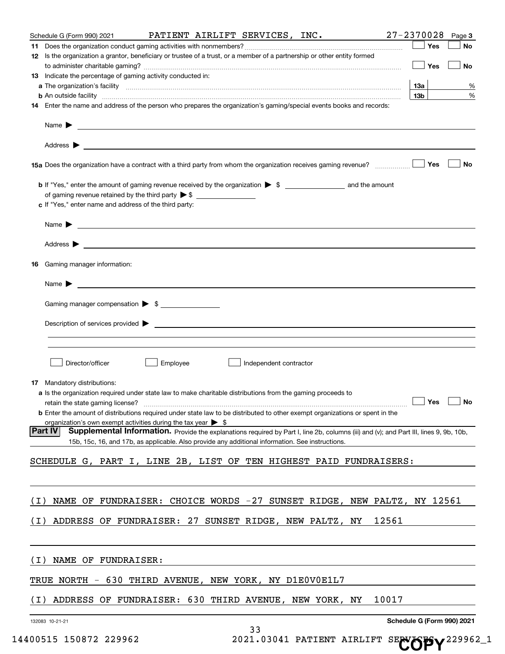|       | Schedule G (Form 990) 2021                                                                                                                                                                                                                                                                                                                                                                                            |                                                                |                        | PATIENT AIRLIFT SERVICES, INC. 27-2370028         |       |                            | Page 3 |
|-------|-----------------------------------------------------------------------------------------------------------------------------------------------------------------------------------------------------------------------------------------------------------------------------------------------------------------------------------------------------------------------------------------------------------------------|----------------------------------------------------------------|------------------------|---------------------------------------------------|-------|----------------------------|--------|
|       |                                                                                                                                                                                                                                                                                                                                                                                                                       |                                                                |                        |                                                   |       | Yes                        | No     |
|       | 12 Is the organization a grantor, beneficiary or trustee of a trust, or a member of a partnership or other entity formed                                                                                                                                                                                                                                                                                              |                                                                |                        |                                                   |       |                            |        |
|       |                                                                                                                                                                                                                                                                                                                                                                                                                       |                                                                |                        |                                                   |       | Yes                        | No     |
|       | 13 Indicate the percentage of gaming activity conducted in:                                                                                                                                                                                                                                                                                                                                                           |                                                                |                        |                                                   |       | 13а                        | %      |
|       | a The organization's facility <b>construction of the construction of the construction</b> of the organization's facility<br><b>b</b> An outside facility <i>www.communicality communicality communicality communicality communicality communicality communicality communicality communicality communicality communicality communicality communicality communicali</i>                                                 |                                                                |                        |                                                   |       | 13 <sub>b</sub>            | %      |
|       | 14 Enter the name and address of the person who prepares the organization's gaming/special events books and records:                                                                                                                                                                                                                                                                                                  |                                                                |                        |                                                   |       |                            |        |
|       |                                                                                                                                                                                                                                                                                                                                                                                                                       |                                                                |                        |                                                   |       |                            |        |
|       |                                                                                                                                                                                                                                                                                                                                                                                                                       |                                                                |                        |                                                   |       |                            |        |
|       |                                                                                                                                                                                                                                                                                                                                                                                                                       |                                                                |                        |                                                   |       |                            |        |
|       | Address $\blacktriangleright$<br>the control of the control of the control of the control of the control of the control of the control of the control of the control of the control of the control of the control of the control of the control of the control                                                                                                                                                        |                                                                |                        |                                                   |       |                            |        |
|       | 15a Does the organization have a contract with a third party from whom the organization receives gaming revenue?                                                                                                                                                                                                                                                                                                      |                                                                |                        |                                                   |       | Yes                        | No     |
|       |                                                                                                                                                                                                                                                                                                                                                                                                                       |                                                                |                        |                                                   |       |                            |        |
|       |                                                                                                                                                                                                                                                                                                                                                                                                                       |                                                                |                        |                                                   |       |                            |        |
|       |                                                                                                                                                                                                                                                                                                                                                                                                                       |                                                                |                        |                                                   |       |                            |        |
|       | c If "Yes," enter name and address of the third party:                                                                                                                                                                                                                                                                                                                                                                |                                                                |                        |                                                   |       |                            |        |
|       | Name $\blacktriangleright$ $\frac{1}{\sqrt{1-\frac{1}{2}}\sqrt{1-\frac{1}{2}}\sqrt{1-\frac{1}{2}}\sqrt{1-\frac{1}{2}}\sqrt{1-\frac{1}{2}}\sqrt{1-\frac{1}{2}}\sqrt{1-\frac{1}{2}}\sqrt{1-\frac{1}{2}}\sqrt{1-\frac{1}{2}}\sqrt{1-\frac{1}{2}}\sqrt{1-\frac{1}{2}}\sqrt{1-\frac{1}{2}}\sqrt{1-\frac{1}{2}}\sqrt{1-\frac{1}{2}}\sqrt{1-\frac{1}{2}}\sqrt{1-\frac{1}{2}}\sqrt{1-\frac{1}{2}}\sqrt{1-\frac{1}{2}}\sqrt{1$ |                                                                |                        |                                                   |       |                            |        |
|       |                                                                                                                                                                                                                                                                                                                                                                                                                       |                                                                |                        |                                                   |       |                            |        |
|       | Address $\blacktriangleright$<br><u> Alexandria de la contrada de la contrada de la contrada de la contrada de la contrada de la contrada de la c</u>                                                                                                                                                                                                                                                                 |                                                                |                        |                                                   |       |                            |        |
|       |                                                                                                                                                                                                                                                                                                                                                                                                                       |                                                                |                        |                                                   |       |                            |        |
| 16    | Gaming manager information:                                                                                                                                                                                                                                                                                                                                                                                           |                                                                |                        |                                                   |       |                            |        |
|       | Name $\blacktriangleright$                                                                                                                                                                                                                                                                                                                                                                                            |                                                                |                        |                                                   |       |                            |        |
|       | <u> 1989 - Johann John Stein, fransk politik (</u>                                                                                                                                                                                                                                                                                                                                                                    |                                                                |                        |                                                   |       |                            |        |
|       | Gaming manager compensation > \$                                                                                                                                                                                                                                                                                                                                                                                      |                                                                |                        |                                                   |       |                            |        |
|       |                                                                                                                                                                                                                                                                                                                                                                                                                       |                                                                |                        |                                                   |       |                            |        |
|       |                                                                                                                                                                                                                                                                                                                                                                                                                       |                                                                |                        |                                                   |       |                            |        |
|       |                                                                                                                                                                                                                                                                                                                                                                                                                       |                                                                |                        |                                                   |       |                            |        |
|       |                                                                                                                                                                                                                                                                                                                                                                                                                       |                                                                |                        |                                                   |       |                            |        |
|       | Director/officer                                                                                                                                                                                                                                                                                                                                                                                                      | Employee                                                       | Independent contractor |                                                   |       |                            |        |
|       |                                                                                                                                                                                                                                                                                                                                                                                                                       |                                                                |                        |                                                   |       |                            |        |
|       | 17 Mandatory distributions:                                                                                                                                                                                                                                                                                                                                                                                           |                                                                |                        |                                                   |       |                            |        |
|       | a Is the organization required under state law to make charitable distributions from the gaming proceeds to<br>retain the state gaming license?                                                                                                                                                                                                                                                                       |                                                                |                        |                                                   |       | Yes                        | No     |
|       | <b>b</b> Enter the amount of distributions required under state law to be distributed to other exempt organizations or spent in the                                                                                                                                                                                                                                                                                   |                                                                |                        |                                                   |       |                            |        |
|       | organization's own exempt activities during the tax year $\triangleright$ \$                                                                                                                                                                                                                                                                                                                                          |                                                                |                        |                                                   |       |                            |        |
|       | Supplemental Information. Provide the explanations required by Part I, line 2b, columns (iii) and (v); and Part III, lines 9, 9b, 10b,<br><b>Part IV</b>                                                                                                                                                                                                                                                              |                                                                |                        |                                                   |       |                            |        |
|       | 15b, 15c, 16, and 17b, as applicable. Also provide any additional information. See instructions.                                                                                                                                                                                                                                                                                                                      |                                                                |                        |                                                   |       |                            |        |
|       | SCHEDULE G, PART I, LINE 2B, LIST OF TEN HIGHEST PAID FUNDRAISERS:                                                                                                                                                                                                                                                                                                                                                    |                                                                |                        |                                                   |       |                            |        |
|       |                                                                                                                                                                                                                                                                                                                                                                                                                       |                                                                |                        |                                                   |       |                            |        |
|       |                                                                                                                                                                                                                                                                                                                                                                                                                       |                                                                |                        |                                                   |       |                            |        |
|       |                                                                                                                                                                                                                                                                                                                                                                                                                       |                                                                |                        |                                                   |       |                            |        |
| (I    | NAME OF                                                                                                                                                                                                                                                                                                                                                                                                               | FUNDRAISER: CHOICE WORDS -27 SUNSET RIDGE, NEW PALTZ, NY 12561 |                        |                                                   |       |                            |        |
| ( I ) | ADDRESS OF FUNDRAISER: 27 SUNSET RIDGE, NEW PALTZ, NY                                                                                                                                                                                                                                                                                                                                                                 |                                                                |                        |                                                   | 12561 |                            |        |
|       |                                                                                                                                                                                                                                                                                                                                                                                                                       |                                                                |                        |                                                   |       |                            |        |
|       |                                                                                                                                                                                                                                                                                                                                                                                                                       |                                                                |                        |                                                   |       |                            |        |
|       |                                                                                                                                                                                                                                                                                                                                                                                                                       |                                                                |                        |                                                   |       |                            |        |
| (I    | NAME OF FUNDRAISER:                                                                                                                                                                                                                                                                                                                                                                                                   |                                                                |                        |                                                   |       |                            |        |
|       | TRUE NORTH - 630 THIRD AVENUE, NEW YORK, NY D1E0V0E1L7                                                                                                                                                                                                                                                                                                                                                                |                                                                |                        |                                                   |       |                            |        |
|       |                                                                                                                                                                                                                                                                                                                                                                                                                       |                                                                |                        |                                                   |       |                            |        |
| ( I ) | ADDRESS OF FUNDRAISER: 630 THIRD AVENUE, NEW YORK, NY                                                                                                                                                                                                                                                                                                                                                                 |                                                                |                        |                                                   | 10017 |                            |        |
|       |                                                                                                                                                                                                                                                                                                                                                                                                                       |                                                                |                        |                                                   |       |                            |        |
|       | 132083 10-21-21                                                                                                                                                                                                                                                                                                                                                                                                       |                                                                |                        |                                                   |       | Schedule G (Form 990) 2021 |        |
|       | $0.0515, 150872, 220062$                                                                                                                                                                                                                                                                                                                                                                                              |                                                                | 33                     | $2021$ $03041$ pattrut atplite croiters, $220006$ |       |                            |        |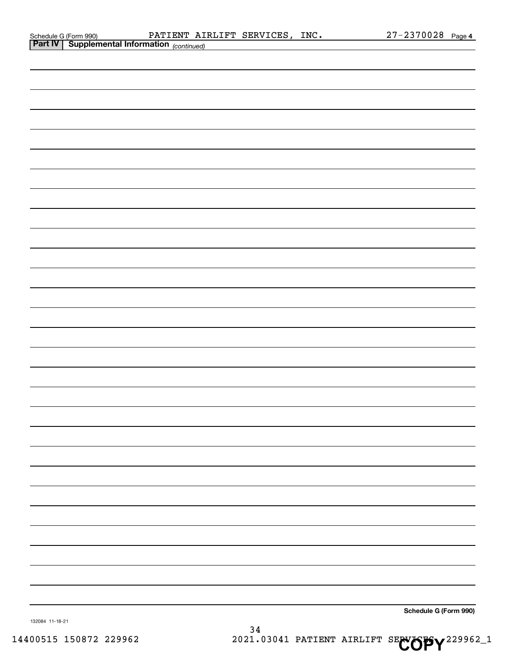|  | Schedule G (Form 990)       |  |
|--|-----------------------------|--|
|  | $\sim$ $\sim$ $\sim$ $\sim$ |  |

| <b>Part IV   Supplemental Information</b> (continued) |  |
|-------------------------------------------------------|--|
|                                                       |  |
|                                                       |  |
|                                                       |  |
|                                                       |  |
|                                                       |  |
|                                                       |  |
|                                                       |  |
|                                                       |  |
|                                                       |  |
|                                                       |  |
|                                                       |  |
|                                                       |  |
|                                                       |  |
|                                                       |  |
|                                                       |  |
|                                                       |  |
|                                                       |  |
|                                                       |  |
|                                                       |  |
|                                                       |  |
|                                                       |  |
|                                                       |  |
|                                                       |  |
|                                                       |  |
|                                                       |  |
|                                                       |  |
|                                                       |  |
|                                                       |  |
|                                                       |  |
|                                                       |  |
|                                                       |  |
|                                                       |  |
| Schedule G (Form 990)<br>132084 11-18-21<br>21        |  |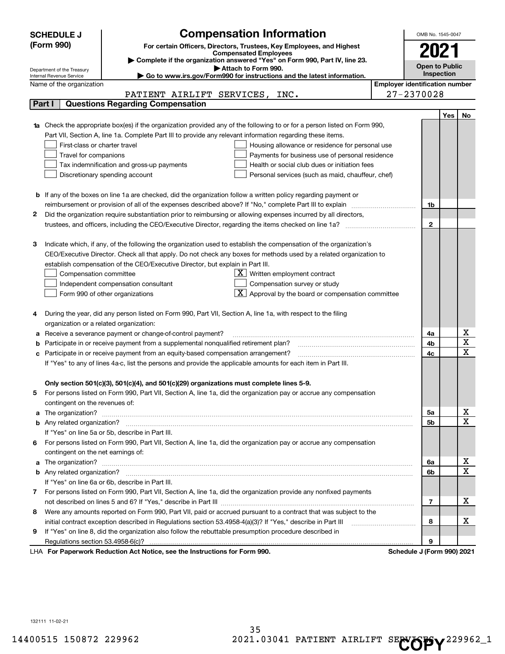|    | <b>Compensation Information</b><br><b>SCHEDULE J</b><br>(Form 990)<br>For certain Officers, Directors, Trustees, Key Employees, and Highest<br><b>Compensated Employees</b>                                                                                                                                                                                                                                                                                                                                                                                                                  |                                       | OMB No. 1545-0047<br>2021  |     |                            |
|----|----------------------------------------------------------------------------------------------------------------------------------------------------------------------------------------------------------------------------------------------------------------------------------------------------------------------------------------------------------------------------------------------------------------------------------------------------------------------------------------------------------------------------------------------------------------------------------------------|---------------------------------------|----------------------------|-----|----------------------------|
|    | Complete if the organization answered "Yes" on Form 990, Part IV, line 23.<br>Attach to Form 990.                                                                                                                                                                                                                                                                                                                                                                                                                                                                                            |                                       | <b>Open to Public</b>      |     |                            |
|    | Department of the Treasury<br>Go to www.irs.gov/Form990 for instructions and the latest information.<br>Internal Revenue Service                                                                                                                                                                                                                                                                                                                                                                                                                                                             |                                       | <b>Inspection</b>          |     |                            |
|    | Name of the organization                                                                                                                                                                                                                                                                                                                                                                                                                                                                                                                                                                     | <b>Employer identification number</b> |                            |     |                            |
|    | PATIENT AIRLIFT SERVICES,<br>INC.                                                                                                                                                                                                                                                                                                                                                                                                                                                                                                                                                            |                                       | 27-2370028                 |     |                            |
|    | <b>Questions Regarding Compensation</b><br>Part I                                                                                                                                                                                                                                                                                                                                                                                                                                                                                                                                            |                                       |                            |     |                            |
|    |                                                                                                                                                                                                                                                                                                                                                                                                                                                                                                                                                                                              |                                       |                            | Yes | No                         |
|    | 1a Check the appropriate box(es) if the organization provided any of the following to or for a person listed on Form 990,<br>Part VII, Section A, line 1a. Complete Part III to provide any relevant information regarding these items.<br>First-class or charter travel<br>Housing allowance or residence for personal use<br>Payments for business use of personal residence<br>Travel for companions<br>Tax indemnification and gross-up payments<br>Health or social club dues or initiation fees<br>Discretionary spending account<br>Personal services (such as maid, chauffeur, chef) |                                       |                            |     |                            |
|    | <b>b</b> If any of the boxes on line 1a are checked, did the organization follow a written policy regarding payment or                                                                                                                                                                                                                                                                                                                                                                                                                                                                       |                                       |                            |     |                            |
|    | reimbursement or provision of all of the expenses described above? If "No," complete Part III to explain                                                                                                                                                                                                                                                                                                                                                                                                                                                                                     |                                       | 1b                         |     |                            |
| 2  | Did the organization require substantiation prior to reimbursing or allowing expenses incurred by all directors,                                                                                                                                                                                                                                                                                                                                                                                                                                                                             |                                       |                            |     |                            |
|    | trustees, and officers, including the CEO/Executive Director, regarding the items checked on line 1a?                                                                                                                                                                                                                                                                                                                                                                                                                                                                                        |                                       | $\mathbf{2}$               |     |                            |
| З  | Indicate which, if any, of the following the organization used to establish the compensation of the organization's<br>CEO/Executive Director. Check all that apply. Do not check any boxes for methods used by a related organization to<br>establish compensation of the CEO/Executive Director, but explain in Part III.<br>$X$ Written employment contract<br>Compensation committee<br>Compensation survey or study<br>Independent compensation consultant<br>$\overline{\mathbf{X}}$ Approval by the board or compensation committee<br>Form 990 of other organizations                 |                                       |                            |     |                            |
|    | During the year, did any person listed on Form 990, Part VII, Section A, line 1a, with respect to the filing<br>organization or a related organization:                                                                                                                                                                                                                                                                                                                                                                                                                                      |                                       |                            |     |                            |
| а  | Receive a severance payment or change-of-control payment?                                                                                                                                                                                                                                                                                                                                                                                                                                                                                                                                    |                                       | 4a                         |     | х                          |
| b  | Participate in or receive payment from a supplemental nonqualified retirement plan?                                                                                                                                                                                                                                                                                                                                                                                                                                                                                                          |                                       | 4b                         |     | $\overline{\texttt{x}}$    |
| с  | Participate in or receive payment from an equity-based compensation arrangement?                                                                                                                                                                                                                                                                                                                                                                                                                                                                                                             |                                       | 4c                         |     | $\overline{\text{x}}$      |
|    | If "Yes" to any of lines 4a-c, list the persons and provide the applicable amounts for each item in Part III.                                                                                                                                                                                                                                                                                                                                                                                                                                                                                |                                       |                            |     |                            |
|    | Only section 501(c)(3), 501(c)(4), and 501(c)(29) organizations must complete lines 5-9.<br>For persons listed on Form 990, Part VII, Section A, line 1a, did the organization pay or accrue any compensation<br>contingent on the revenues of:                                                                                                                                                                                                                                                                                                                                              |                                       |                            |     |                            |
|    | a The organization? <b>Entitled Strategies and Strategies and Strategies and Strategies and Strategies and Strategies and Strategies and Strategies and Strategies and Strategies and Strategies and Strategies and Strategies a</b>                                                                                                                                                                                                                                                                                                                                                         |                                       | 5а                         |     | x<br>$\overline{\text{x}}$ |
|    |                                                                                                                                                                                                                                                                                                                                                                                                                                                                                                                                                                                              |                                       | <b>5b</b>                  |     |                            |
|    | If "Yes" on line 5a or 5b, describe in Part III.                                                                                                                                                                                                                                                                                                                                                                                                                                                                                                                                             |                                       |                            |     |                            |
| 6. | For persons listed on Form 990, Part VII, Section A, line 1a, did the organization pay or accrue any compensation<br>contingent on the net earnings of:                                                                                                                                                                                                                                                                                                                                                                                                                                      |                                       |                            |     |                            |
|    | a The organization? <b>Entitled Strategies and Strategies and Strategies and Strategies and Strategies and Strategies and Strategies and Strategies and Strategies and Strategies and Strategies and Strategies and Strategies a</b>                                                                                                                                                                                                                                                                                                                                                         |                                       | 6а                         |     | x                          |
|    |                                                                                                                                                                                                                                                                                                                                                                                                                                                                                                                                                                                              |                                       | 6b                         |     | $\overline{\text{x}}$      |
|    | If "Yes" on line 6a or 6b, describe in Part III.                                                                                                                                                                                                                                                                                                                                                                                                                                                                                                                                             |                                       |                            |     |                            |
|    | 7 For persons listed on Form 990, Part VII, Section A, line 1a, did the organization provide any nonfixed payments                                                                                                                                                                                                                                                                                                                                                                                                                                                                           |                                       |                            |     |                            |
|    |                                                                                                                                                                                                                                                                                                                                                                                                                                                                                                                                                                                              |                                       | 7                          |     | х                          |
| 8  | Were any amounts reported on Form 990, Part VII, paid or accrued pursuant to a contract that was subject to the                                                                                                                                                                                                                                                                                                                                                                                                                                                                              |                                       |                            |     |                            |
|    | initial contract exception described in Regulations section 53.4958-4(a)(3)? If "Yes," describe in Part III                                                                                                                                                                                                                                                                                                                                                                                                                                                                                  |                                       | 8                          |     | x                          |
| 9  | If "Yes" on line 8, did the organization also follow the rebuttable presumption procedure described in                                                                                                                                                                                                                                                                                                                                                                                                                                                                                       |                                       |                            |     |                            |
|    | Regulations section 53.4958-6(c)?                                                                                                                                                                                                                                                                                                                                                                                                                                                                                                                                                            |                                       | 9                          |     |                            |
|    | LHA For Paperwork Reduction Act Notice, see the Instructions for Form 990.                                                                                                                                                                                                                                                                                                                                                                                                                                                                                                                   |                                       | Schedule J (Form 990) 2021 |     |                            |

132111 11-02-21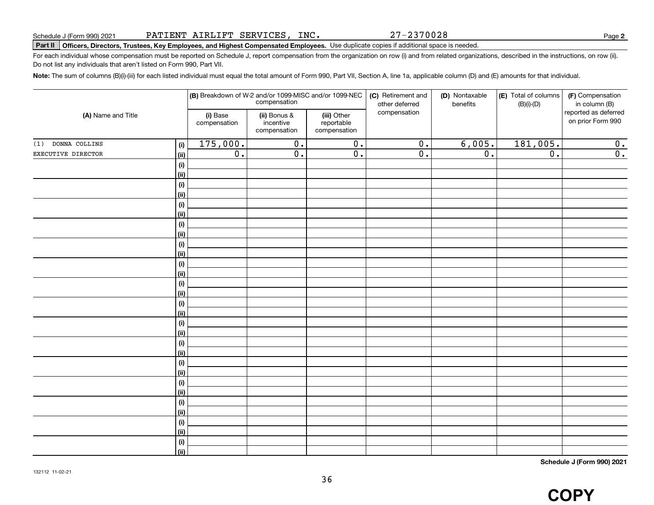27-2370028

**2**

# **Part II Officers, Directors, Trustees, Key Employees, and Highest Compensated Employees.**  Schedule J (Form 990) 2021 Page Use duplicate copies if additional space is needed.

For each individual whose compensation must be reported on Schedule J, report compensation from the organization on row (i) and from related organizations, described in the instructions, on row (ii). Do not list any individuals that aren't listed on Form 990, Part VII.

**Note:**  The sum of columns (B)(i)-(iii) for each listed individual must equal the total amount of Form 990, Part VII, Section A, line 1a, applicable column (D) and (E) amounts for that individual.

| (A) Name and Title   |                    |                          | compensation                              | (B) Breakdown of W-2 and/or 1099-MISC and/or 1099-NEC | (C) Retirement and<br>other deferred | (D) Nontaxable<br>benefits | (E) Total of columns<br>$(B)(i)-(D)$ | (F) Compensation<br>in column (B)         |
|----------------------|--------------------|--------------------------|-------------------------------------------|-------------------------------------------------------|--------------------------------------|----------------------------|--------------------------------------|-------------------------------------------|
|                      |                    | (i) Base<br>compensation | (ii) Bonus &<br>incentive<br>compensation | (iii) Other<br>reportable<br>compensation             | compensation                         |                            |                                      | reported as deferred<br>on prior Form 990 |
| DONNA COLLINS<br>(1) | (i)                | 175,000.                 | $\overline{0}$ .                          | $\overline{0}$ .                                      | $\overline{0}$ .                     | 6,005.                     | 181,005.                             | 0.                                        |
| EXECUTIVE DIRECTOR   | (ii)               | $\overline{0}$ .         | $\overline{0}$ .                          | $\overline{0}$ .                                      | $\overline{0}$ .                     | $\overline{0}$ .           | $\overline{0}$ .                     | $\overline{0}$ .                          |
|                      | $(\sf{i})$         |                          |                                           |                                                       |                                      |                            |                                      |                                           |
|                      | (ii)               |                          |                                           |                                                       |                                      |                            |                                      |                                           |
|                      | $(\sf{i})$         |                          |                                           |                                                       |                                      |                            |                                      |                                           |
|                      | (ii)               |                          |                                           |                                                       |                                      |                            |                                      |                                           |
|                      | $(\sf{i})$         |                          |                                           |                                                       |                                      |                            |                                      |                                           |
|                      | (ii)               |                          |                                           |                                                       |                                      |                            |                                      |                                           |
|                      | (i)                |                          |                                           |                                                       |                                      |                            |                                      |                                           |
|                      | (ii)               |                          |                                           |                                                       |                                      |                            |                                      |                                           |
|                      | $(\sf{i})$         |                          |                                           |                                                       |                                      |                            |                                      |                                           |
|                      | (ii)               |                          |                                           |                                                       |                                      |                            |                                      |                                           |
|                      | $(\sf{i})$         |                          |                                           |                                                       |                                      |                            |                                      |                                           |
|                      | (ii)               |                          |                                           |                                                       |                                      |                            |                                      |                                           |
|                      | $(\sf{i})$         |                          |                                           |                                                       |                                      |                            |                                      |                                           |
|                      | (ii)               |                          |                                           |                                                       |                                      |                            |                                      |                                           |
|                      | $(\sf{i})$<br>(ii) |                          |                                           |                                                       |                                      |                            |                                      |                                           |
|                      | $(\sf{i})$         |                          |                                           |                                                       |                                      |                            |                                      |                                           |
|                      | (ii)               |                          |                                           |                                                       |                                      |                            |                                      |                                           |
|                      | (i)                |                          |                                           |                                                       |                                      |                            |                                      |                                           |
|                      | (ii)               |                          |                                           |                                                       |                                      |                            |                                      |                                           |
|                      | (i)                |                          |                                           |                                                       |                                      |                            |                                      |                                           |
|                      | (ii)               |                          |                                           |                                                       |                                      |                            |                                      |                                           |
|                      | (i)                |                          |                                           |                                                       |                                      |                            |                                      |                                           |
|                      | (ii)               |                          |                                           |                                                       |                                      |                            |                                      |                                           |
|                      | $(\sf{i})$         |                          |                                           |                                                       |                                      |                            |                                      |                                           |
|                      | (ii)               |                          |                                           |                                                       |                                      |                            |                                      |                                           |
|                      | $(\sf{i})$         |                          |                                           |                                                       |                                      |                            |                                      |                                           |
|                      | (ii)               |                          |                                           |                                                       |                                      |                            |                                      |                                           |
|                      | $(\sf{i})$         |                          |                                           |                                                       |                                      |                            |                                      |                                           |
|                      | (ii)               |                          |                                           |                                                       |                                      |                            |                                      |                                           |

**Schedule J (Form 990) 2021**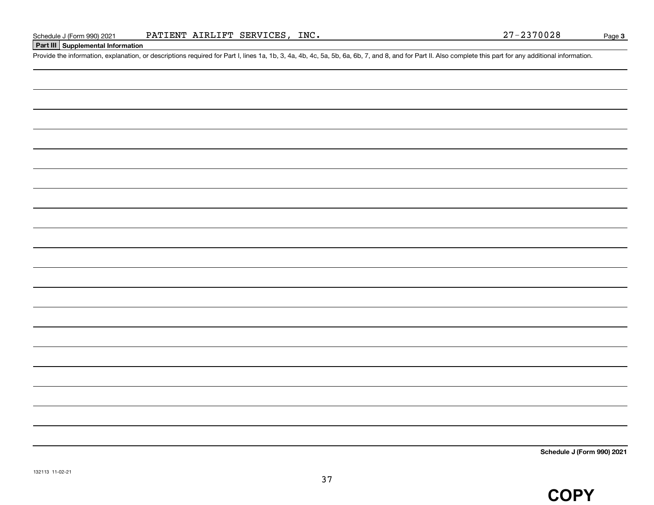#### **Part III Supplemental Information**

Schedule J (Form 990) 2021 PATIENT AIRLIFT SERVICES, INC.<br>Part III Supplemental Information<br>Provide the information, explanation, or descriptions required for Part I, lines 1a, 1b, 3, 4a, 4b, 4c, 5a, 5b, 6a, 6b, 7, and 8,

**Schedule J (Form 990) 2021**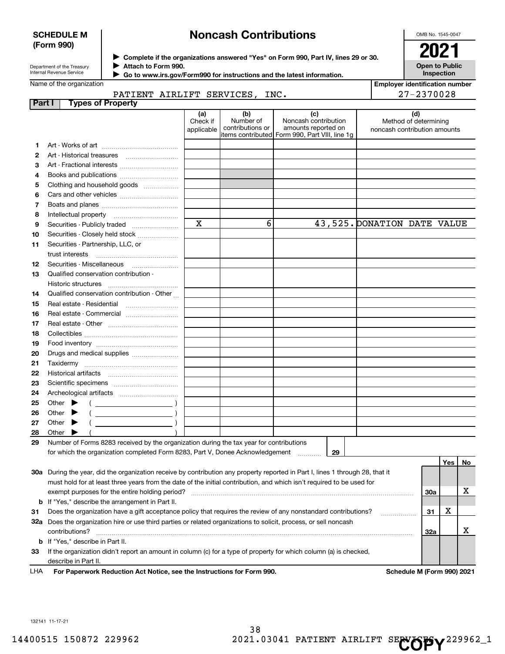#### **SCHEDULE M (Form 990)**

# **Noncash Contributions**

OMB No. 1545-0047

**Open to Public Inspection**

**Employer identification number**

| Department of the Treasury      |  |
|---------------------------------|--|
| <b>Internal Revenue Service</b> |  |

**Complete if the organizations answered "Yes" on Form 990, Part IV, lines 29 or 30.** <sup>J</sup>**2021 Attach to Form 990.** J

 **Go to www.irs.gov/Form990 for instructions and the latest information.** J

#### Name of the organization

|  | PATIENT AIRLIFT SERVICES, INC. |  |
|--|--------------------------------|--|

|        | 27-2370028<br>PATIENT AIRLIFT SERVICES, INC.                                                                                   |                               |                                      |                                                                                                      |                                                              |     |     |    |
|--------|--------------------------------------------------------------------------------------------------------------------------------|-------------------------------|--------------------------------------|------------------------------------------------------------------------------------------------------|--------------------------------------------------------------|-----|-----|----|
| Part I | <b>Types of Property</b>                                                                                                       |                               |                                      |                                                                                                      |                                                              |     |     |    |
|        |                                                                                                                                | (a)<br>Check if<br>applicable | (b)<br>Number of<br>contributions or | (c)<br>Noncash contribution<br>amounts reported on<br>items contributed Form 990, Part VIII, line 1q | (d)<br>Method of determining<br>noncash contribution amounts |     |     |    |
| 1      |                                                                                                                                |                               |                                      |                                                                                                      |                                                              |     |     |    |
| 2      | Art - Historical treasures                                                                                                     |                               |                                      |                                                                                                      |                                                              |     |     |    |
| з      | Art - Fractional interests                                                                                                     |                               |                                      |                                                                                                      |                                                              |     |     |    |
| 4      |                                                                                                                                |                               |                                      |                                                                                                      |                                                              |     |     |    |
| 5      | Clothing and household goods                                                                                                   |                               |                                      |                                                                                                      |                                                              |     |     |    |
| 6      |                                                                                                                                |                               |                                      |                                                                                                      |                                                              |     |     |    |
| 7      |                                                                                                                                |                               |                                      |                                                                                                      |                                                              |     |     |    |
| 8      | Intellectual property                                                                                                          |                               |                                      |                                                                                                      |                                                              |     |     |    |
| 9      | Securities - Publicly traded                                                                                                   | $\mathbf x$                   | 6                                    |                                                                                                      | 43, 525. DONATION DATE VALUE                                 |     |     |    |
| 10     | Securities - Closely held stock                                                                                                |                               |                                      |                                                                                                      |                                                              |     |     |    |
| 11     | Securities - Partnership, LLC, or                                                                                              |                               |                                      |                                                                                                      |                                                              |     |     |    |
|        | trust interests                                                                                                                |                               |                                      |                                                                                                      |                                                              |     |     |    |
| 12     | Securities - Miscellaneous                                                                                                     |                               |                                      |                                                                                                      |                                                              |     |     |    |
| 13     | Qualified conservation contribution -                                                                                          |                               |                                      |                                                                                                      |                                                              |     |     |    |
|        | Historic structures                                                                                                            |                               |                                      |                                                                                                      |                                                              |     |     |    |
| 14     | Qualified conservation contribution - Other                                                                                    |                               |                                      |                                                                                                      |                                                              |     |     |    |
| 15     | Real estate - Residential                                                                                                      |                               |                                      |                                                                                                      |                                                              |     |     |    |
| 16     | Real estate - Commercial                                                                                                       |                               |                                      |                                                                                                      |                                                              |     |     |    |
| 17     |                                                                                                                                |                               |                                      |                                                                                                      |                                                              |     |     |    |
| 18     |                                                                                                                                |                               |                                      |                                                                                                      |                                                              |     |     |    |
| 19     |                                                                                                                                |                               |                                      |                                                                                                      |                                                              |     |     |    |
| 20     | Drugs and medical supplies                                                                                                     |                               |                                      |                                                                                                      |                                                              |     |     |    |
| 21     |                                                                                                                                |                               |                                      |                                                                                                      |                                                              |     |     |    |
| 22     |                                                                                                                                |                               |                                      |                                                                                                      |                                                              |     |     |    |
| 23     |                                                                                                                                |                               |                                      |                                                                                                      |                                                              |     |     |    |
| 24     |                                                                                                                                |                               |                                      |                                                                                                      |                                                              |     |     |    |
| 25     | Other $\blacktriangleright$                                                                                                    |                               |                                      |                                                                                                      |                                                              |     |     |    |
| 26     | Other                                                                                                                          |                               |                                      |                                                                                                      |                                                              |     |     |    |
| 27     | Other                                                                                                                          |                               |                                      |                                                                                                      |                                                              |     |     |    |
| 28     | Other                                                                                                                          |                               |                                      |                                                                                                      |                                                              |     |     |    |
| 29     | Number of Forms 8283 received by the organization during the tax year for contributions                                        |                               |                                      |                                                                                                      |                                                              |     |     |    |
|        | for which the organization completed Form 8283, Part V, Donee Acknowledgement                                                  |                               |                                      | 29<br>.                                                                                              |                                                              |     |     |    |
|        |                                                                                                                                |                               |                                      |                                                                                                      |                                                              |     | Yes | No |
|        | 30a During the year, did the organization receive by contribution any property reported in Part I, lines 1 through 28, that it |                               |                                      |                                                                                                      |                                                              |     |     |    |
|        | must hold for at least three years from the date of the initial contribution, and which isn't required to be used for          |                               |                                      |                                                                                                      |                                                              |     |     |    |
|        | exempt purposes for the entire holding period?                                                                                 |                               |                                      |                                                                                                      |                                                              | 30a |     | х  |
| b      | If "Yes," describe the arrangement in Part II.                                                                                 |                               |                                      |                                                                                                      |                                                              |     |     |    |
| 31     | Does the organization have a gift acceptance policy that requires the review of any nonstandard contributions?                 |                               |                                      |                                                                                                      |                                                              | 31  | х   |    |
|        | 32a Does the organization hire or use third parties or related organizations to solicit, process, or sell noncash              |                               |                                      |                                                                                                      |                                                              |     |     |    |
|        | contributions?                                                                                                                 |                               |                                      |                                                                                                      |                                                              | 32a |     | х  |
| b      | If "Yes," describe in Part II.                                                                                                 |                               |                                      |                                                                                                      |                                                              |     |     |    |
| 33     | If the organization didn't report an amount in column (c) for a type of property for which column (a) is checked,              |                               |                                      |                                                                                                      |                                                              |     |     |    |
|        | describe in Part II.                                                                                                           |                               |                                      |                                                                                                      |                                                              |     |     |    |

**For Paperwork Reduction Act Notice, see the Instructions for Form 990. Schedule M (Form 990) 2021** LHA

132141 11-17-21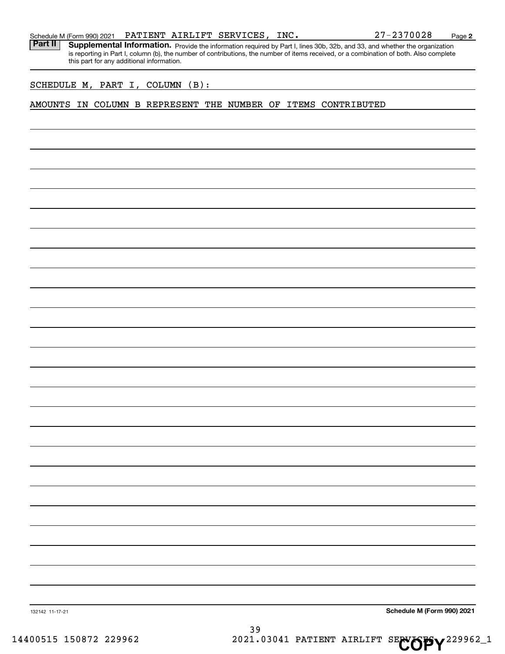Part II | Supplemental Information. Provide the information required by Part I, lines 30b, 32b, and 33, and whether the organization is reporting in Part I, column (b), the number of contributions, the number of items received, or a combination of both. Also complete this part for any additional information.

SCHEDULE M, PART I, COLUMN (B):

#### AMOUNTS IN COLUMN B REPRESENT THE NUMBER OF ITEMS CONTRIBUTED

**Schedule M (Form 990) 2021**

132142 11-17-21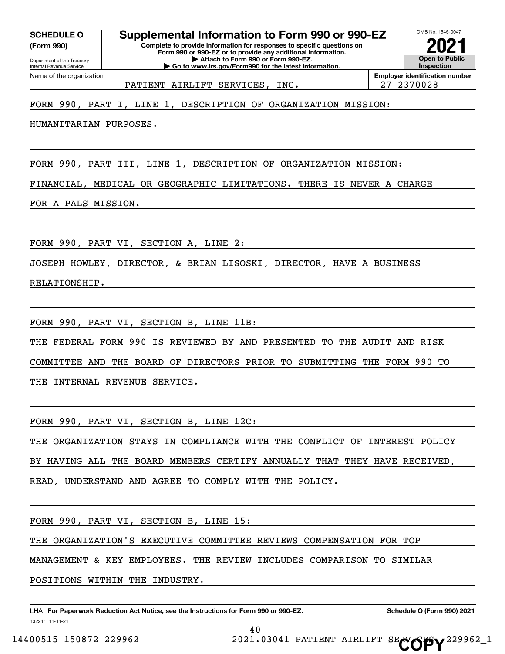**(Form 990)**

# **SCHEDULE O Supplemental Information to Form 990 or 990-EZ**

**Complete to provide information for responses to specific questions on Form 990 or 990-EZ or to provide any additional information. | Attach to Form 990 or Form 990-EZ. | Go to www.irs.gov/Form990 for the latest information.**



PATIENT AIRLIFT SERVICES, INC. 27-2370028

FORM 990, PART I, LINE 1, DESCRIPTION OF ORGANIZATION MISSION:

HUMANITARIAN PURPOSES.

FORM 990, PART III, LINE 1, DESCRIPTION OF ORGANIZATION MISSION:

FINANCIAL, MEDICAL OR GEOGRAPHIC LIMITATIONS. THERE IS NEVER A CHARGE

FOR A PALS MISSION.

FORM 990, PART VI, SECTION A, LINE 2:

JOSEPH HOWLEY, DIRECTOR, & BRIAN LISOSKI, DIRECTOR, HAVE A BUSINESS

RELATIONSHIP.

FORM 990, PART VI, SECTION B, LINE 11B:

THE FEDERAL FORM 990 IS REVIEWED BY AND PRESENTED TO THE AUDIT AND RISK

COMMITTEE AND THE BOARD OF DIRECTORS PRIOR TO SUBMITTING THE FORM 990 TO

THE INTERNAL REVENUE SERVICE.

FORM 990, PART VI, SECTION B, LINE 12C:

THE ORGANIZATION STAYS IN COMPLIANCE WITH THE CONFLICT OF INTEREST POLICY

BY HAVING ALL THE BOARD MEMBERS CERTIFY ANNUALLY THAT THEY HAVE RECEIVED,

READ, UNDERSTAND AND AGREE TO COMPLY WITH THE POLICY.

FORM 990, PART VI, SECTION B, LINE 15:

THE ORGANIZATION'S EXECUTIVE COMMITTEE REVIEWS COMPENSATION FOR TOP

MANAGEMENT & KEY EMPLOYEES. THE REVIEW INCLUDES COMPARISON TO SIMILAR

40

POSITIONS WITHIN THE INDUSTRY.

132211 11-11-21 LHA For Paperwork Reduction Act Notice, see the Instructions for Form 990 or 990-EZ. Schedule O (Form 990) 2021